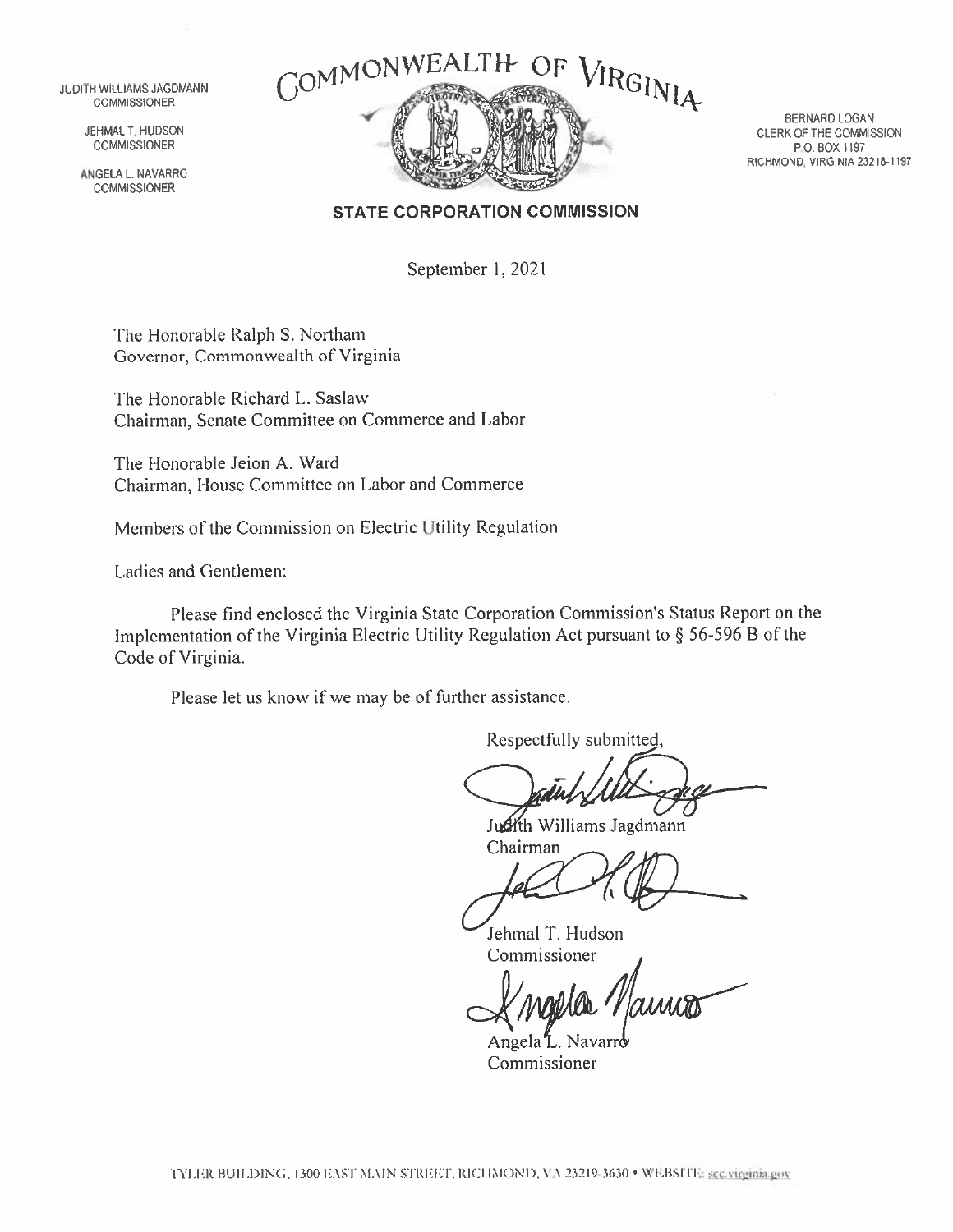JUDITH WILLIAMS JAGDMANN **COMMISSIONER** 

> JEHMAL T. HUDSON **COMMISSIONER**

ANGELA L. NAVARRO **COMMISSIONER** 



BERNARD LOGAN CLERK OF THE COMMISSION P.O. BOX 1197 RICHMOND, VIRGINIA 23218-1197

## **STATE CORPORATION COMMISSION**

September 1, 2021

The Honorable Ralph S. Northam Governor, Commonwealth of Virginia

The Honorable Richard L. Saslaw Chairman, Senate Committee on Commerce and Labor

The Honorable Jeion A. Ward Chairman, House Committee on Labor and Commerce

Members of the Commission on Electric Utility Regulation

Ladies and Gentlemen:

Please find enclosed the Virginia State Corporation Commission's Status Report on the Implementation of the Virginia Electric Utility Regulation Act pursuant to § 56-596 B of the Code of Virginia.

Please let us know if we may be of further assistance.

Respectfully submitted.

Judith Williams Jagdmann

Chairman

Jehmal T. Hudson Commissioner

Angela L. Navarrd Commissioner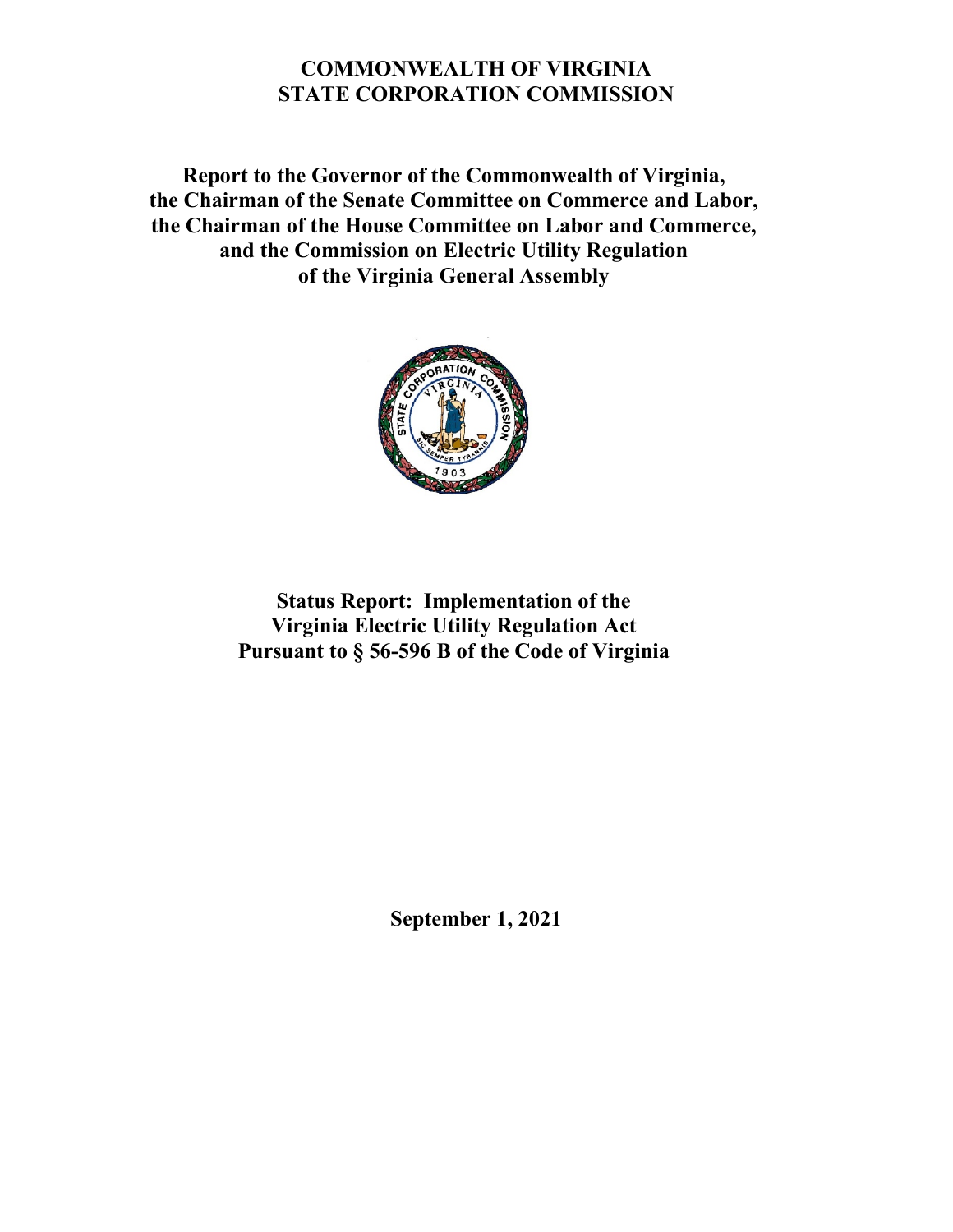# **COMMONWEALTH OF VIRGINIA STATE CORPORATION COMMISSION**

**Report to the Governor of the Commonwealth of Virginia, the Chairman of the Senate Committee on Commerce and Labor, the Chairman of the House Committee on Labor and Commerce, and the Commission on Electric Utility Regulation of the Virginia General Assembly**



**Status Report: Implementation of the Virginia Electric Utility Regulation Act Pursuant to § 56-596 B of the Code of Virginia**

**September 1, 2021**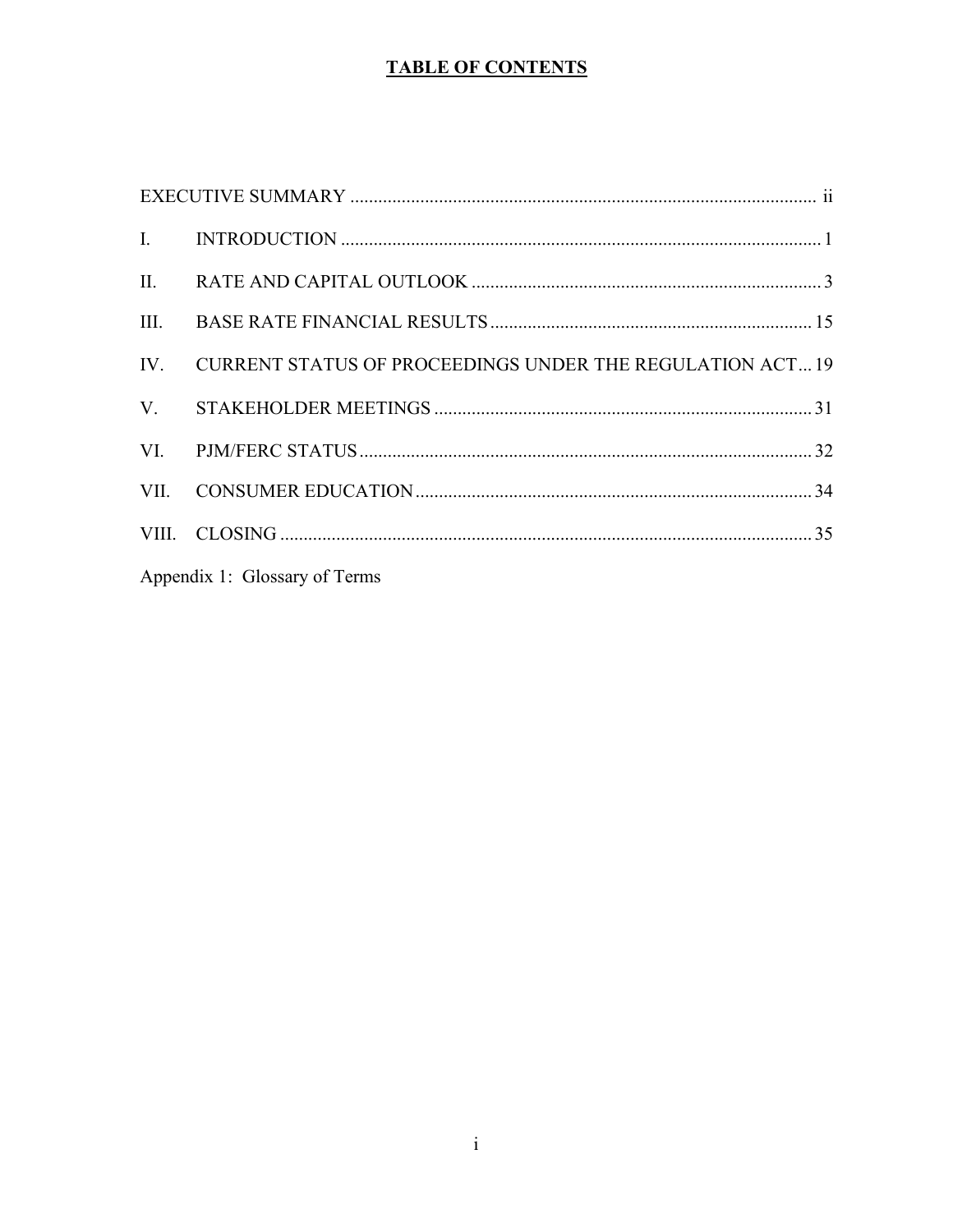# **TABLE OF CONTENTS**

| III. |                                                               |
|------|---------------------------------------------------------------|
|      | IV. CURRENT STATUS OF PROCEEDINGS UNDER THE REGULATION ACT 19 |
|      |                                                               |
|      |                                                               |
|      |                                                               |
|      |                                                               |
|      | Appendix 1: Glossary of Terms                                 |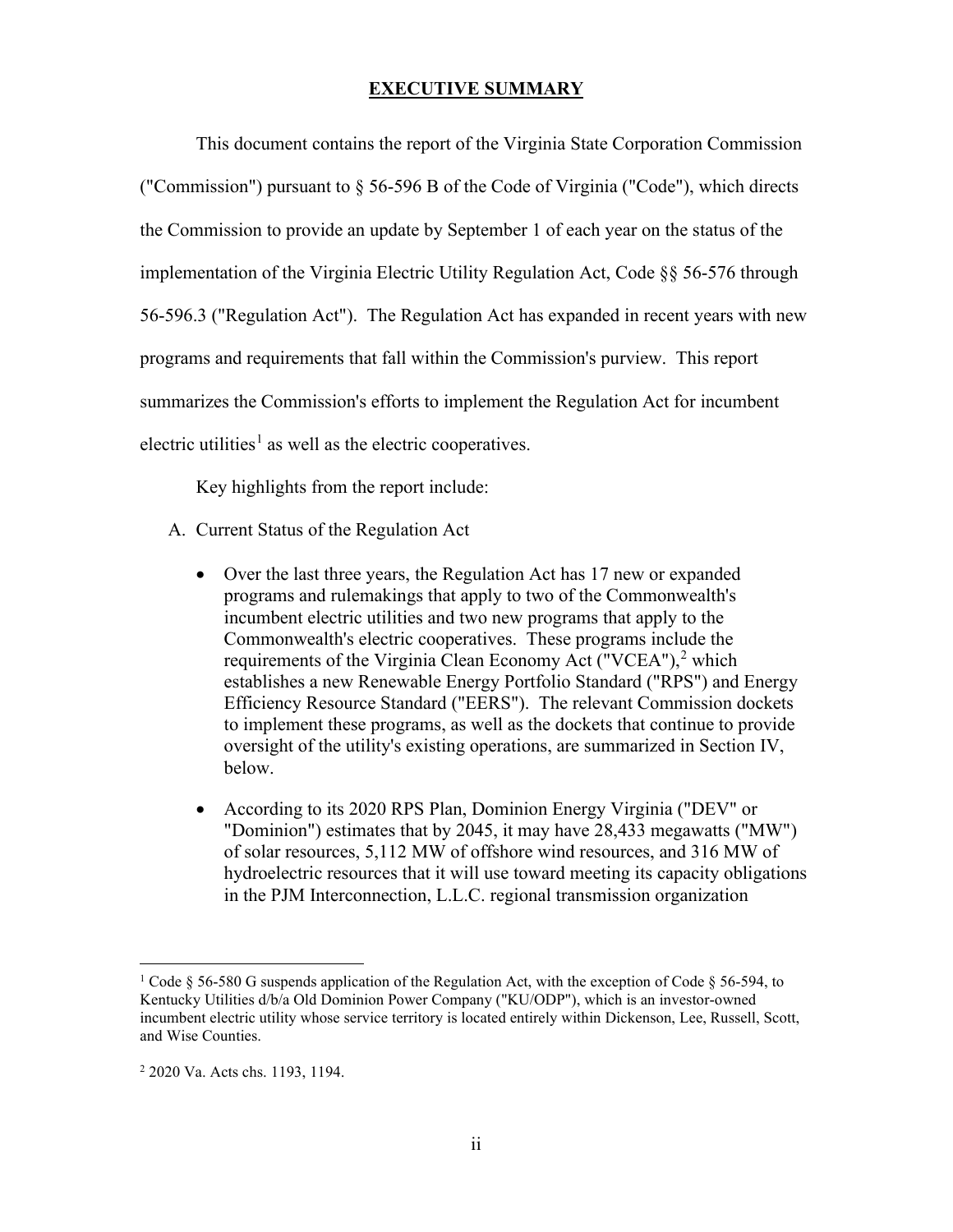#### **EXECUTIVE SUMMARY**

This document contains the report of the Virginia State Corporation Commission ("Commission") pursuant to § 56-596 B of the Code of Virginia ("Code"), which directs the Commission to provide an update by September 1 of each year on the status of the implementation of the Virginia Electric Utility Regulation Act, Code §§ 56-576 through 56-596.3 ("Regulation Act"). The Regulation Act has expanded in recent years with new programs and requirements that fall within the Commission's purview. This report summarizes the Commission's efforts to implement the Regulation Act for incumbent electric utilities<sup>[1](#page-3-0)</sup> as well as the electric cooperatives.

Key highlights from the report include:

- A. Current Status of the Regulation Act
	- Over the last three years, the Regulation Act has 17 new or expanded programs and rulemakings that apply to two of the Commonwealth's incumbent electric utilities and two new programs that apply to the Commonwealth's electric cooperatives. These programs include the requirements of the Virginia Clean Economy Act ("VCEA"),<sup>[2](#page-3-1)</sup> which establishes a new Renewable Energy Portfolio Standard ("RPS") and Energy Efficiency Resource Standard ("EERS"). The relevant Commission dockets to implement these programs, as well as the dockets that continue to provide oversight of the utility's existing operations, are summarized in Section IV, below.
	- According to its 2020 RPS Plan, Dominion Energy Virginia ("DEV" or "Dominion") estimates that by 2045, it may have 28,433 megawatts ("MW") of solar resources, 5,112 MW of offshore wind resources, and 316 MW of hydroelectric resources that it will use toward meeting its capacity obligations in the PJM Interconnection, L.L.C. regional transmission organization

<span id="page-3-0"></span><sup>&</sup>lt;sup>1</sup> Code § 56-580 G suspends application of the Regulation Act, with the exception of Code § 56-594, to Kentucky Utilities d/b/a Old Dominion Power Company ("KU/ODP"), which is an investor-owned incumbent electric utility whose service territory is located entirely within Dickenson, Lee, Russell, Scott, and Wise Counties.

<span id="page-3-1"></span><sup>2</sup> 2020 Va. Acts chs. 1193, 1194.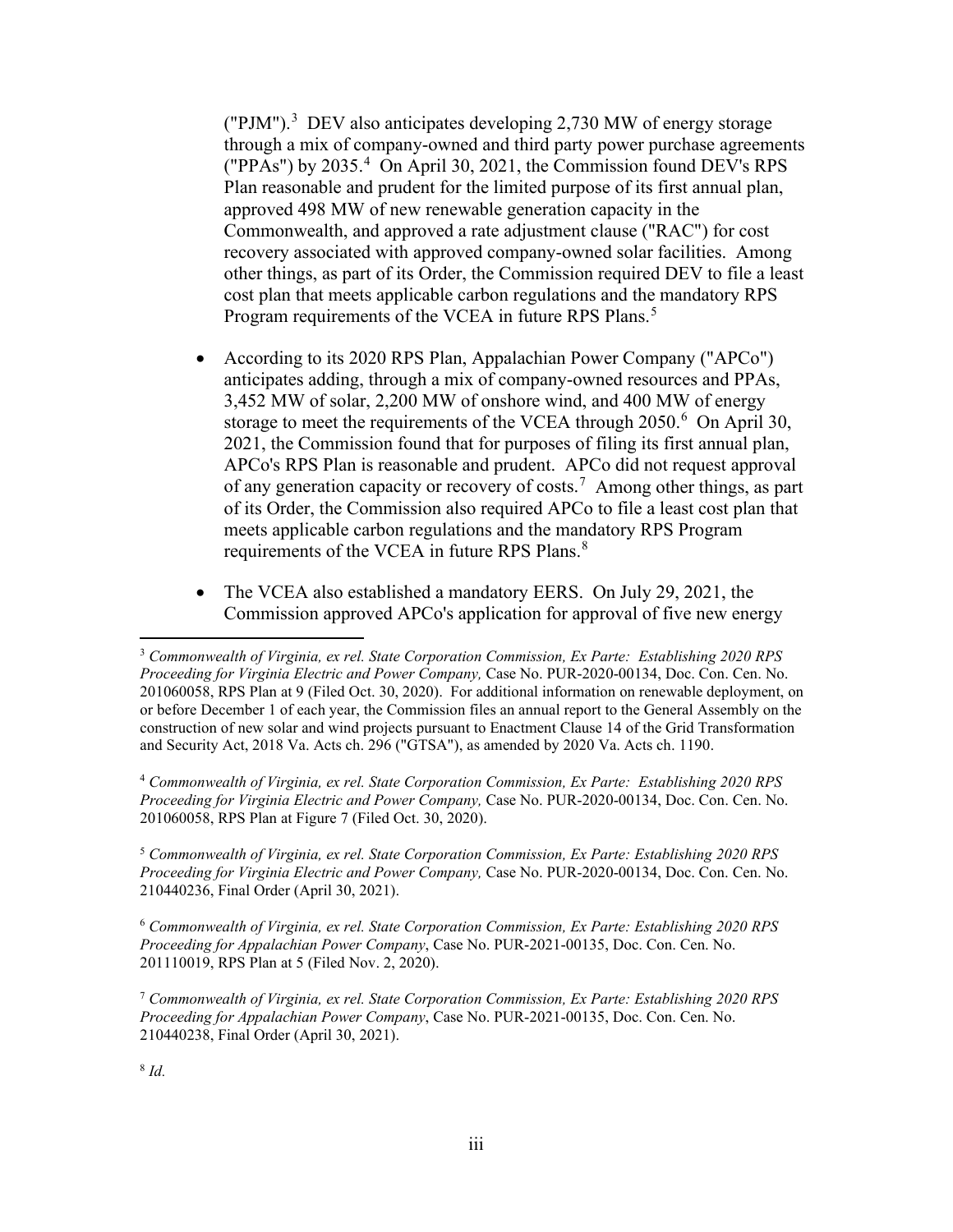("PJM").<sup>[3](#page-4-0)</sup> DEV also anticipates developing 2,730 MW of energy storage through a mix of company-owned and third party power purchase agreements ("PPAs") by 2035.[4](#page-4-1) On April 30, 2021, the Commission found DEV's RPS Plan reasonable and prudent for the limited purpose of its first annual plan, approved 498 MW of new renewable generation capacity in the Commonwealth, and approved a rate adjustment clause ("RAC") for cost recovery associated with approved company-owned solar facilities. Among other things, as part of its Order, the Commission required DEV to file a least cost plan that meets applicable carbon regulations and the mandatory RPS Program requirements of the VCEA in future RPS Plans.<sup>[5](#page-4-2)</sup>

- According to its 2020 RPS Plan, Appalachian Power Company ("APCo") anticipates adding, through a mix of company-owned resources and PPAs, 3,452 MW of solar, 2,200 MW of onshore wind, and 400 MW of energy storage to meet the requirements of the VCEA through  $2050.^6$  $2050.^6$  On April 30, 2021, the Commission found that for purposes of filing its first annual plan, APCo's RPS Plan is reasonable and prudent. APCo did not request approval of any generation capacity or recovery of costs.<sup>[7](#page-4-4)</sup> Among other things, as part of its Order, the Commission also required APCo to file a least cost plan that meets applicable carbon regulations and the mandatory RPS Program requirements of the VCEA in future RPS Plans.<sup>[8](#page-4-5)</sup>
- The VCEA also established a mandatory EERS. On July 29, 2021, the Commission approved APCo's application for approval of five new energy

<span id="page-4-1"></span><sup>4</sup> *Commonwealth of Virginia, ex rel. State Corporation Commission, Ex Parte: Establishing 2020 RPS Proceeding for Virginia Electric and Power Company,* Case No. PUR-2020-00134, Doc. Con. Cen. No. 201060058, RPS Plan at Figure 7 (Filed Oct. 30, 2020).

<span id="page-4-2"></span><sup>5</sup> *Commonwealth of Virginia, ex rel. State Corporation Commission, Ex Parte: Establishing 2020 RPS Proceeding for Virginia Electric and Power Company,* Case No. PUR-2020-00134, Doc. Con. Cen. No. 210440236, Final Order (April 30, 2021).

<span id="page-4-3"></span><sup>6</sup> *Commonwealth of Virginia, ex rel. State Corporation Commission, Ex Parte: Establishing 2020 RPS Proceeding for Appalachian Power Company*, Case No. PUR-2021-00135, Doc. Con. Cen. No. 201110019, RPS Plan at 5 (Filed Nov. 2, 2020).

<span id="page-4-5"></span><span id="page-4-4"></span><sup>7</sup> *Commonwealth of Virginia, ex rel. State Corporation Commission, Ex Parte: Establishing 2020 RPS Proceeding for Appalachian Power Company*, Case No. PUR-2021-00135, Doc. Con. Cen. No. 210440238, Final Order (April 30, 2021).

<span id="page-4-0"></span><sup>3</sup> *Commonwealth of Virginia, ex rel. State Corporation Commission, Ex Parte: Establishing 2020 RPS Proceeding for Virginia Electric and Power Company,* Case No. PUR-2020-00134, Doc. Con. Cen. No. 201060058, RPS Plan at 9 (Filed Oct. 30, 2020). For additional information on renewable deployment, on or before December 1 of each year, the Commission files an annual report to the General Assembly on the construction of new solar and wind projects pursuant to Enactment Clause 14 of the Grid Transformation and Security Act, 2018 Va. Acts ch. 296 ("GTSA"), as amended by 2020 Va. Acts ch. 1190.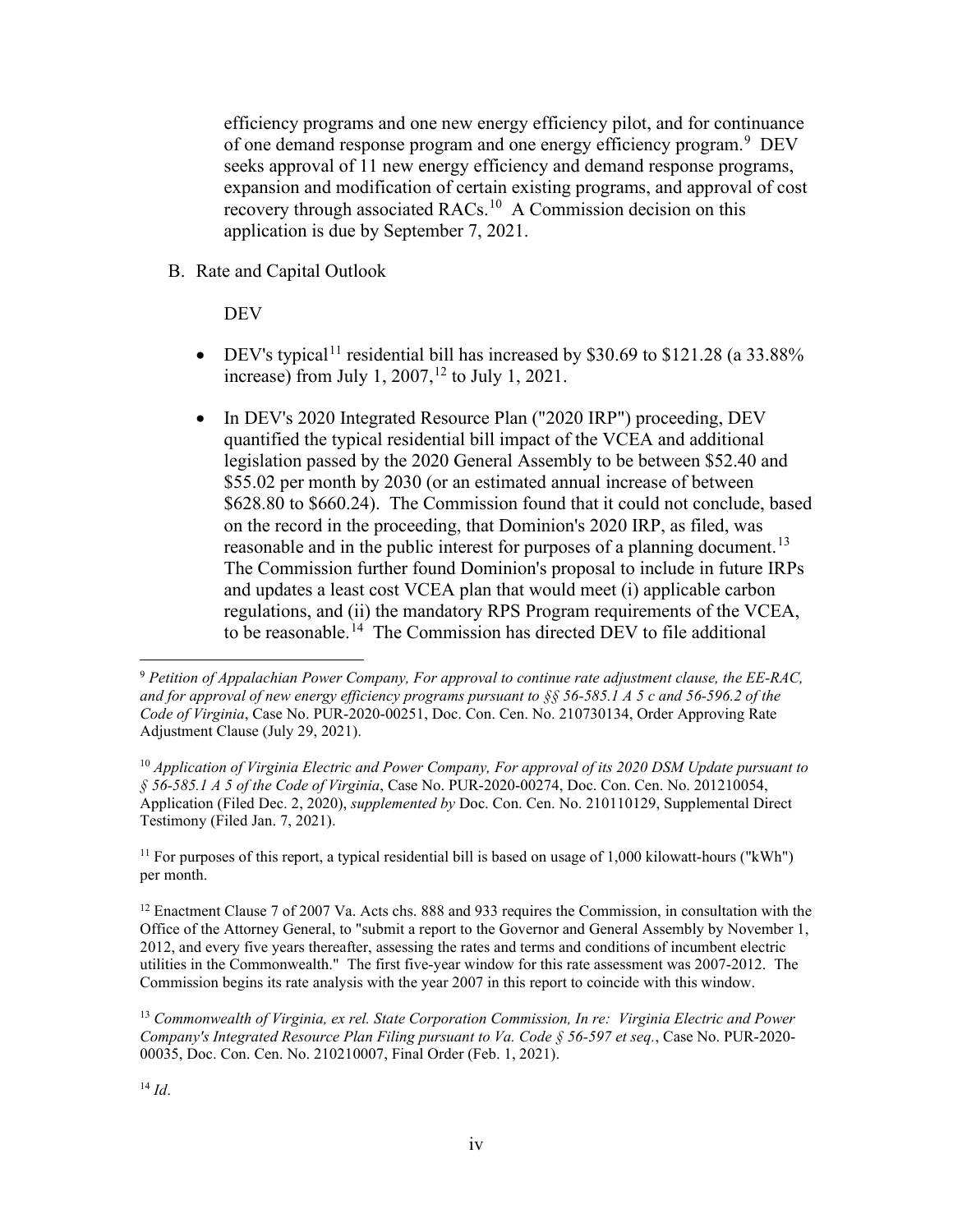efficiency programs and one new energy efficiency pilot, and for continuance of one demand response program and one energy efficiency program.<sup>[9](#page-5-0)</sup> DEV seeks approval of 11 new energy efficiency and demand response programs, expansion and modification of certain existing programs, and approval of cost recovery through associated RACs.<sup>[10](#page-5-1)</sup> A Commission decision on this application is due by September 7, 2021.

B. Rate and Capital Outlook

DEV

- DEV's typical<sup>[11](#page-5-2)</sup> residential bill has increased by \$30.69 to \$121.28 (a 33.88%) increase) from July 1,  $2007$ ,<sup>[12](#page-5-3)</sup> to July 1, 2021.
- In DEV's 2020 Integrated Resource Plan ("2020 IRP") proceeding, DEV quantified the typical residential bill impact of the VCEA and additional legislation passed by the 2020 General Assembly to be between \$52.40 and \$55.02 per month by 2030 (or an estimated annual increase of between \$628.80 to \$660.24). The Commission found that it could not conclude, based on the record in the proceeding, that Dominion's 2020 IRP, as filed, was reasonable and in the public interest for purposes of a planning document.<sup>[13](#page-5-4)</sup> The Commission further found Dominion's proposal to include in future IRPs and updates a least cost VCEA plan that would meet (i) applicable carbon regulations, and (ii) the mandatory RPS Program requirements of the VCEA, to be reasonable.<sup>[14](#page-5-5)</sup> The Commission has directed DEV to file additional

<span id="page-5-0"></span><sup>9</sup> *Petition of Appalachian Power Company, For approval to continue rate adjustment clause, the EE-RAC, and for approval of new energy efficiency programs pursuant to §§ 56-585.1 A 5 c and 56-596.2 of the Code of Virginia*, Case No. PUR-2020-00251, Doc. Con. Cen. No. 210730134, Order Approving Rate Adjustment Clause (July 29, 2021).

<span id="page-5-1"></span><sup>10</sup> *Application of Virginia Electric and Power Company, For approval of its 2020 DSM Update pursuant to § 56-585.1 A 5 of the Code of Virginia*, Case No. PUR-2020-00274, Doc. Con. Cen. No. 201210054, Application (Filed Dec. 2, 2020), *supplemented by* Doc. Con. Cen. No. 210110129, Supplemental Direct Testimony (Filed Jan. 7, 2021).

<span id="page-5-2"></span> $11$  For purposes of this report, a typical residential bill is based on usage of 1,000 kilowatt-hours ("kWh") per month.

<span id="page-5-3"></span> $12$  Enactment Clause 7 of 2007 Va. Acts chs. 888 and 933 requires the Commission, in consultation with the Office of the Attorney General, to "submit a report to the Governor and General Assembly by November 1, 2012, and every five years thereafter, assessing the rates and terms and conditions of incumbent electric utilities in the Commonwealth." The first five-year window for this rate assessment was 2007-2012. The Commission begins its rate analysis with the year 2007 in this report to coincide with this window.

<span id="page-5-5"></span><span id="page-5-4"></span><sup>13</sup> *Commonwealth of Virginia, ex rel. State Corporation Commission, In re: Virginia Electric and Power Company's Integrated Resource Plan Filing pursuant to Va. Code § 56-597 et seq.*, Case No. PUR-2020- 00035, Doc. Con. Cen. No. 210210007, Final Order (Feb. 1, 2021).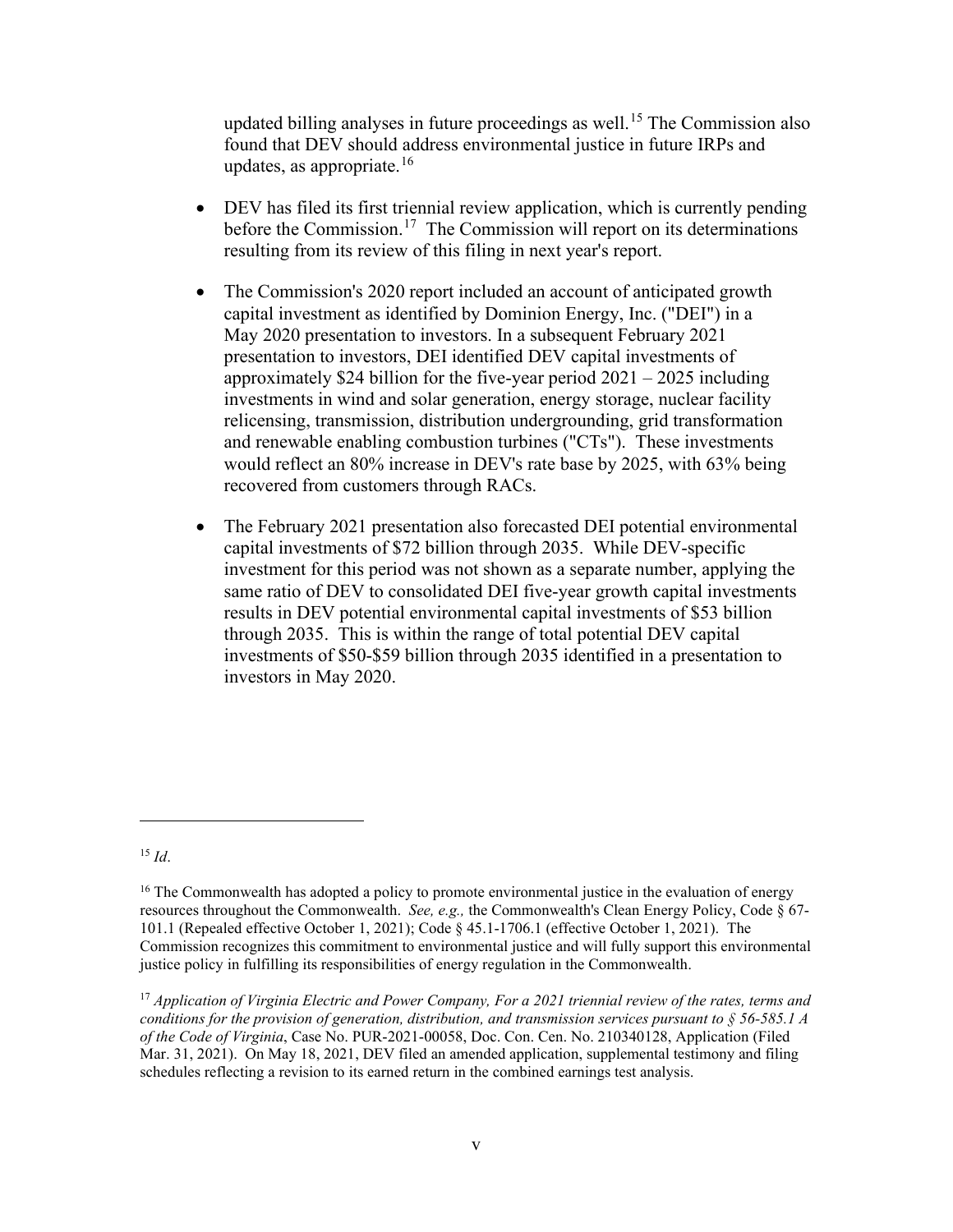updated billing analyses in future proceedings as well. [15](#page-6-0) The Commission also found that DEV should address environmental justice in future IRPs and updates, as appropriate. $16$ 

- DEV has filed its first triennial review application, which is currently pending before the Commission.<sup>17</sup> The Commission will report on its determinations resulting from its review of this filing in next year's report.
- The Commission's 2020 report included an account of anticipated growth capital investment as identified by Dominion Energy, Inc. ("DEI") in a May 2020 presentation to investors. In a subsequent February 2021 presentation to investors, DEI identified DEV capital investments of approximately \$24 billion for the five-year period 2021 – 2025 including investments in wind and solar generation, energy storage, nuclear facility relicensing, transmission, distribution undergrounding, grid transformation and renewable enabling combustion turbines ("CTs"). These investments would reflect an 80% increase in DEV's rate base by 2025, with 63% being recovered from customers through RACs.
- The February 2021 presentation also forecasted DEI potential environmental capital investments of \$72 billion through 2035. While DEV-specific investment for this period was not shown as a separate number, applying the same ratio of DEV to consolidated DEI five-year growth capital investments results in DEV potential environmental capital investments of \$53 billion through 2035. This is within the range of total potential DEV capital investments of \$50-\$59 billion through 2035 identified in a presentation to investors in May 2020.

<span id="page-6-0"></span><sup>15</sup> *Id*.

<span id="page-6-1"></span><sup>&</sup>lt;sup>16</sup> The Commonwealth has adopted a policy to promote environmental justice in the evaluation of energy resources throughout the Commonwealth. *See, e.g.,* the Commonwealth's Clean Energy Policy, Code § 67- 101.1 (Repealed effective October 1, 2021); Code § 45.1-1706.1 (effective October 1, 2021). The Commission recognizes this commitment to environmental justice and will fully support this environmental justice policy in fulfilling its responsibilities of energy regulation in the Commonwealth.

<span id="page-6-2"></span><sup>17</sup> *Application of Virginia Electric and Power Company, For a 2021 triennial review of the rates, terms and conditions for the provision of generation, distribution, and transmission services pursuant to § 56-585.1 A of the Code of Virginia*, Case No. PUR-2021-00058, Doc. Con. Cen. No. 210340128, Application (Filed Mar. 31, 2021). On May 18, 2021, DEV filed an amended application, supplemental testimony and filing schedules reflecting a revision to its earned return in the combined earnings test analysis.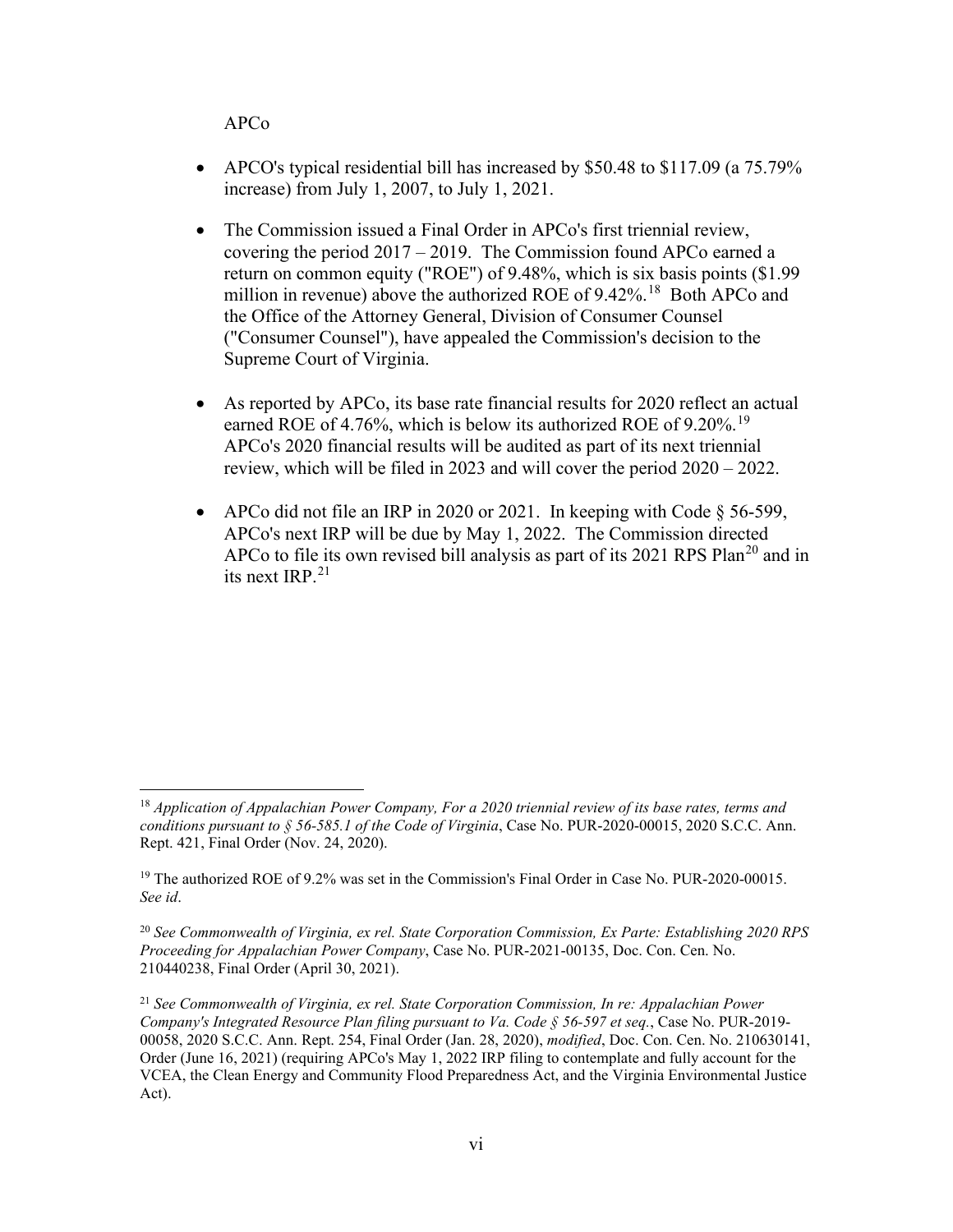APCo

- APCO's typical residential bill has increased by \$50.48 to \$117.09 (a 75.79%) increase) from July 1, 2007, to July 1, 2021.
- The Commission issued a Final Order in APCo's first triennial review, covering the period 2017 – 2019. The Commission found APCo earned a return on common equity ("ROE") of 9.48%, which is six basis points (\$1.99 million in revenue) above the authorized ROE of 9.42%.<sup>18</sup> Both APCo and the Office of the Attorney General, Division of Consumer Counsel ("Consumer Counsel"), have appealed the Commission's decision to the Supreme Court of Virginia.
- As reported by APCo, its base rate financial results for 2020 reflect an actual earned ROE of 4.76%, which is below its authorized ROE of 9.20%.<sup>[19](#page-7-1)</sup> APCo's 2020 financial results will be audited as part of its next triennial review, which will be filed in 2023 and will cover the period 2020 – 2022.
- APCo did not file an IRP in 2020 or 2021. In keeping with Code § 56-599, APCo's next IRP will be due by May 1, 2022. The Commission directed APCo to file its own revised bill analysis as part of its [20](#page-7-2)21 RPS Plan<sup>20</sup> and in its next IRP. $^{21}$  $^{21}$  $^{21}$

<span id="page-7-0"></span><sup>18</sup> *Application of Appalachian Power Company, For a 2020 triennial review of its base rates, terms and conditions pursuant to § 56-585.1 of the Code of Virginia*, Case No. PUR-2020-00015, 2020 S.C.C. Ann. Rept. 421, Final Order (Nov. 24, 2020).

<span id="page-7-1"></span><sup>&</sup>lt;sup>19</sup> The authorized ROE of 9.2% was set in the Commission's Final Order in Case No. PUR-2020-00015. *See id*.

<span id="page-7-2"></span><sup>20</sup> *See Commonwealth of Virginia, ex rel. State Corporation Commission, Ex Parte: Establishing 2020 RPS Proceeding for Appalachian Power Company*, Case No. PUR-2021-00135, Doc. Con. Cen. No. 210440238, Final Order (April 30, 2021).

<span id="page-7-3"></span><sup>21</sup> *See Commonwealth of Virginia, ex rel. State Corporation Commission, In re: Appalachian Power Company's Integrated Resource Plan filing pursuant to Va. Code § 56-597 et seq.*, Case No. PUR-2019- 00058, 2020 S.C.C. Ann. Rept. 254, Final Order (Jan. 28, 2020), *modified*, Doc. Con. Cen. No. 210630141, Order (June 16, 2021) (requiring APCo's May 1, 2022 IRP filing to contemplate and fully account for the VCEA, the Clean Energy and Community Flood Preparedness Act, and the Virginia Environmental Justice Act).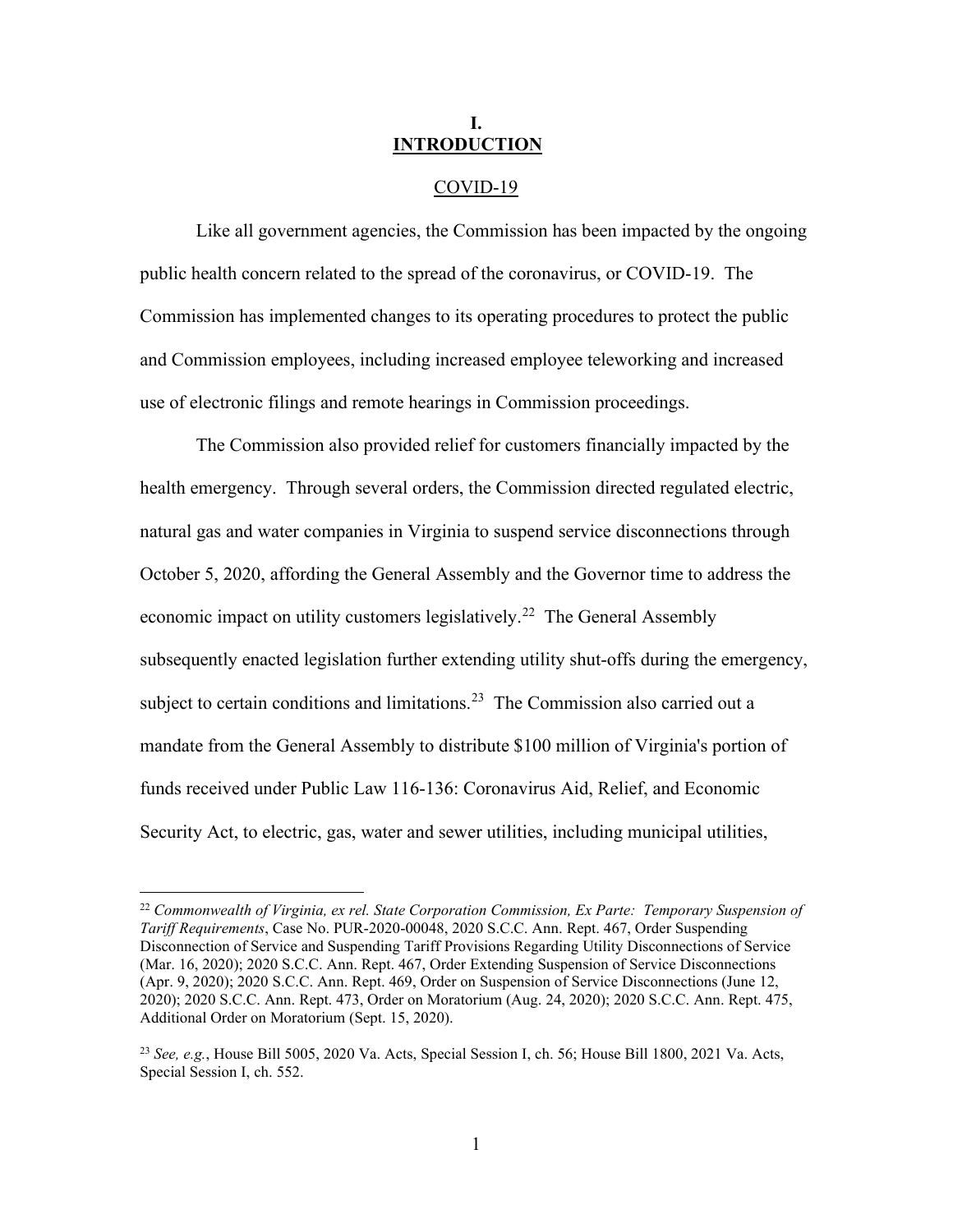## **I. INTRODUCTION**

### $COVID-19$

Like all government agencies, the Commission has been impacted by the ongoing public health concern related to the spread of the coronavirus, or COVID-19. The Commission has implemented changes to its operating procedures to protect the public and Commission employees, including increased employee teleworking and increased use of electronic filings and remote hearings in Commission proceedings.

The Commission also provided relief for customers financially impacted by the health emergency. Through several orders, the Commission directed regulated electric, natural gas and water companies in Virginia to suspend service disconnections through October 5, 2020, affording the General Assembly and the Governor time to address the economic impact on utility customers legislatively.<sup>22</sup> The General Assembly subsequently enacted legislation further extending utility shut-offs during the emergency, subject to certain conditions and limitations.<sup>[23](#page-8-1)</sup> The Commission also carried out a mandate from the General Assembly to distribute \$100 million of Virginia's portion of funds received under Public Law 116-136: Coronavirus Aid, Relief, and Economic Security Act, to electric, gas, water and sewer utilities, including municipal utilities,

<span id="page-8-0"></span><sup>22</sup> *Commonwealth of Virginia, ex rel. State Corporation Commission, Ex Parte: Temporary Suspension of Tariff Requirements*, Case No. PUR-2020-00048, 2020 S.C.C. Ann. Rept. 467, Order Suspending Disconnection of Service and Suspending Tariff Provisions Regarding Utility Disconnections of Service (Mar. 16, 2020); 2020 S.C.C. Ann. Rept. 467, Order Extending Suspension of Service Disconnections (Apr. 9, 2020); 2020 S.C.C. Ann. Rept. 469, Order on Suspension of Service Disconnections (June 12, 2020); 2020 S.C.C. Ann. Rept. 473, Order on Moratorium (Aug. 24, 2020); 2020 S.C.C. Ann. Rept. 475, Additional Order on Moratorium (Sept. 15, 2020).

<span id="page-8-1"></span><sup>23</sup> *See, e.g.*, House Bill 5005, 2020 Va. Acts, Special Session I, ch. 56; House Bill 1800, 2021 Va. Acts, Special Session I, ch. 552.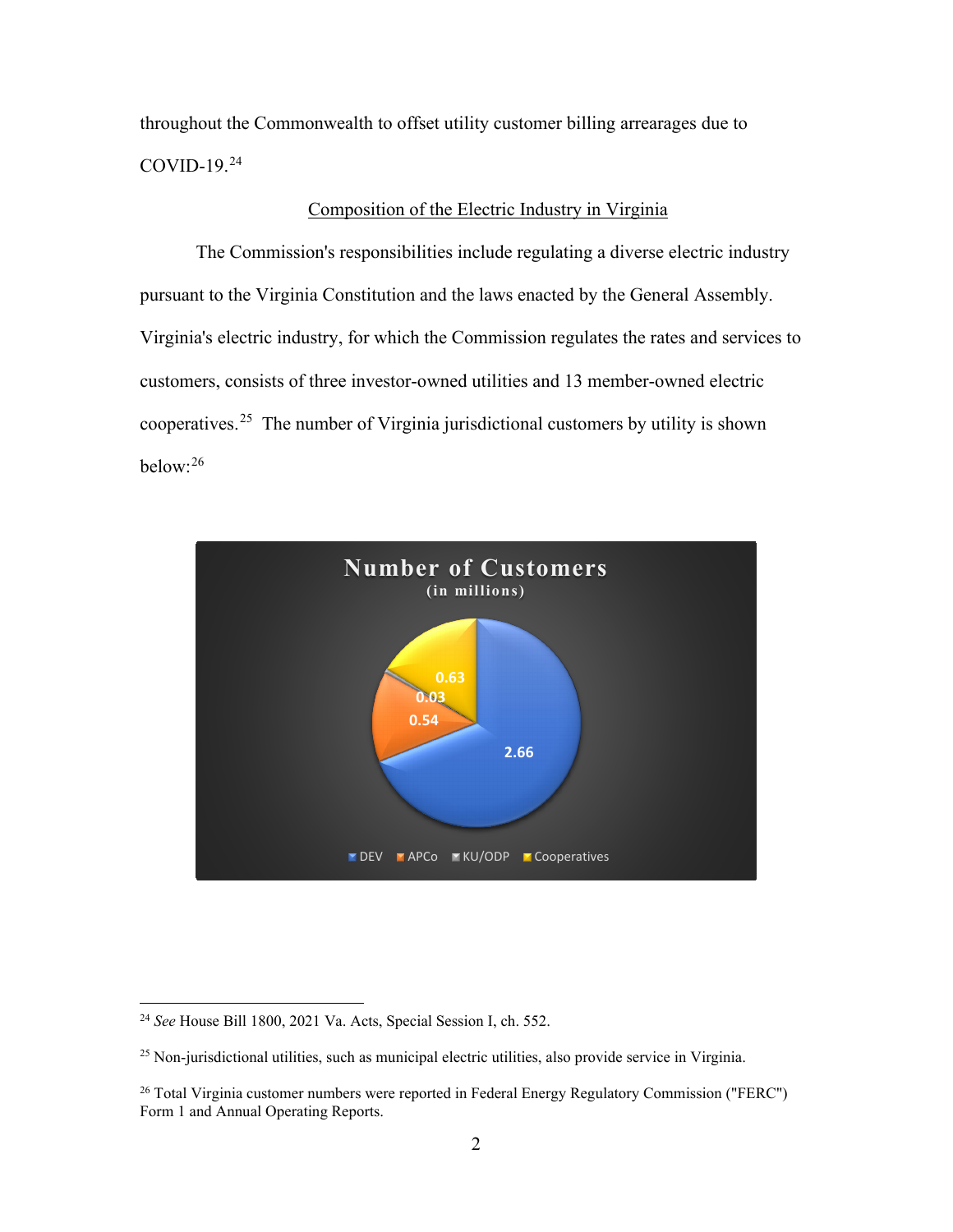throughout the Commonwealth to offset utility customer billing arrearages due to COVID-19.[24](#page-9-0)

# Composition of the Electric Industry in Virginia

The Commission's responsibilities include regulating a diverse electric industry pursuant to the Virginia Constitution and the laws enacted by the General Assembly. Virginia's electric industry, for which the Commission regulates the rates and services to customers, consists of three investor-owned utilities and 13 member-owned electric cooperatives. [25](#page-9-1) The number of Virginia jurisdictional customers by utility is shown below:[26](#page-9-2)



<span id="page-9-0"></span><sup>24</sup> *See* House Bill 1800, 2021 Va. Acts, Special Session I, ch. 552.

<span id="page-9-1"></span><sup>&</sup>lt;sup>25</sup> Non-jurisdictional utilities, such as municipal electric utilities, also provide service in Virginia.

<span id="page-9-2"></span><sup>&</sup>lt;sup>26</sup> Total Virginia customer numbers were reported in Federal Energy Regulatory Commission ("FERC") Form 1 and Annual Operating Reports.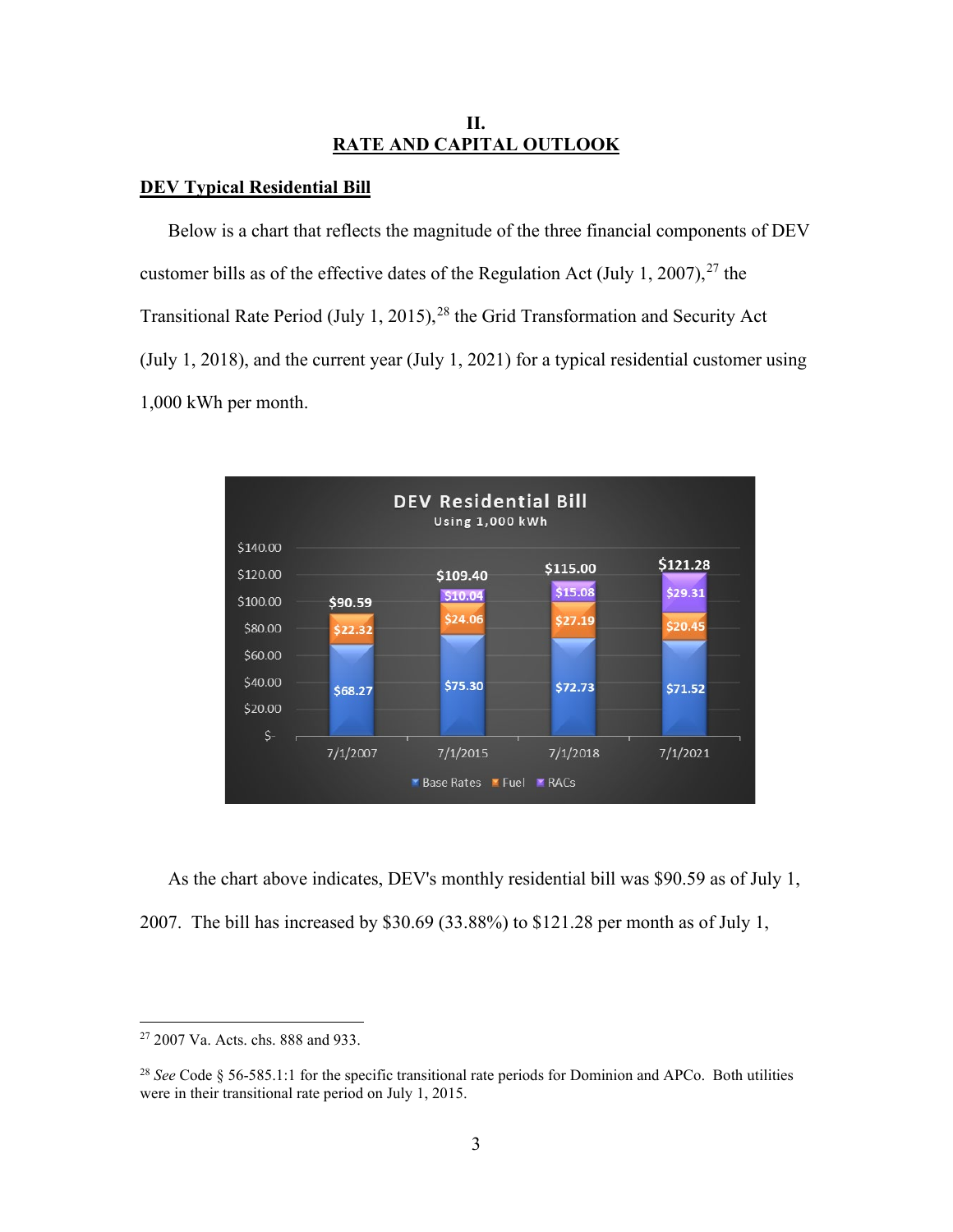### **II. RATE AND CAPITAL OUTLOOK**

#### **DEV Typical Residential Bill**

Below is a chart that reflects the magnitude of the three financial components of DEV customer bills as of the effective dates of the Regulation Act (July 1, 2007),<sup>[27](#page-10-0)</sup> the Transitional Rate Period (July 1, 2015),  $^{28}$  $^{28}$  $^{28}$  the Grid Transformation and Security Act (July 1, 2018), and the current year (July 1, 2021) for a typical residential customer using 1,000 kWh per month.



As the chart above indicates, DEV's monthly residential bill was \$90.59 as of July 1, 2007. The bill has increased by \$30.69 (33.88%) to \$121.28 per month as of July 1,

<span id="page-10-0"></span><sup>27</sup> 2007 Va. Acts. chs. 888 and 933.

<span id="page-10-1"></span><sup>28</sup> *See* Code § 56-585.1:1 for the specific transitional rate periods for Dominion and APCo. Both utilities were in their transitional rate period on July 1, 2015.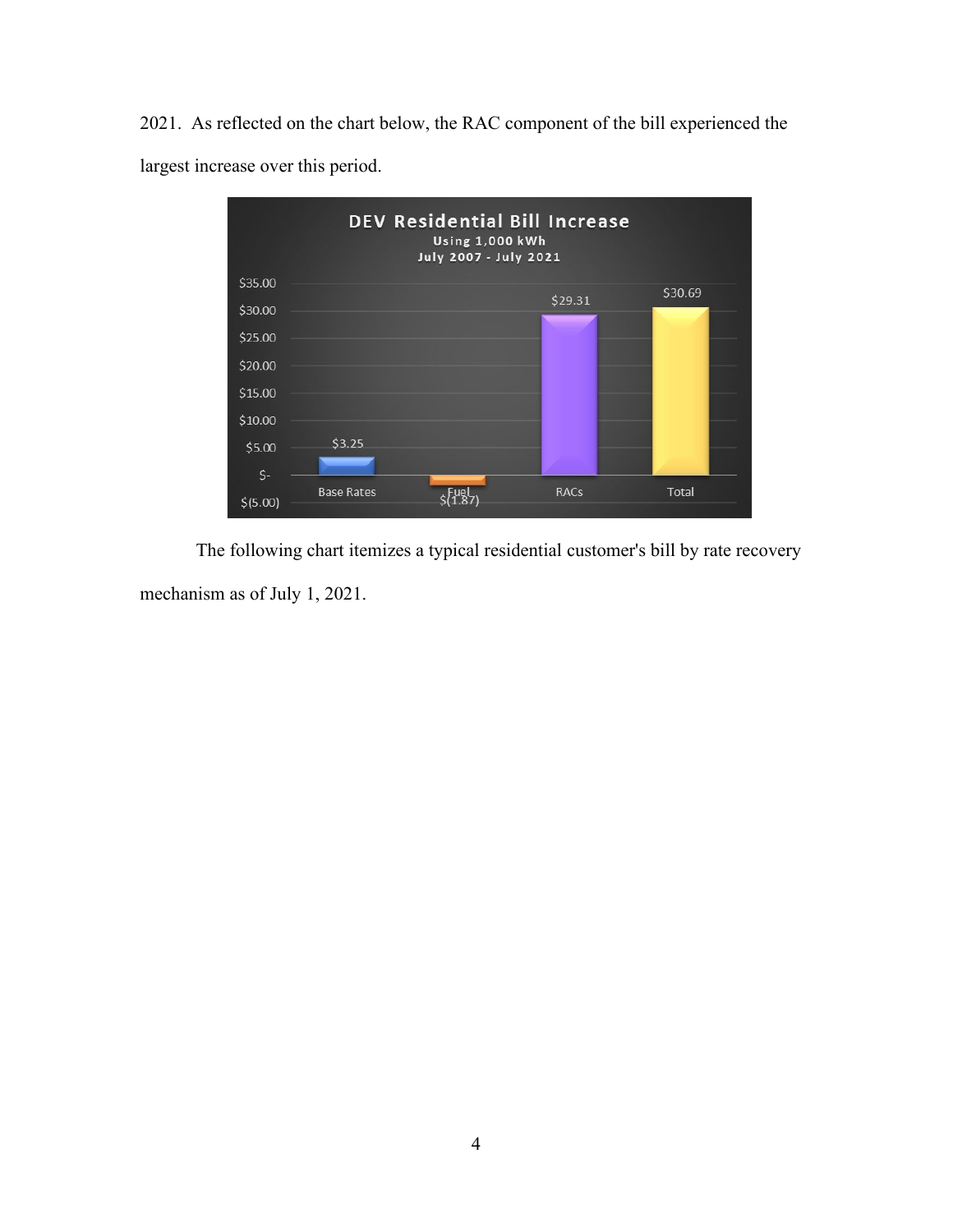2021. As reflected on the chart below, the RAC component of the bill experienced the largest increase over this period.



The following chart itemizes a typical residential customer's bill by rate recovery mechanism as of July 1, 2021.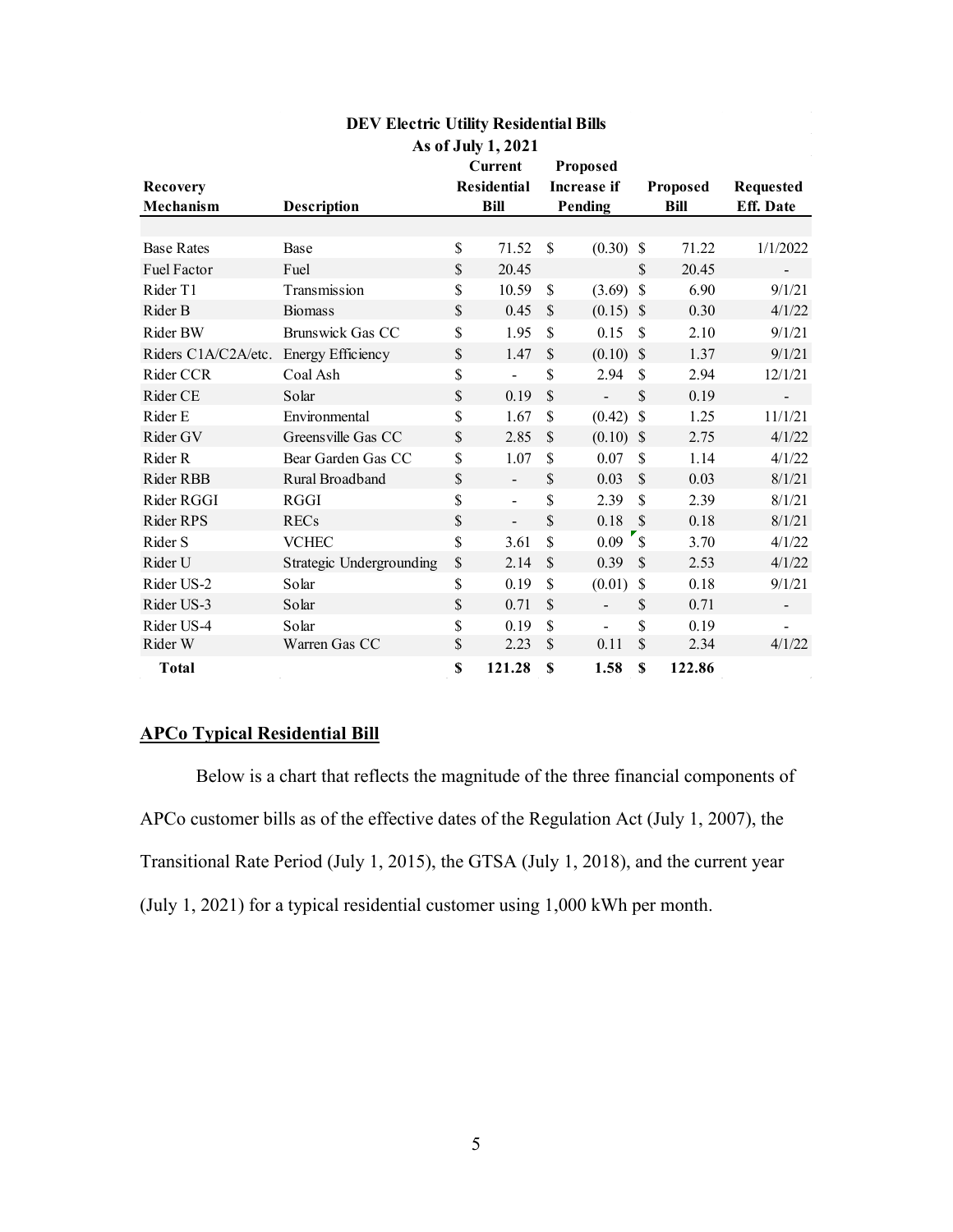|                     |                          | $110 \text{ }01 \text{ }0 \text{ }01 \text{ }11$ |              |                 |                         |          |                  |
|---------------------|--------------------------|--------------------------------------------------|--------------|-----------------|-------------------------|----------|------------------|
|                     |                          | <b>Current</b>                                   |              | <b>Proposed</b> |                         |          |                  |
| <b>Recovery</b>     |                          | <b>Residential</b>                               |              | Increase if     |                         | Proposed | <b>Requested</b> |
| Mechanism           | <b>Description</b>       | Bill                                             |              | Pending         |                         | Bill     | <b>Eff.</b> Date |
|                     |                          |                                                  |              |                 |                         |          |                  |
| <b>Base Rates</b>   | Base                     | \$<br>71.52                                      | \$           | $(0.30)$ \$     |                         | 71.22    | 1/1/2022         |
| <b>Fuel Factor</b>  | Fuel                     | \$<br>20.45                                      |              |                 | $\mathcal{S}$           | 20.45    |                  |
| Rider T1            | Transmission             | \$<br>10.59                                      | $\mathbb{S}$ | (3.69)          | $\mathcal{S}$           | 6.90     | 9/1/21           |
| Rider B             | <b>Biomass</b>           | \$<br>0.45                                       | S            | $(0.15)$ \$     |                         | 0.30     | 4/1/22           |
| Rider BW            | <b>Brunswick Gas CC</b>  | \$<br>1.95                                       | $\mathbf S$  | 0.15            | \$                      | 2.10     | 9/1/21           |
| Riders C1A/C2A/etc. | Energy Efficiency        | \$<br>1.47                                       | \$           | (0.10)          | $\mathcal{S}$           | 1.37     | 9/1/21           |
| Rider CCR           | Coal Ash                 | \$<br>$\blacksquare$                             | \$           | 2.94            | \$                      | 2.94     | 12/1/21          |
| Rider CE            | Solar                    | \$<br>0.19                                       | \$           |                 | \$                      | 0.19     |                  |
| Rider E             | Environmental            | \$<br>1.67                                       | \$           | (0.42)          | $\mathcal{S}$           | 1.25     | 11/1/21          |
| Rider GV            | Greensville Gas CC       | \$<br>2.85                                       | \$           | (0.10)          | $\mathcal{S}$           | 2.75     | 4/1/22           |
| Rider R             | Bear Garden Gas CC       | \$<br>1.07                                       | $\mathbb{S}$ | 0.07            | $\mathbb{S}$            | 1.14     | 4/1/22           |
| Rider RBB           | Rural Broadband          | \$<br>$\frac{1}{2}$                              | \$           | 0.03            | \$                      | 0.03     | 8/1/21           |
| Rider RGGI          | <b>RGGI</b>              | \$<br>$\overline{a}$                             | \$           | 2.39            | \$                      | 2.39     | 8/1/21           |
| Rider RPS           | <b>RECs</b>              | \$<br>$\frac{1}{2}$                              | \$           | 0.18            | \$                      | 0.18     | 8/1/21           |
| Rider S             | <b>VCHEC</b>             | \$<br>3.61                                       | \$           | 0.09            | $\overline{\mathbf{S}}$ | 3.70     | 4/1/22           |
| Rider U             | Strategic Undergrounding | \$<br>2.14                                       | \$           | 0.39            | \$                      | 2.53     | 4/1/22           |
| Rider US-2          | Solar                    | \$<br>0.19                                       | \$           | (0.01)          | \$                      | 0.18     | 9/1/21           |
| Rider US-3          | Solar                    | \$<br>0.71                                       | \$           | L.              | $\mathcal{S}$           | 0.71     |                  |
| Rider US-4          | Solar                    | \$<br>0.19                                       | \$           |                 | \$                      | 0.19     |                  |
| Rider W             | Warren Gas CC            | \$<br>2.23                                       | \$           | 0.11            | \$                      | 2.34     | 4/1/22           |
| <b>Total</b>        |                          | \$<br>121.28                                     | \$           | 1.58            | \$                      | 122.86   |                  |

#### **DEV Electric Utility Residential Bills As of July 1, 2021**

# **APCo Typical Residential Bill**

Below is a chart that reflects the magnitude of the three financial components of APCo customer bills as of the effective dates of the Regulation Act (July 1, 2007), the Transitional Rate Period (July 1, 2015), the GTSA (July 1, 2018), and the current year (July 1, 2021) for a typical residential customer using 1,000 kWh per month.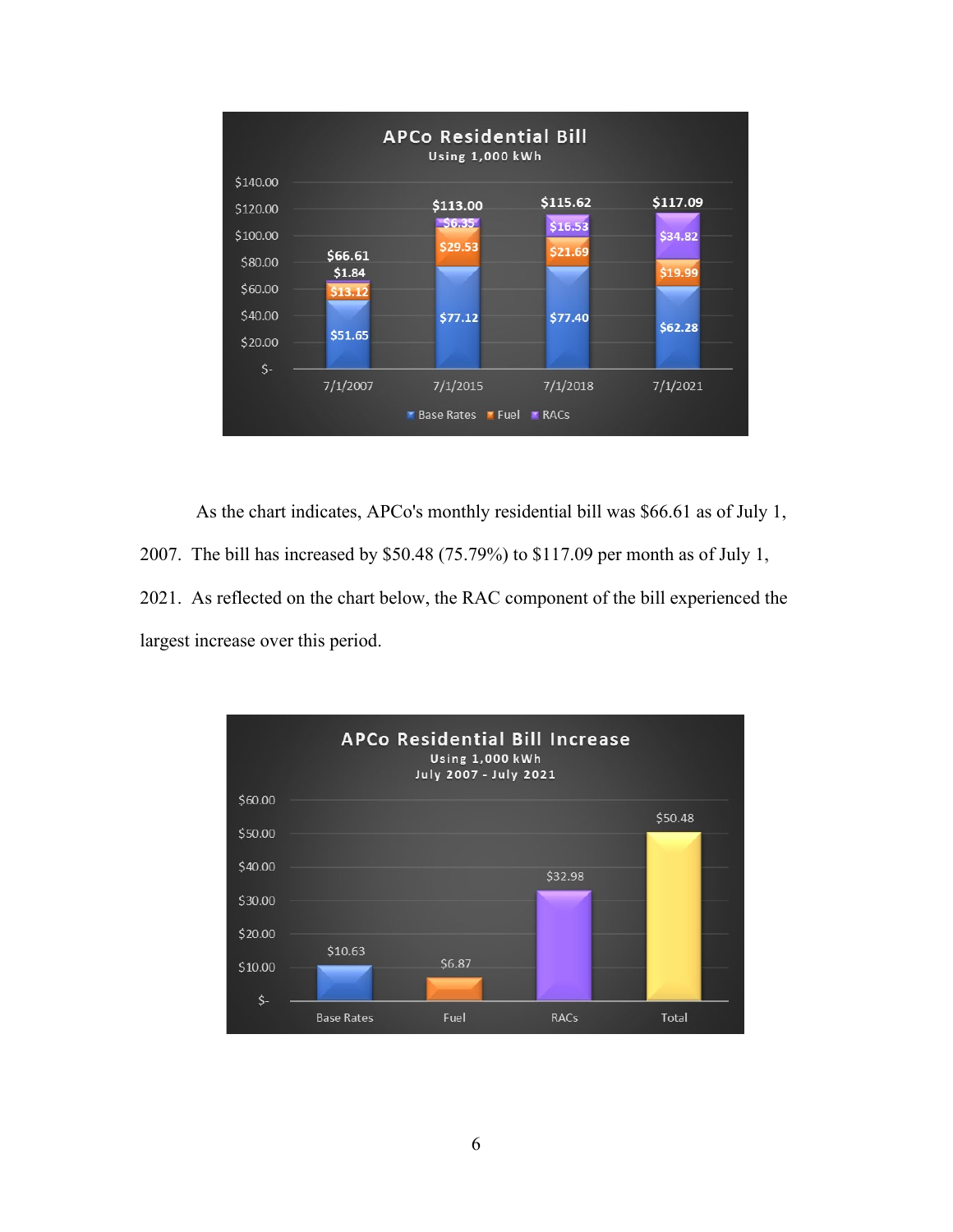

As the chart indicates, APCo's monthly residential bill was \$66.61 as of July 1, 2007. The bill has increased by \$50.48 (75.79%) to \$117.09 per month as of July 1, 2021. As reflected on the chart below, the RAC component of the bill experienced the largest increase over this period.

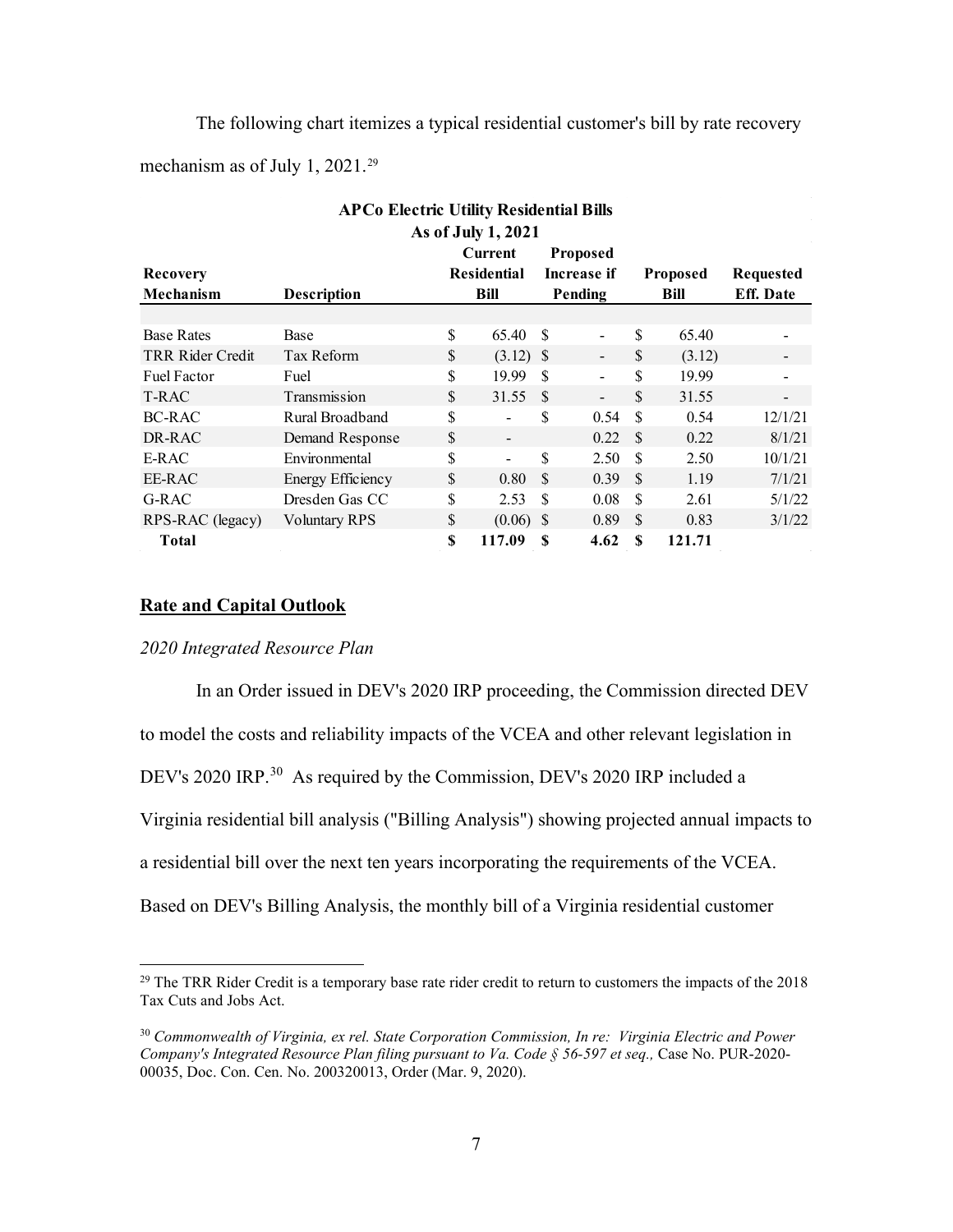The following chart itemizes a typical residential customer's bill by rate recovery

mechanism as of July 1, 2021.<sup>[29](#page-14-0)</sup>

| <b>APCo Electric Utility Residential Bills</b> |                            |    |                    |    |                          |               |                 |                  |  |
|------------------------------------------------|----------------------------|----|--------------------|----|--------------------------|---------------|-----------------|------------------|--|
|                                                | As of July 1, 2021         |    |                    |    |                          |               |                 |                  |  |
|                                                | Current<br><b>Proposed</b> |    |                    |    |                          |               |                 |                  |  |
| Recovery                                       |                            |    | <b>Residential</b> |    | Increase if              |               | <b>Proposed</b> | <b>Requested</b> |  |
| Mechanism                                      | <b>Description</b>         |    | Bill               |    | Pending                  |               | Bill            | <b>Eff.</b> Date |  |
|                                                |                            |    |                    |    |                          |               |                 |                  |  |
| <b>Base Rates</b>                              | Base                       | \$ | 65.40              | S  |                          | \$            | 65.40           |                  |  |
| TRR Rider Credit                               | Tax Reform                 | \$ | $(3.12)$ \$        |    | $\blacksquare$           | \$            | (3.12)          |                  |  |
| <b>Fuel Factor</b>                             | Fuel                       | \$ | 19.99              | \$ |                          | \$            | 19.99           |                  |  |
| T-RAC                                          | Transmission               | \$ | 31.55              | -S | $\overline{\phantom{a}}$ | \$            | 31.55           |                  |  |
| <b>BC-RAC</b>                                  | Rural Broadband            | \$ |                    | S  | 0.54                     | <sup>\$</sup> | 0.54            | 12/1/21          |  |
| DR-RAC                                         | Demand Response            | \$ |                    |    | 0.22                     | -S            | 0.22            | 8/1/21           |  |
| E-RAC                                          | Environmental              | \$ |                    | \$ | 2.50                     | \$.           | 2.50            | 10/1/21          |  |
| EE-RAC                                         | Energy Efficiency          | \$ | 0.80               | S  | 0.39                     | <sup>\$</sup> | 1.19            | 7/1/21           |  |
| $G-RAC$                                        | Dresden Gas CC             | \$ | 2.53               | \$ | 0.08                     | <sup>\$</sup> | 2.61            | 5/1/22           |  |
| RPS-RAC (legacy)                               | <b>Voluntary RPS</b>       | \$ | $(0.06)$ \$        |    | 0.89                     | <sup>\$</sup> | 0.83            | 3/1/22           |  |
| <b>Total</b>                                   |                            | \$ | 117.09             | \$ | 4.62                     | <b>S</b>      | 121.71          |                  |  |

#### **Rate and Capital Outlook**

#### *2020 Integrated Resource Plan*

In an Order issued in DEV's 2020 IRP proceeding, the Commission directed DEV to model the costs and reliability impacts of the VCEA and other relevant legislation in DEV's 2020 IRP.<sup>30</sup> As required by the Commission, DEV's 2020 IRP included a Virginia residential bill analysis ("Billing Analysis") showing projected annual impacts to a residential bill over the next ten years incorporating the requirements of the VCEA. Based on DEV's Billing Analysis, the monthly bill of a Virginia residential customer

<span id="page-14-0"></span><sup>&</sup>lt;sup>29</sup> The TRR Rider Credit is a temporary base rate rider credit to return to customers the impacts of the  $2018$ Tax Cuts and Jobs Act.

<span id="page-14-1"></span><sup>30</sup> *Commonwealth of Virginia, ex rel. State Corporation Commission, In re: Virginia Electric and Power Company's Integrated Resource Plan filing pursuant to Va. Code § 56-597 et seq.,* Case No. PUR-2020- 00035, Doc. Con. Cen. No. 200320013, Order (Mar. 9, 2020).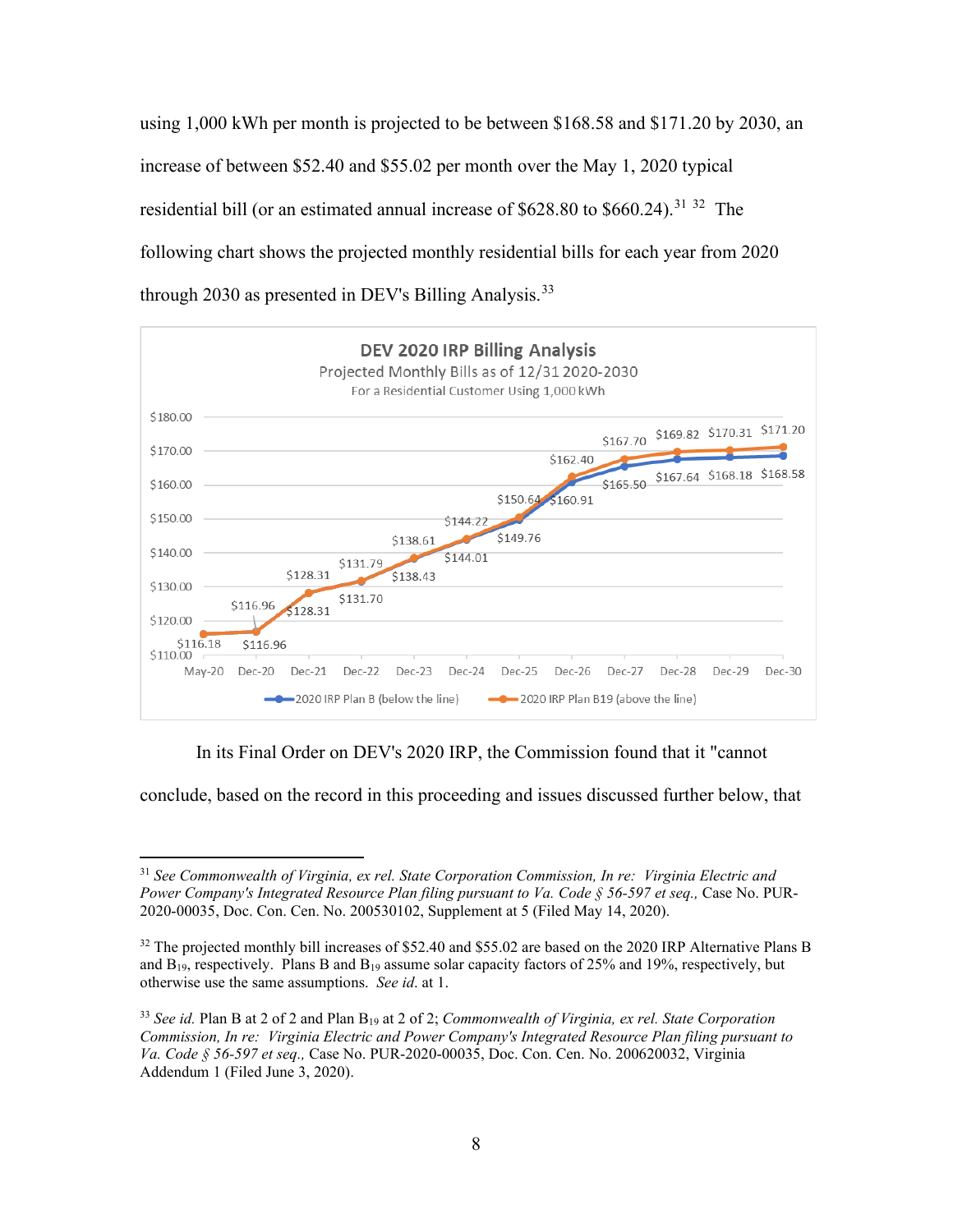using 1,000 kWh per month is projected to be between \$168.58 and \$171.20 by 2030, an increase of between \$52.40 and \$55.02 per month over the May 1, 2020 typical residential bill (or an estimated annual increase of \$628.80 to \$660.24).<sup>[31](#page-15-0) [32](#page-15-1)</sup> The following chart shows the projected monthly residential bills for each year from 2020 through 2030 as presented in DEV's Billing Analysis.<sup>[33](#page-15-2)</sup>



### In its Final Order on DEV's 2020 IRP, the Commission found that it "cannot

conclude, based on the record in this proceeding and issues discussed further below, that

<span id="page-15-0"></span><sup>31</sup> *See Commonwealth of Virginia, ex rel. State Corporation Commission, In re: Virginia Electric and Power Company's Integrated Resource Plan filing pursuant to Va. Code § 56-597 et seq.,* Case No. PUR-2020-00035, Doc. Con. Cen. No. 200530102, Supplement at 5 (Filed May 14, 2020).

<span id="page-15-1"></span> $32$  The projected monthly bill increases of \$52.40 and \$55.02 are based on the 2020 IRP Alternative Plans B and  $B_{19}$ , respectively. Plans B and  $B_{19}$  assume solar capacity factors of 25% and 19%, respectively, but otherwise use the same assumptions. *See id*. at 1.

<span id="page-15-2"></span><sup>33</sup> *See id.* Plan B at 2 of 2 and Plan B19 at 2 of 2; *Commonwealth of Virginia, ex rel. State Corporation Commission, In re: Virginia Electric and Power Company's Integrated Resource Plan filing pursuant to Va. Code § 56-597 et seq.,* Case No. PUR-2020-00035, Doc. Con. Cen. No. 200620032, Virginia Addendum 1 (Filed June 3, 2020).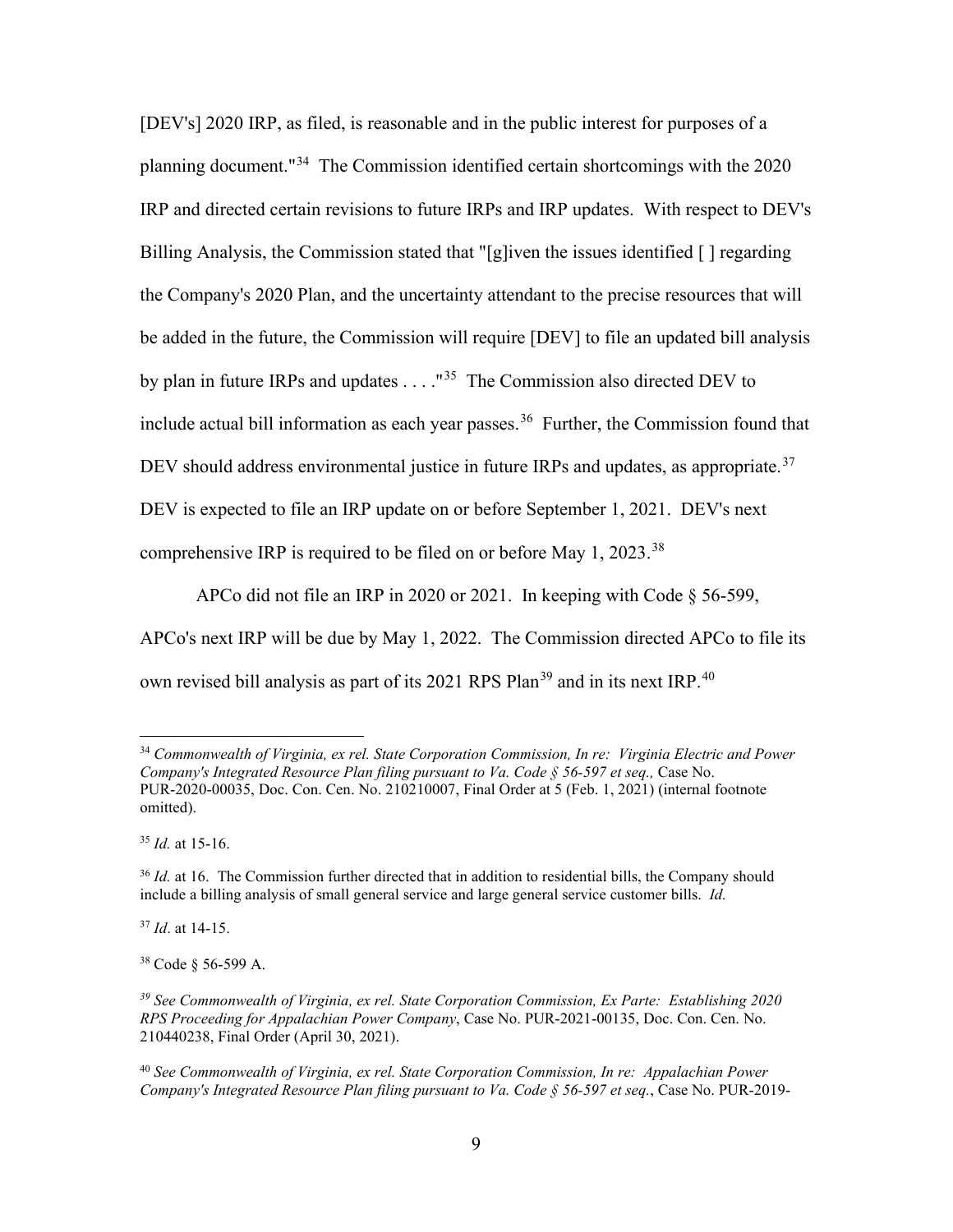[DEV's] 2020 IRP, as filed, is reasonable and in the public interest for purposes of a planning document."[34](#page-16-0) The Commission identified certain shortcomings with the 2020 IRP and directed certain revisions to future IRPs and IRP updates. With respect to DEV's Billing Analysis, the Commission stated that "[g]iven the issues identified [ ] regarding the Company's 2020 Plan, and the uncertainty attendant to the precise resources that will be added in the future, the Commission will require [DEV] to file an updated bill analysis by plan in future IRPs and updates  $\ldots$ . "<sup>35</sup> The Commission also directed DEV to include actual bill information as each year passes.<sup>36</sup> Further, the Commission found that DEV should address environmental justice in future IRPs and updates, as appropriate.  $37$ DEV is expected to file an IRP update on or before September 1, 2021. DEV's next comprehensive IRP is required to be filed on or before May  $1, 2023$ .<sup>[38](#page-16-4)</sup>

APCo did not file an IRP in 2020 or 2021. In keeping with Code § 56-599, APCo's next IRP will be due by May 1, 2022. The Commission directed APCo to file its own revised bill analysis as part of its 2021 RPS Plan<sup>[39](#page-16-5)</sup> and in its next IRP.<sup>[40](#page-16-6)</sup>

<span id="page-16-0"></span><sup>34</sup> *Commonwealth of Virginia, ex rel. State Corporation Commission, In re: Virginia Electric and Power Company's Integrated Resource Plan filing pursuant to Va. Code § 56-597 et seq.,* Case No. PUR-2020-00035, Doc. Con. Cen. No. 210210007, Final Order at 5 (Feb. 1, 2021) (internal footnote omitted).

<span id="page-16-1"></span><sup>35</sup> *Id.* at 15-16.

<span id="page-16-3"></span><sup>37</sup> *Id*. at 14-15.

<span id="page-16-4"></span><sup>38</sup> Code § 56-599 A.

<span id="page-16-2"></span><sup>&</sup>lt;sup>36</sup> *Id.* at 16. The Commission further directed that in addition to residential bills, the Company should include a billing analysis of small general service and large general service customer bills. *Id.*

<span id="page-16-5"></span>*<sup>39</sup> See Commonwealth of Virginia, ex rel. State Corporation Commission, Ex Parte: Establishing 2020 RPS Proceeding for Appalachian Power Company*, Case No. PUR-2021-00135, Doc. Con. Cen. No. 210440238, Final Order (April 30, 2021).

<span id="page-16-6"></span><sup>40</sup> *See Commonwealth of Virginia, ex rel. State Corporation Commission, In re: Appalachian Power Company's Integrated Resource Plan filing pursuant to Va. Code § 56-597 et seq.*, Case No. PUR-2019-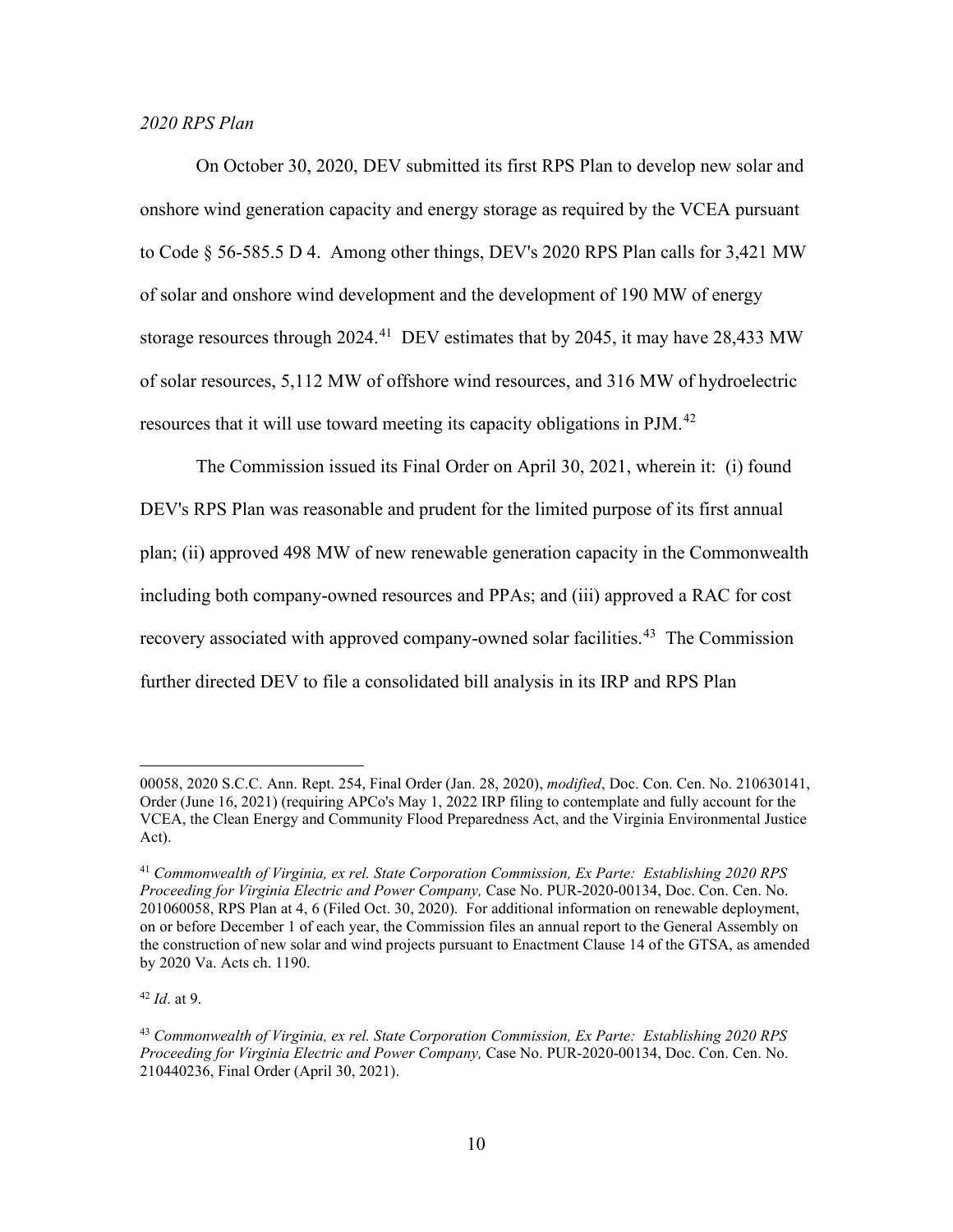### *2020 RPS Plan*

On October 30, 2020, DEV submitted its first RPS Plan to develop new solar and onshore wind generation capacity and energy storage as required by the VCEA pursuant to Code § 56-585.5 D 4. Among other things, DEV's 2020 RPS Plan calls for 3,421 MW of solar and onshore wind development and the development of 190 MW of energy storage resources through 2024.<sup>[41](#page-17-0)</sup> DEV estimates that by 2045, it may have 28,433 MW of solar resources, 5,112 MW of offshore wind resources, and 316 MW of hydroelectric resources that it will use toward meeting its capacity obligations in PJM.<sup>[42](#page-17-1)</sup>

The Commission issued its Final Order on April 30, 2021, wherein it: (i) found DEV's RPS Plan was reasonable and prudent for the limited purpose of its first annual plan; (ii) approved 498 MW of new renewable generation capacity in the Commonwealth including both company-owned resources and PPAs; and (iii) approved a RAC for cost recovery associated with approved company-owned solar facilities.<sup>[43](#page-17-2)</sup> The Commission further directed DEV to file a consolidated bill analysis in its IRP and RPS Plan

<span id="page-17-1"></span><sup>42</sup> *Id*. at 9.

<sup>00058, 2020</sup> S.C.C. Ann. Rept. 254, Final Order (Jan. 28, 2020), *modified*, Doc. Con. Cen. No. 210630141, Order (June 16, 2021) (requiring APCo's May 1, 2022 IRP filing to contemplate and fully account for the VCEA, the Clean Energy and Community Flood Preparedness Act, and the Virginia Environmental Justice Act).

<span id="page-17-0"></span><sup>41</sup> *Commonwealth of Virginia, ex rel. State Corporation Commission, Ex Parte: Establishing 2020 RPS Proceeding for Virginia Electric and Power Company,* Case No. PUR-2020-00134, Doc. Con. Cen. No. 201060058, RPS Plan at 4, 6 (Filed Oct. 30, 2020). For additional information on renewable deployment, on or before December 1 of each year, the Commission files an annual report to the General Assembly on the construction of new solar and wind projects pursuant to Enactment Clause 14 of the GTSA, as amended by 2020 Va. Acts ch. 1190.

<span id="page-17-2"></span><sup>43</sup> *Commonwealth of Virginia, ex rel. State Corporation Commission, Ex Parte: Establishing 2020 RPS Proceeding for Virginia Electric and Power Company,* Case No. PUR-2020-00134, Doc. Con. Cen. No. 210440236, Final Order (April 30, 2021).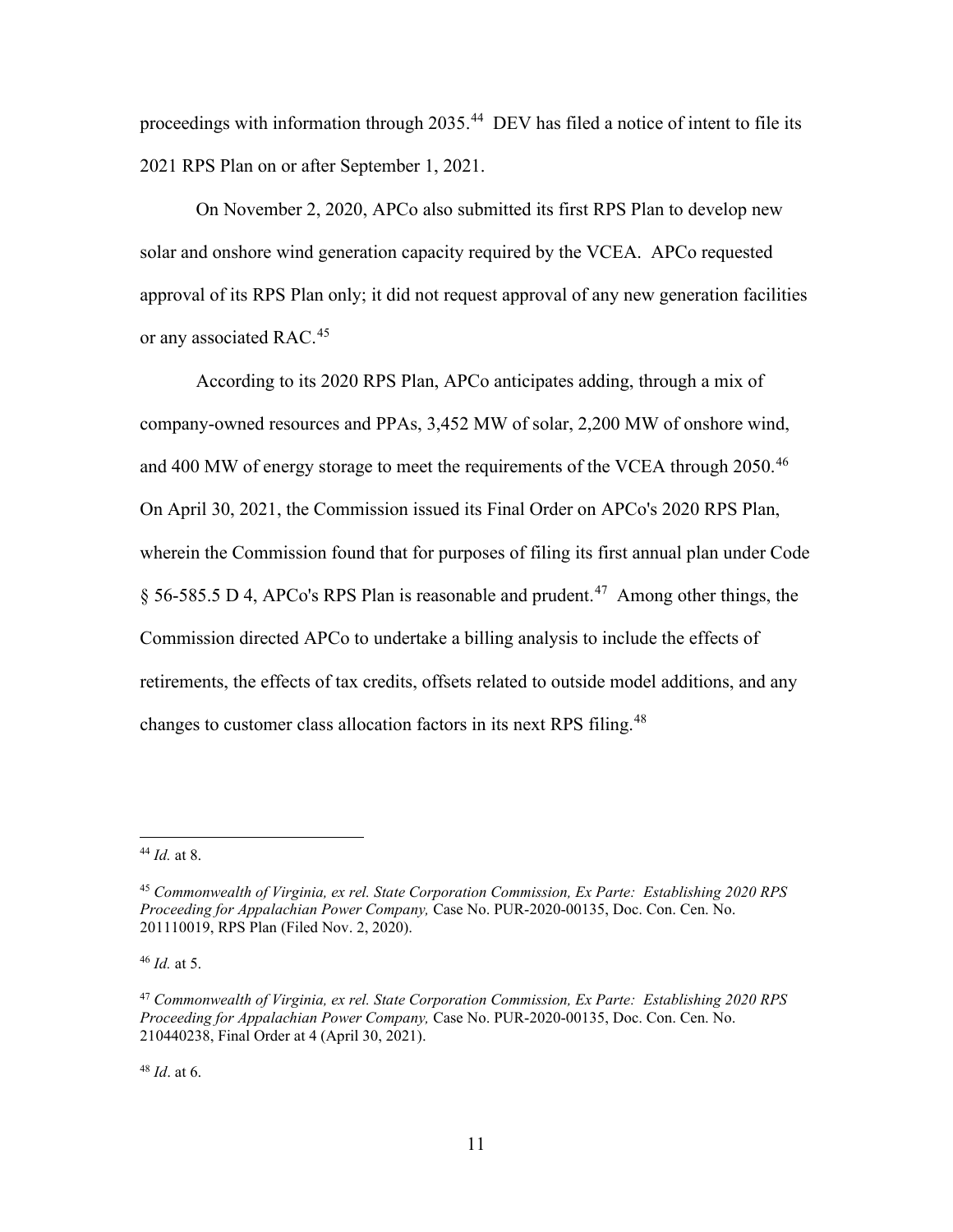proceedings with information through 2035.<sup>44</sup> DEV has filed a notice of intent to file its 2021 RPS Plan on or after September 1, 2021.

On November 2, 2020, APCo also submitted its first RPS Plan to develop new solar and onshore wind generation capacity required by the VCEA. APCo requested approval of its RPS Plan only; it did not request approval of any new generation facilities or any associated RAC.<sup>[45](#page-18-1)</sup>

According to its 2020 RPS Plan, APCo anticipates adding, through a mix of company-owned resources and PPAs, 3,452 MW of solar, 2,200 MW of onshore wind, and 400 MW of energy storage to meet the requirements of the VCEA through 2050.<sup>46</sup> On April 30, 2021, the Commission issued its Final Order on APCo's 2020 RPS Plan, wherein the Commission found that for purposes of filing its first annual plan under Code § 56-585.5 D 4, APCo's RPS Plan is reasonable and prudent.<sup>[47](#page-18-3)</sup> Among other things, the Commission directed APCo to undertake a billing analysis to include the effects of retirements, the effects of tax credits, offsets related to outside model additions, and any changes to customer class allocation factors in its next RPS filing.<sup>[48](#page-18-4)</sup>

<span id="page-18-2"></span><sup>46</sup> *Id.* at 5.

<span id="page-18-4"></span><sup>48</sup> *Id*. at 6.

<span id="page-18-0"></span><sup>44</sup> *Id.* at 8.

<span id="page-18-1"></span><sup>45</sup> *Commonwealth of Virginia, ex rel. State Corporation Commission, Ex Parte: Establishing 2020 RPS Proceeding for Appalachian Power Company,* Case No. PUR-2020-00135, Doc. Con. Cen. No. 201110019, RPS Plan (Filed Nov. 2, 2020).

<span id="page-18-3"></span><sup>47</sup> *Commonwealth of Virginia, ex rel. State Corporation Commission, Ex Parte: Establishing 2020 RPS Proceeding for Appalachian Power Company,* Case No. PUR-2020-00135, Doc. Con. Cen. No. 210440238, Final Order at 4 (April 30, 2021).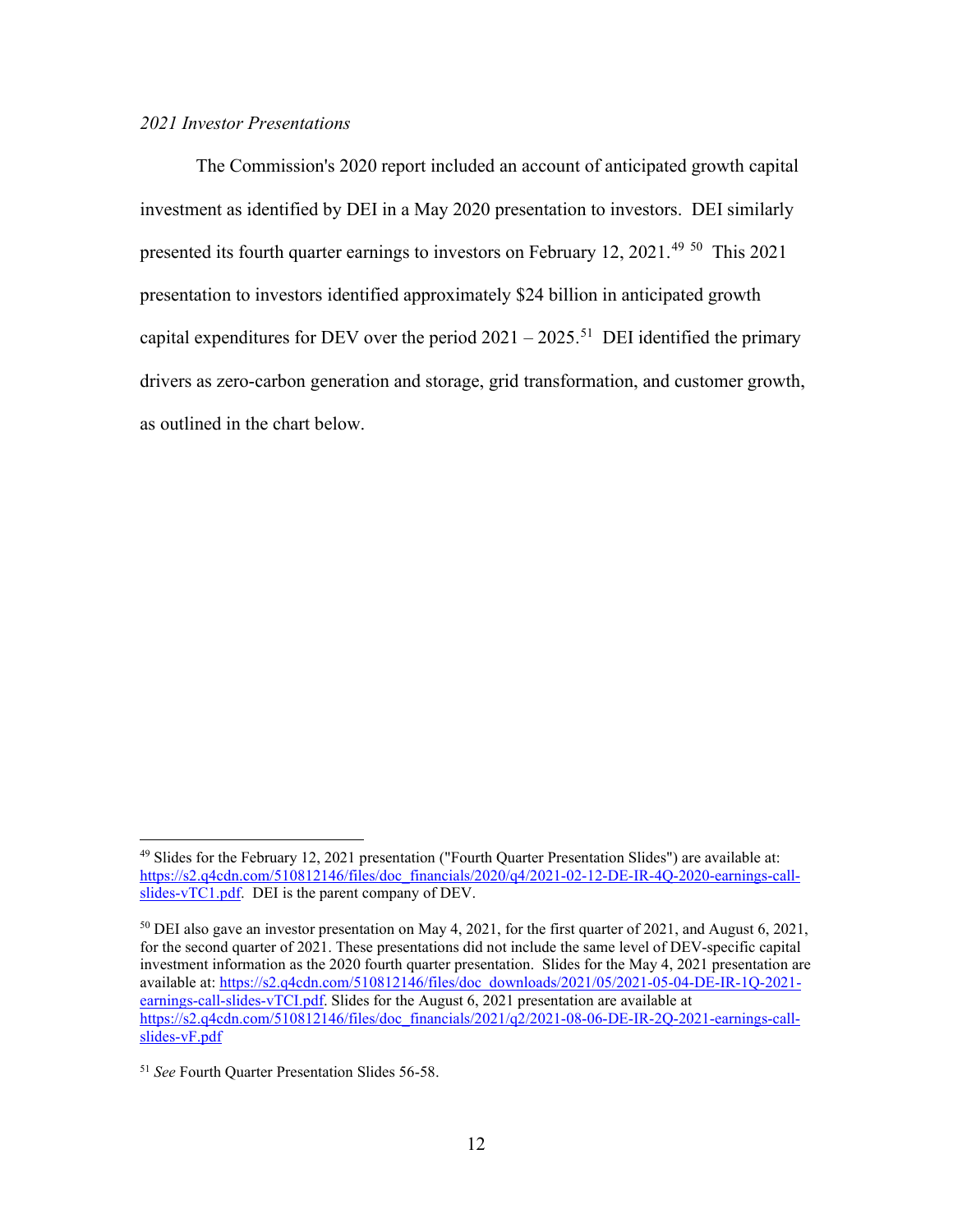### *2021 Investor Presentations*

The Commission's 2020 report included an account of anticipated growth capital investment as identified by DEI in a May 2020 presentation to investors. DEI similarly presented its fourth quarter earnings to investors on February 12, 2021.<sup>[49](#page-19-0) 50</sup> This 2021 presentation to investors identified approximately \$24 billion in anticipated growth capital expenditures for DEV over the period  $2021 - 2025$ .<sup>[51](#page-19-2)</sup> DEI identified the primary drivers as zero-carbon generation and storage, grid transformation, and customer growth, as outlined in the chart below.

<span id="page-19-0"></span> $49$  Slides for the February 12, 2021 presentation ("Fourth Quarter Presentation Slides") are available at: [https://s2.q4cdn.com/510812146/files/doc\\_financials/2020/q4/2021-02-12-DE-IR-4Q-2020-earnings-call](https://s2.q4cdn.com/510812146/files/doc_financials/2020/q4/2021-02-12-DE-IR-4Q-2020-earnings-call-slides-vTC1.pdf)[slides-vTC1.pdf.](https://s2.q4cdn.com/510812146/files/doc_financials/2020/q4/2021-02-12-DE-IR-4Q-2020-earnings-call-slides-vTC1.pdf) DEI is the parent company of DEV.

<span id="page-19-1"></span><sup>&</sup>lt;sup>50</sup> DEI also gave an investor presentation on May 4, 2021, for the first quarter of 2021, and August 6, 2021, for the second quarter of 2021. These presentations did not include the same level of DEV-specific capital investment information as the 2020 fourth quarter presentation. Slides for the May 4, 2021 presentation are available at: [https://s2.q4cdn.com/510812146/files/doc\\_downloads/2021/05/2021-05-04-DE-IR-1Q-2021](https://s2.q4cdn.com/510812146/files/doc_downloads/2021/05/2021-05-04-DE-IR-1Q-2021-earnings-call-slides-vTCI.pdf) [earnings-call-slides-vTCI.pdf.](https://s2.q4cdn.com/510812146/files/doc_downloads/2021/05/2021-05-04-DE-IR-1Q-2021-earnings-call-slides-vTCI.pdf) Slides for the August  $6, 2021$  presentation are available at [https://s2.q4cdn.com/510812146/files/doc\\_financials/2021/q2/2021-08-06-DE-IR-2Q-2021-earnings-call](https://s2.q4cdn.com/510812146/files/doc_financials/2021/q2/2021-08-06-DE-IR-2Q-2021-earnings-call-slides-vF.pdf)[slides-vF.pdf](https://s2.q4cdn.com/510812146/files/doc_financials/2021/q2/2021-08-06-DE-IR-2Q-2021-earnings-call-slides-vF.pdf)

<span id="page-19-2"></span><sup>51</sup> *See* Fourth Quarter Presentation Slides 56-58.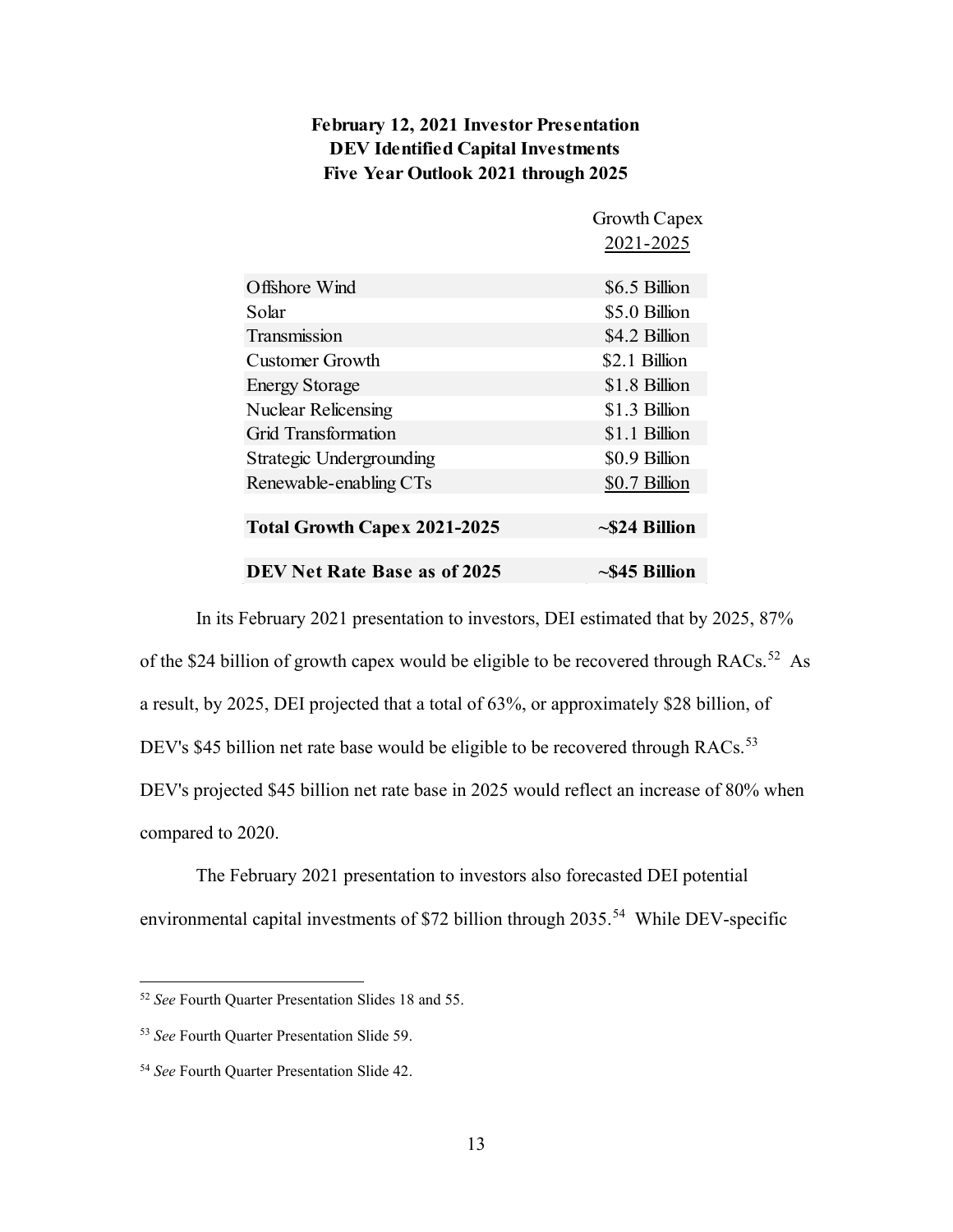# **February 12, 2021 Investor Presentation DEV Identified Capital Investments Five Year Outlook 2021 through 2025**

|                                     | Growth Capex        |
|-------------------------------------|---------------------|
|                                     | 2021-2025           |
|                                     |                     |
| Offshore Wind                       | \$6.5 Billion       |
| Solar                               | \$5.0 Billion       |
| Transmission                        | \$4.2 Billion       |
| Customer Growth                     | \$2.1 Billion       |
| <b>Energy Storage</b>               | \$1.8 Billion       |
| <b>Nuclear Relicensing</b>          | \$1.3 Billion       |
| <b>Grid Transformation</b>          | \$1.1 Billion       |
| Strategic Undergrounding            | \$0.9 Billion       |
| Renewable-enabling CTs              | \$0.7 Billion       |
|                                     |                     |
| <b>Total Growth Capex 2021-2025</b> | $\sim$ \$24 Billion |
|                                     |                     |
| <b>DEV Net Rate Base as of 2025</b> | $\sim$ \$45 Billion |

In its February 2021 presentation to investors, DEI estimated that by 2025, 87% of the \$24 billion of growth capex would be eligible to be recovered through RACs.<sup>52</sup> As a result, by 2025, DEI projected that a total of 63%, or approximately \$28 billion, of DEV's \$45 billion net rate base would be eligible to be recovered through RACs.<sup>[53](#page-20-1)</sup> DEV's projected \$45 billion net rate base in 2025 would reflect an increase of 80% when compared to 2020.

The February 2021 presentation to investors also forecasted DEI potential environmental capital investments of  $$72$  billion through 2035.<sup>[54](#page-20-2)</sup> While DEV-specific

<span id="page-20-0"></span><sup>52</sup> *See* Fourth Quarter Presentation Slides 18 and 55.

<span id="page-20-1"></span><sup>53</sup> *See* Fourth Quarter Presentation Slide 59.

<span id="page-20-2"></span><sup>54</sup> *See* Fourth Quarter Presentation Slide 42.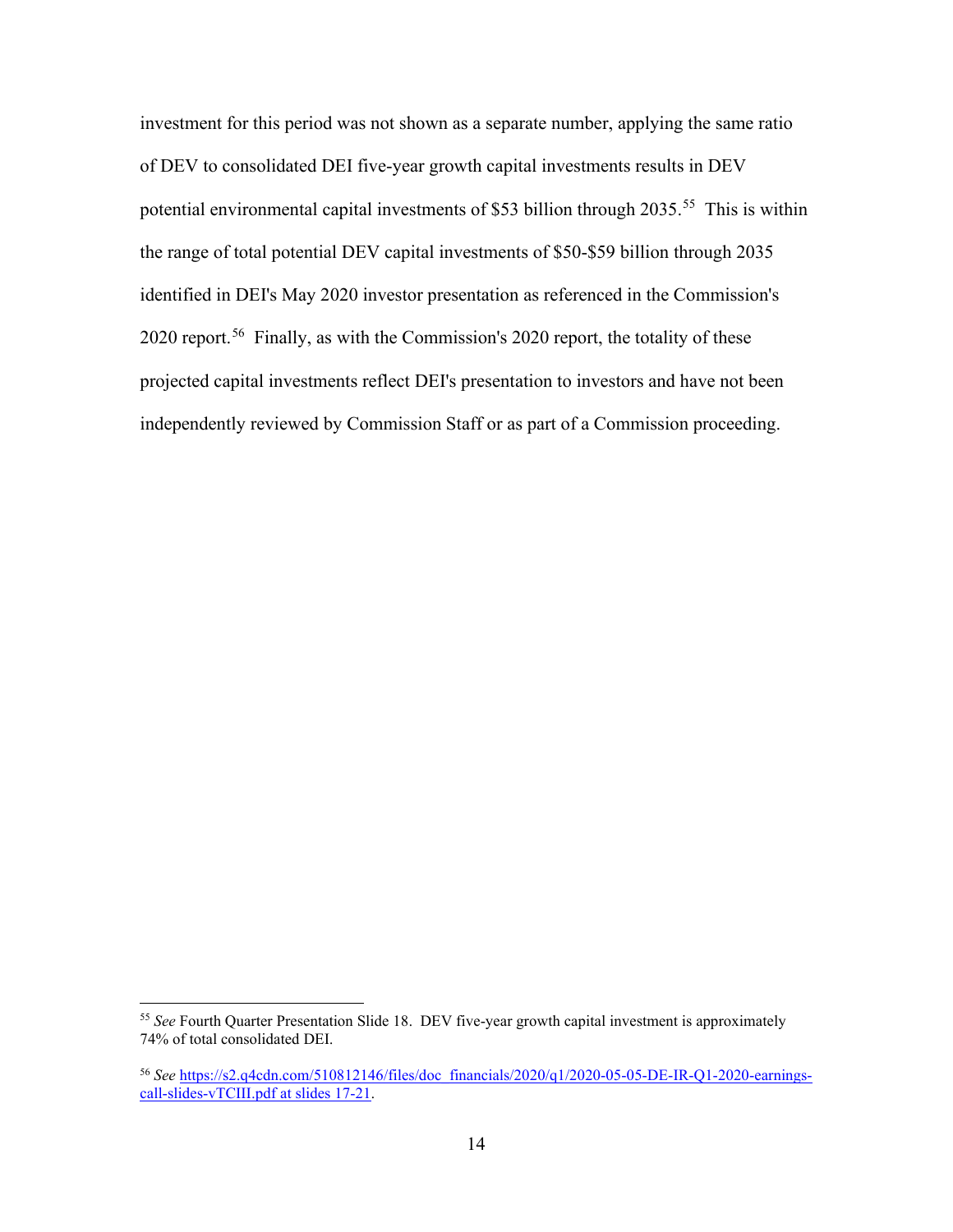investment for this period was not shown as a separate number, applying the same ratio of DEV to consolidated DEI five-year growth capital investments results in DEV potential environmental capital investments of \$53 billion through 2035.<sup>[55](#page-21-0)</sup> This is within the range of total potential DEV capital investments of \$50-\$59 billion through 2035 identified in DEI's May 2020 investor presentation as referenced in the Commission's 2020 report.<sup>[56](#page-21-1)</sup> Finally, as with the Commission's 2020 report, the totality of these projected capital investments reflect DEI's presentation to investors and have not been independently reviewed by Commission Staff or as part of a Commission proceeding.

<span id="page-21-0"></span><sup>55</sup> *See* Fourth Quarter Presentation Slide 18. DEV five-year growth capital investment is approximately 74% of total consolidated DEI.

<span id="page-21-1"></span><sup>56</sup> *See* [https://s2.q4cdn.com/510812146/files/doc\\_financials/2020/q1/2020-05-05-DE-IR-Q1-2020-earnings](https://s2.q4cdn.com/510812146/files/doc_financials/2020/q1/2020-05-05-DE-IR-Q1-2020-earnings-call-slides-vTCIII.pdf%20at%20slides%2017-21)[call-slides-vTCIII.pdf](https://s2.q4cdn.com/510812146/files/doc_financials/2020/q1/2020-05-05-DE-IR-Q1-2020-earnings-call-slides-vTCIII.pdf%20at%20slides%2017-21) at slides 17-21.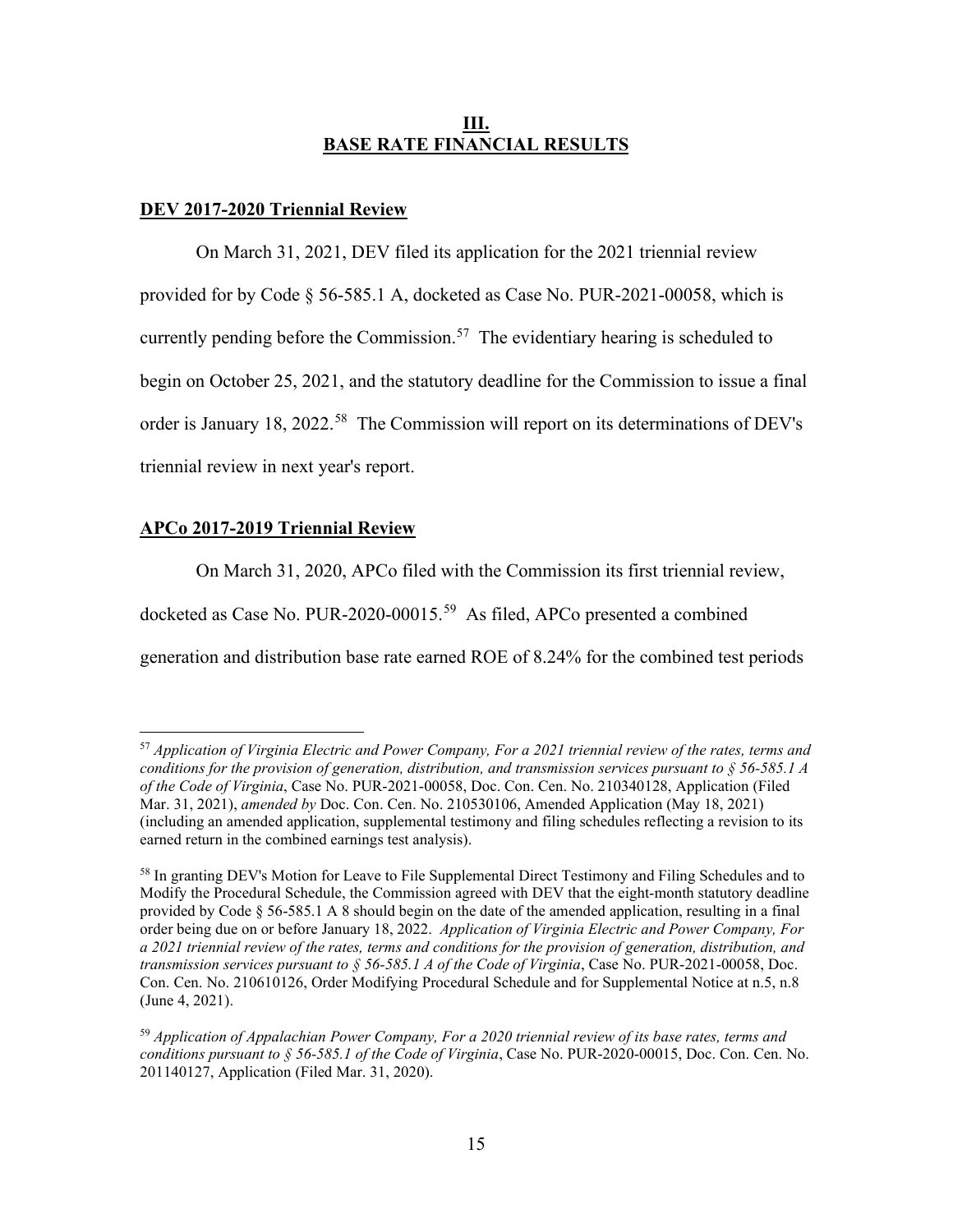## **III. BASE RATE FINANCIAL RESULTS**

### **DEV 2017-2020 Triennial Review**

On March 31, 2021, DEV filed its application for the 2021 triennial review provided for by Code § 56-585.1 A, docketed as Case No. PUR-2021-00058, which is currently pending before the Commission.<sup>[57](#page-22-0)</sup> The evidentiary hearing is scheduled to begin on October 25, 2021, and the statutory deadline for the Commission to issue a final order is January 18, 2022.<sup>[58](#page-22-1)</sup> The Commission will report on its determinations of DEV's triennial review in next year's report.

### **APCo 2017-2019 Triennial Review**

On March 31, 2020, APCo filed with the Commission its first triennial review,

docketed as Case No. PUR-2020-00015. [59](#page-22-2) As filed, APCo presented a combined

generation and distribution base rate earned ROE of 8.24% for the combined test periods

<span id="page-22-0"></span><sup>57</sup> *Application of Virginia Electric and Power Company, For a 2021 triennial review of the rates, terms and conditions for the provision of generation, distribution, and transmission services pursuant to § 56-585.1 A of the Code of Virginia*, Case No. PUR-2021-00058, Doc. Con. Cen. No. 210340128, Application (Filed Mar. 31, 2021), *amended by* Doc. Con. Cen. No. 210530106, Amended Application (May 18, 2021) (including an amended application, supplemental testimony and filing schedules reflecting a revision to its earned return in the combined earnings test analysis).

<span id="page-22-1"></span><sup>&</sup>lt;sup>58</sup> In granting DEV's Motion for Leave to File Supplemental Direct Testimony and Filing Schedules and to Modify the Procedural Schedule, the Commission agreed with DEV that the eight-month statutory deadline provided by Code § 56-585.1 A 8 should begin on the date of the amended application, resulting in a final order being due on or before January 18, 2022. *Application of Virginia Electric and Power Company, For a 2021 triennial review of the rates, terms and conditions for the provision of generation, distribution, and transmission services pursuant to § 56-585.1 A of the Code of Virginia*, Case No. PUR-2021-00058, Doc. Con. Cen. No. 210610126, Order Modifying Procedural Schedule and for Supplemental Notice at n.5, n.8 (June 4, 2021).

<span id="page-22-2"></span><sup>59</sup> *Application of Appalachian Power Company, For a 2020 triennial review of its base rates, terms and conditions pursuant to § 56-585.1 of the Code of Virginia*, Case No. PUR-2020-00015, Doc. Con. Cen. No. 201140127, Application (Filed Mar. 31, 2020).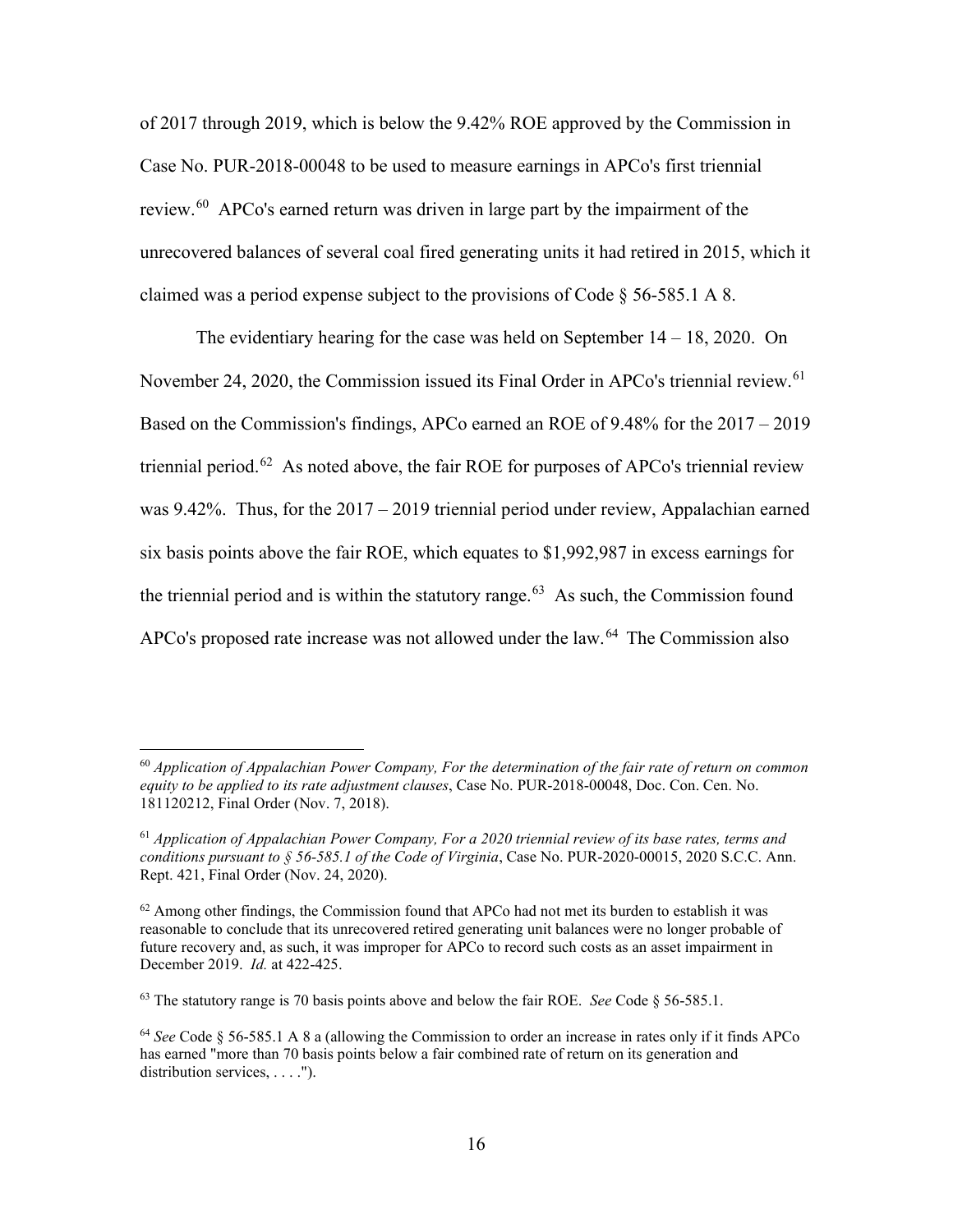of 2017 through 2019, which is below the 9.42% ROE approved by the Commission in Case No. PUR-2018-00048 to be used to measure earnings in APCo's first triennial review.<sup>[60](#page-23-0)</sup> APCo's earned return was driven in large part by the impairment of the unrecovered balances of several coal fired generating units it had retired in 2015, which it claimed was a period expense subject to the provisions of Code  $\S 56-585.1$  A 8.

The evidentiary hearing for the case was held on September  $14 - 18$ , 2020. On November 24, 2020, the Commission issued its Final Order in APCo's triennial review.<sup>61</sup> Based on the Commission's findings, APCo earned an ROE of 9.48% for the 2017 – 2019 triennial period.<sup>[62](#page-23-2)</sup> As noted above, the fair ROE for purposes of APCo's triennial review was 9.42%. Thus, for the 2017 – 2019 triennial period under review, Appalachian earned six basis points above the fair ROE, which equates to \$1,992,987 in excess earnings for the triennial period and is within the statutory range. [63](#page-23-3) As such, the Commission found APCo's proposed rate increase was not allowed under the law.<sup>[64](#page-23-4)</sup> The Commission also

<span id="page-23-0"></span><sup>60</sup> *Application of Appalachian Power Company, For the determination of the fair rate of return on common equity to be applied to its rate adjustment clauses*, Case No. PUR-2018-00048, Doc. Con. Cen. No. 181120212, Final Order (Nov. 7, 2018).

<span id="page-23-1"></span><sup>61</sup> *Application of Appalachian Power Company, For a 2020 triennial review of its base rates, terms and conditions pursuant to § 56-585.1 of the Code of Virginia*, Case No. PUR-2020-00015, 2020 S.C.C. Ann. Rept. 421, Final Order (Nov. 24, 2020).

<span id="page-23-2"></span> $62$  Among other findings, the Commission found that APCo had not met its burden to establish it was reasonable to conclude that its unrecovered retired generating unit balances were no longer probable of future recovery and, as such, it was improper for APCo to record such costs as an asset impairment in December 2019. *Id.* at 422-425.

<span id="page-23-3"></span><sup>63</sup> The statutory range is 70 basis points above and below the fair ROE. *See* Code § 56-585.1.

<span id="page-23-4"></span><sup>64</sup> *See* Code § 56-585.1 A 8 a (allowing the Commission to order an increase in rates only if it finds APCo has earned "more than 70 basis points below a fair combined rate of return on its generation and distribution services, . . . .").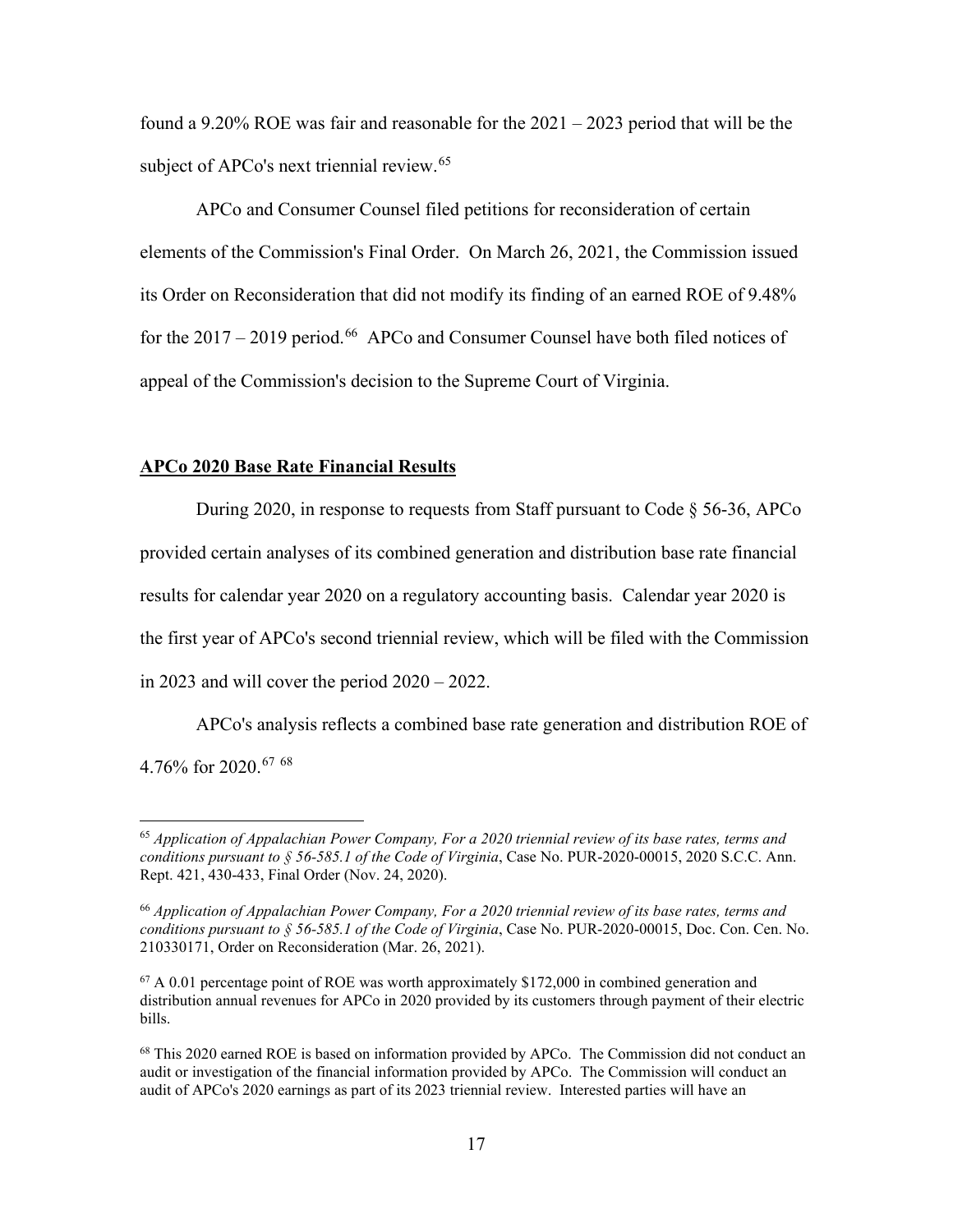found a 9.20% ROE was fair and reasonable for the 2021 – 2023 period that will be the subject of APCo's next triennial review.<sup>[65](#page-24-0)</sup>

APCo and Consumer Counsel filed petitions for reconsideration of certain elements of the Commission's Final Order. On March 26, 2021, the Commission issued its Order on Reconsideration that did not modify its finding of an earned ROE of 9.48% for the 2017 – 2019 period.<sup>66</sup> APCo and Consumer Counsel have both filed notices of appeal of the Commission's decision to the Supreme Court of Virginia.

#### **APCo 2020 Base Rate Financial Results**

During 2020, in response to requests from Staff pursuant to Code § 56-36, APCo provided certain analyses of its combined generation and distribution base rate financial results for calendar year 2020 on a regulatory accounting basis. Calendar year 2020 is the first year of APCo's second triennial review, which will be filed with the Commission in 2023 and will cover the period 2020 – 2022.

APCo's analysis reflects a combined base rate generation and distribution ROE of 4.76% for 2020.[67](#page-24-2) [68](#page-24-3)

<span id="page-24-0"></span><sup>65</sup> *Application of Appalachian Power Company, For a 2020 triennial review of its base rates, terms and conditions pursuant to § 56-585.1 of the Code of Virginia*, Case No. PUR-2020-00015, 2020 S.C.C. Ann. Rept. 421, 430-433, Final Order (Nov. 24, 2020).

<span id="page-24-1"></span><sup>66</sup> *Application of Appalachian Power Company, For a 2020 triennial review of its base rates, terms and conditions pursuant to § 56-585.1 of the Code of Virginia*, Case No. PUR-2020-00015, Doc. Con. Cen. No. 210330171, Order on Reconsideration (Mar. 26, 2021).

<span id="page-24-2"></span> $67$  A 0.01 percentage point of ROE was worth approximately \$172,000 in combined generation and distribution annual revenues for APCo in 2020 provided by its customers through payment of their electric bills.

<span id="page-24-3"></span><sup>&</sup>lt;sup>68</sup> This 2020 earned ROE is based on information provided by APCo. The Commission did not conduct an audit or investigation of the financial information provided by APCo. The Commission will conduct an audit of APCo's 2020 earnings as part of its 2023 triennial review. Interested parties will have an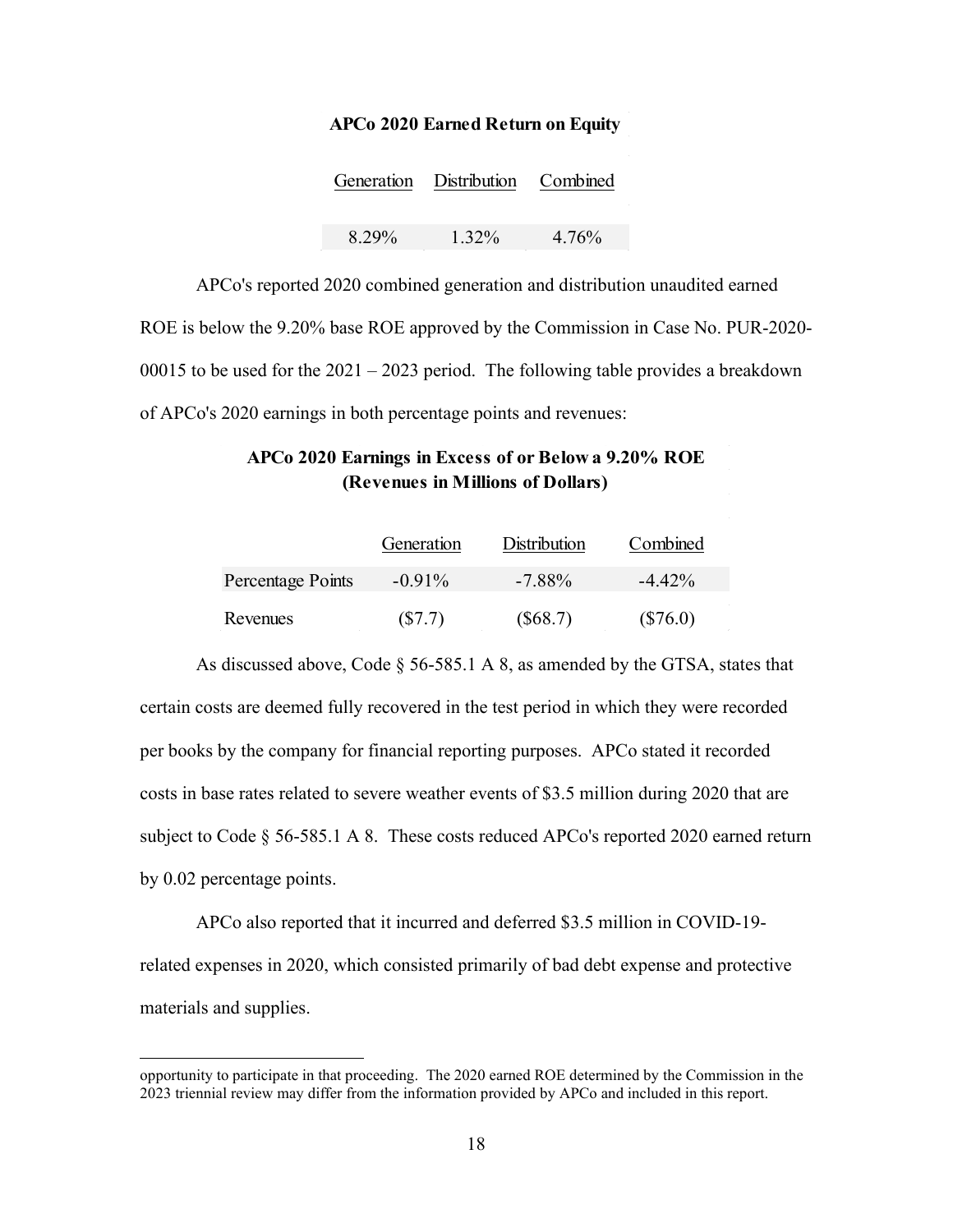|       | Generation Distribution Combined |       |
|-------|----------------------------------|-------|
| 8.29% | $1.32\%$                         | 4.76% |

**APCo 2020 Earned Return on Equity**

APCo's reported 2020 combined generation and distribution unaudited earned

ROE is below the 9.20% base ROE approved by the Commission in Case No. PUR-2020- 00015 to be used for the  $2021 - 2023$  period. The following table provides a breakdown

of APCo's 2020 earnings in both percentage points and revenues:

# **APCo 2020 Earnings in Excess of or Below a 9.20% ROE (Revenues in Millions of Dollars)**

|                   | Generation | Distribution | Combined   |
|-------------------|------------|--------------|------------|
| Percentage Points | $-0.91\%$  | $-7.88\%$    | $-4.42\%$  |
| Revenues          | (S7.7)     | $(\$68.7)$   | $(\$76.0)$ |

As discussed above, Code § 56-585.1 A 8, as amended by the GTSA, states that certain costs are deemed fully recovered in the test period in which they were recorded per books by the company for financial reporting purposes. APCo stated it recorded costs in base rates related to severe weather events of \$3.5 million during 2020 that are subject to Code § 56-585.1 A 8. These costs reduced APCo's reported 2020 earned return by 0.02 percentage points.

APCo also reported that it incurred and deferred \$3.5 million in COVID-19 related expenses in 2020, which consisted primarily of bad debt expense and protective materials and supplies.

opportunity to participate in that proceeding. The 2020 earned ROE determined by the Commission in the 2023 triennial review may differ from the information provided by APCo and included in this report.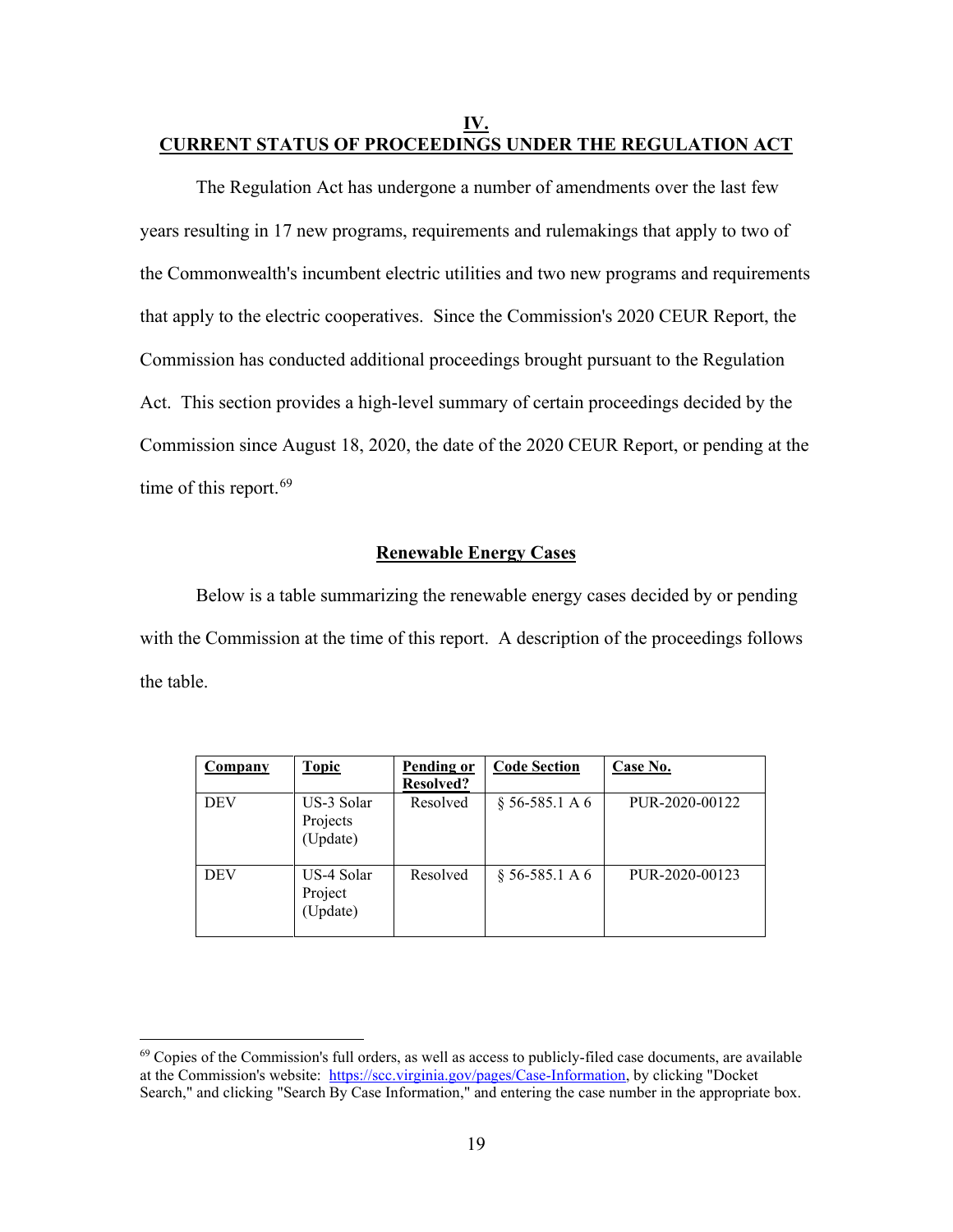### **IV. CURRENT STATUS OF PROCEEDINGS UNDER THE REGULATION ACT**

The Regulation Act has undergone a number of amendments over the last few years resulting in 17 new programs, requirements and rulemakings that apply to two of the Commonwealth's incumbent electric utilities and two new programs and requirements that apply to the electric cooperatives. Since the Commission's 2020 CEUR Report, the Commission has conducted additional proceedings brought pursuant to the Regulation Act. This section provides a high-level summary of certain proceedings decided by the Commission since August 18, 2020, the date of the 2020 CEUR Report, or pending at the time of this report.  $69$ 

#### **Renewable Energy Cases**

Below is a table summarizing the renewable energy cases decided by or pending with the Commission at the time of this report. A description of the proceedings follows the table.

| <u>Company</u> | <b>Topic</b>                       | Pending or<br><b>Resolved?</b> | <b>Code Section</b> | Case No.       |
|----------------|------------------------------------|--------------------------------|---------------------|----------------|
| <b>DEV</b>     | US-3 Solar<br>Projects<br>(Update) | Resolved                       | $§ 56-585.1 A6$     | PUR-2020-00122 |
| <b>DEV</b>     | US-4 Solar<br>Project<br>(Update)  | Resolved                       | $§ 56-585.1 A6$     | PUR-2020-00123 |

<span id="page-26-0"></span> $69$  Copies of the Commission's full orders, as well as access to publicly-filed case documents, are available at the Commission's website: [https://scc.virginia.gov/pages/Case-Information,](https://scc.virginia.gov/pages/Case-Information) by clicking "Docket Search," and clicking "Search By Case Information," and entering the case number in the appropriate box.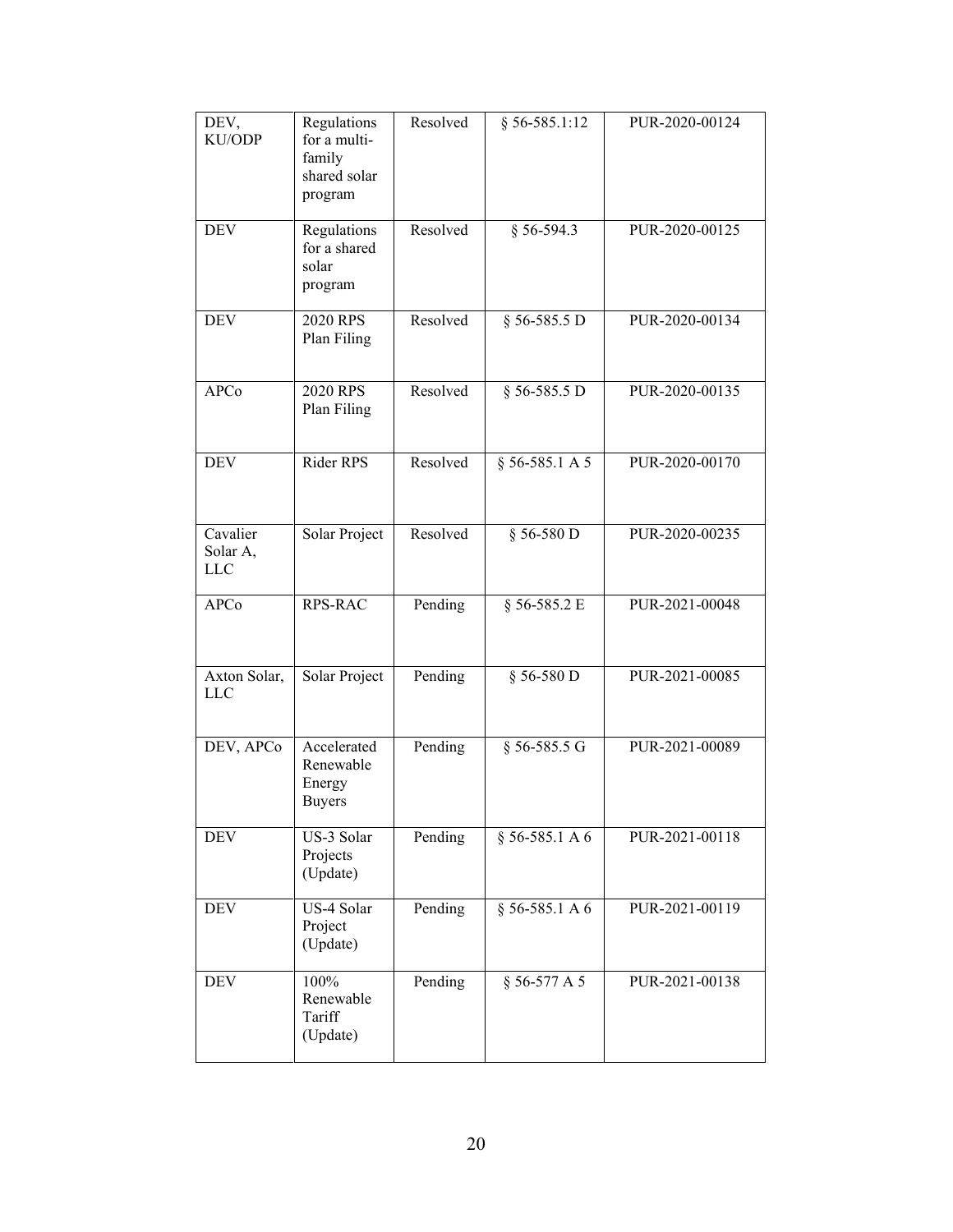| DEV,<br><b>KU/ODP</b>       | Regulations<br>for a multi-<br>family<br>shared solar<br>program | Resolved | $§ 56-585.1:12$  | PUR-2020-00124 |
|-----------------------------|------------------------------------------------------------------|----------|------------------|----------------|
| <b>DEV</b>                  | Regulations<br>for a shared<br>solar<br>program                  | Resolved | $§ 56-594.3$     | PUR-2020-00125 |
| <b>DEV</b>                  | <b>2020 RPS</b><br>Plan Filing                                   | Resolved | § 56-585.5 D     | PUR-2020-00134 |
| <b>APCo</b>                 | 2020 RPS<br>Plan Filing                                          | Resolved | § 56-585.5 D     | PUR-2020-00135 |
| <b>DEV</b>                  | Rider RPS                                                        | Resolved | § 56-585.1 A 5   | PUR-2020-00170 |
| Cavalier<br>Solar A,<br>LLC | Solar Project                                                    | Resolved | § 56-580 D       | PUR-2020-00235 |
| <b>APCo</b>                 | RPS-RAC                                                          | Pending  | § 56-585.2 E     | PUR-2021-00048 |
| Axton Solar,<br><b>LLC</b>  | Solar Project                                                    | Pending  | § 56-580 D       | PUR-2021-00085 |
| DEV, APCo                   | Accelerated<br>Renewable<br>Energy<br><b>Buyers</b>              | Pending  | § 56-585.5 G     | PUR-2021-00089 |
| <b>DEV</b>                  | US-3 Solar<br>Projects<br>(Update)                               | Pending  | $§ 56-585.1 A6$  | PUR-2021-00118 |
| <b>DEV</b>                  | US-4 Solar<br>Project<br>(Update)                                | Pending  | $§$ 56-585.1 A 6 | PUR-2021-00119 |
| <b>DEV</b>                  | 100%<br>Renewable<br>Tariff<br>(Update)                          | Pending  | § 56-577 A 5     | PUR-2021-00138 |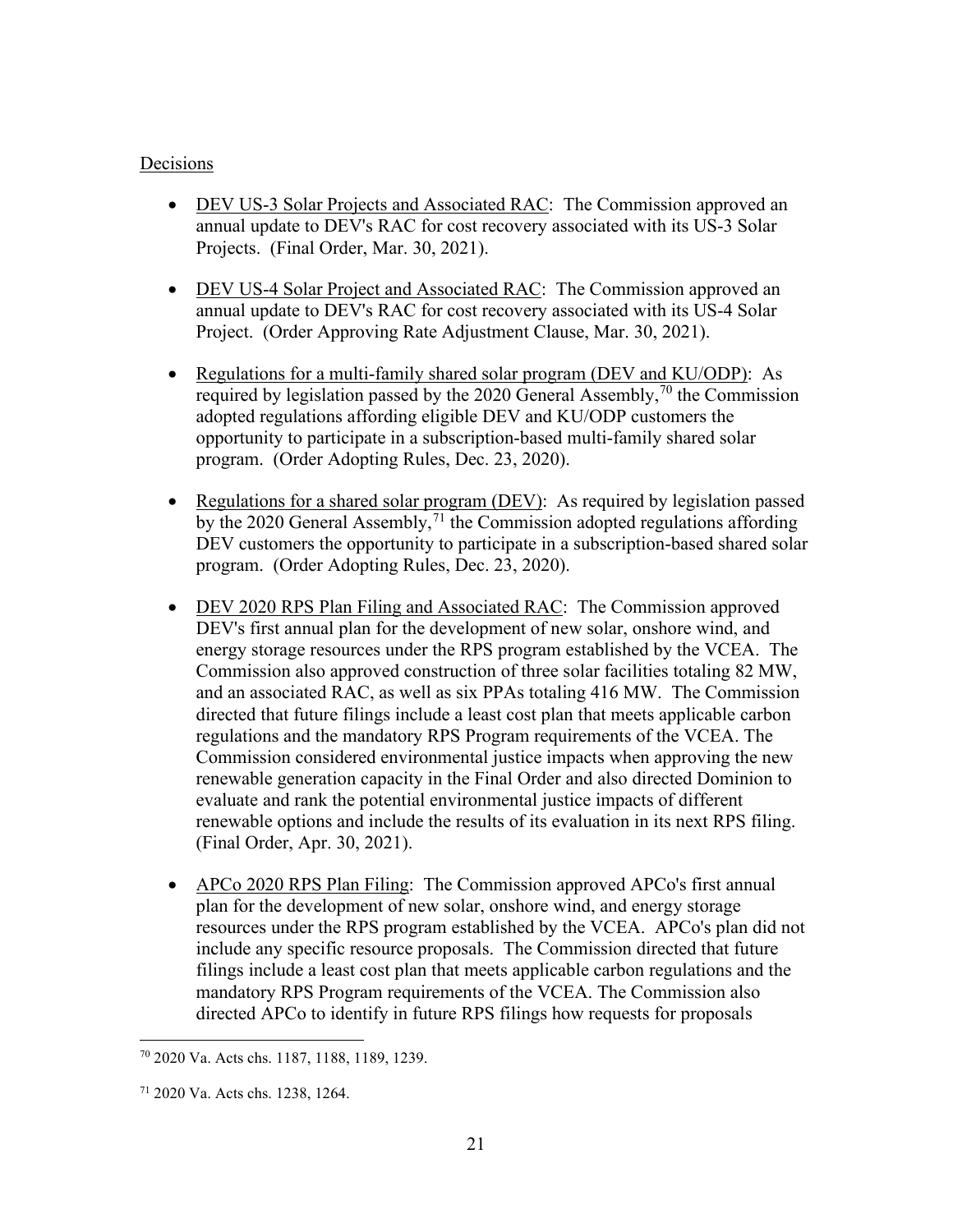- DEV US-3 Solar Projects and Associated RAC: The Commission approved an annual update to DEV's RAC for cost recovery associated with its US-3 Solar Projects. (Final Order, Mar. 30, 2021).
- DEV US-4 Solar Project and Associated RAC: The Commission approved an annual update to DEV's RAC for cost recovery associated with its US-4 Solar Project. (Order Approving Rate Adjustment Clause, Mar. 30, 2021).
- Regulations for a multi-family shared solar program (DEV and KU/ODP): As required by legislation passed by the 2020 General Assembly,  $\frac{70}{10}$  $\frac{70}{10}$  $\frac{70}{10}$  the Commission adopted regulations affording eligible DEV and KU/ODP customers the opportunity to participate in a subscription-based multi-family shared solar program. (Order Adopting Rules, Dec. 23, 2020).
- Regulations for a shared solar program (DEV): As required by legislation passed by the 2020 General Assembly,  $\frac{71}{1}$  $\frac{71}{1}$  $\frac{71}{1}$  the Commission adopted regulations affording DEV customers the opportunity to participate in a subscription-based shared solar program. (Order Adopting Rules, Dec. 23, 2020).
- DEV 2020 RPS Plan Filing and Associated RAC: The Commission approved DEV's first annual plan for the development of new solar, onshore wind, and energy storage resources under the RPS program established by the VCEA. The Commission also approved construction of three solar facilities totaling 82 MW, and an associated RAC, as well as six PPAs totaling 416 MW. The Commission directed that future filings include a least cost plan that meets applicable carbon regulations and the mandatory RPS Program requirements of the VCEA. The Commission considered environmental justice impacts when approving the new renewable generation capacity in the Final Order and also directed Dominion to evaluate and rank the potential environmental justice impacts of different renewable options and include the results of its evaluation in its next RPS filing. (Final Order, Apr. 30, 2021).
- APCo 2020 RPS Plan Filing: The Commission approved APCo's first annual plan for the development of new solar, onshore wind, and energy storage resources under the RPS program established by the VCEA. APCo's plan did not include any specific resource proposals. The Commission directed that future filings include a least cost plan that meets applicable carbon regulations and the mandatory RPS Program requirements of the VCEA. The Commission also directed APCo to identify in future RPS filings how requests for proposals

<span id="page-28-0"></span><sup>70</sup> 2020 Va. Acts chs. 1187, 1188, 1189, 1239.

<span id="page-28-1"></span><sup>71</sup> 2020 Va. Acts chs. 1238, 1264.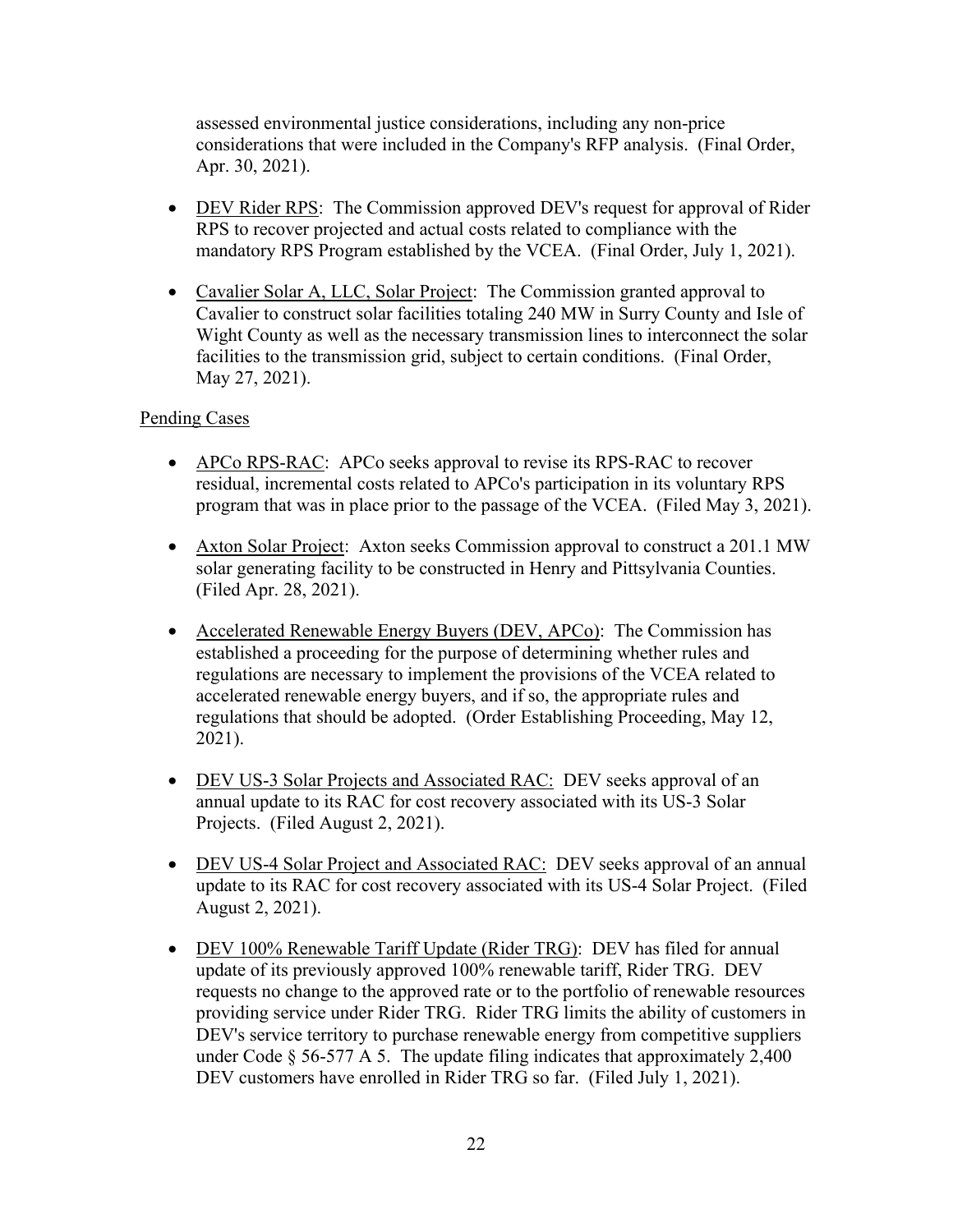assessed environmental justice considerations, including any non-price considerations that were included in the Company's RFP analysis. (Final Order, Apr. 30, 2021).

- DEV Rider RPS: The Commission approved DEV's request for approval of Rider RPS to recover projected and actual costs related to compliance with the mandatory RPS Program established by the VCEA. (Final Order, July 1, 2021).
- Cavalier Solar A, LLC, Solar Project: The Commission granted approval to Cavalier to construct solar facilities totaling 240 MW in Surry County and Isle of Wight County as well as the necessary transmission lines to interconnect the solar facilities to the transmission grid, subject to certain conditions. (Final Order, May 27, 2021).

# Pending Cases

- APCo RPS-RAC: APCo seeks approval to revise its RPS-RAC to recover residual, incremental costs related to APCo's participation in its voluntary RPS program that was in place prior to the passage of the VCEA. (Filed May 3, 2021).
- Axton Solar Project: Axton seeks Commission approval to construct a 201.1 MW solar generating facility to be constructed in Henry and Pittsylvania Counties. (Filed Apr. 28, 2021).
- Accelerated Renewable Energy Buyers (DEV, APCo): The Commission has established a proceeding for the purpose of determining whether rules and regulations are necessary to implement the provisions of the VCEA related to accelerated renewable energy buyers, and if so, the appropriate rules and regulations that should be adopted. (Order Establishing Proceeding, May 12, 2021).
- DEV US-3 Solar Projects and Associated RAC: DEV seeks approval of an annual update to its RAC for cost recovery associated with its US-3 Solar Projects. (Filed August 2, 2021).
- DEV US-4 Solar Project and Associated RAC: DEV seeks approval of an annual update to its RAC for cost recovery associated with its US-4 Solar Project. (Filed August 2, 2021).
- DEV 100% Renewable Tariff Update (Rider TRG): DEV has filed for annual update of its previously approved 100% renewable tariff, Rider TRG. DEV requests no change to the approved rate or to the portfolio of renewable resources providing service under Rider TRG. Rider TRG limits the ability of customers in DEV's service territory to purchase renewable energy from competitive suppliers under Code  $\S$  56-577 A 5. The update filing indicates that approximately 2,400 DEV customers have enrolled in Rider TRG so far. (Filed July 1, 2021).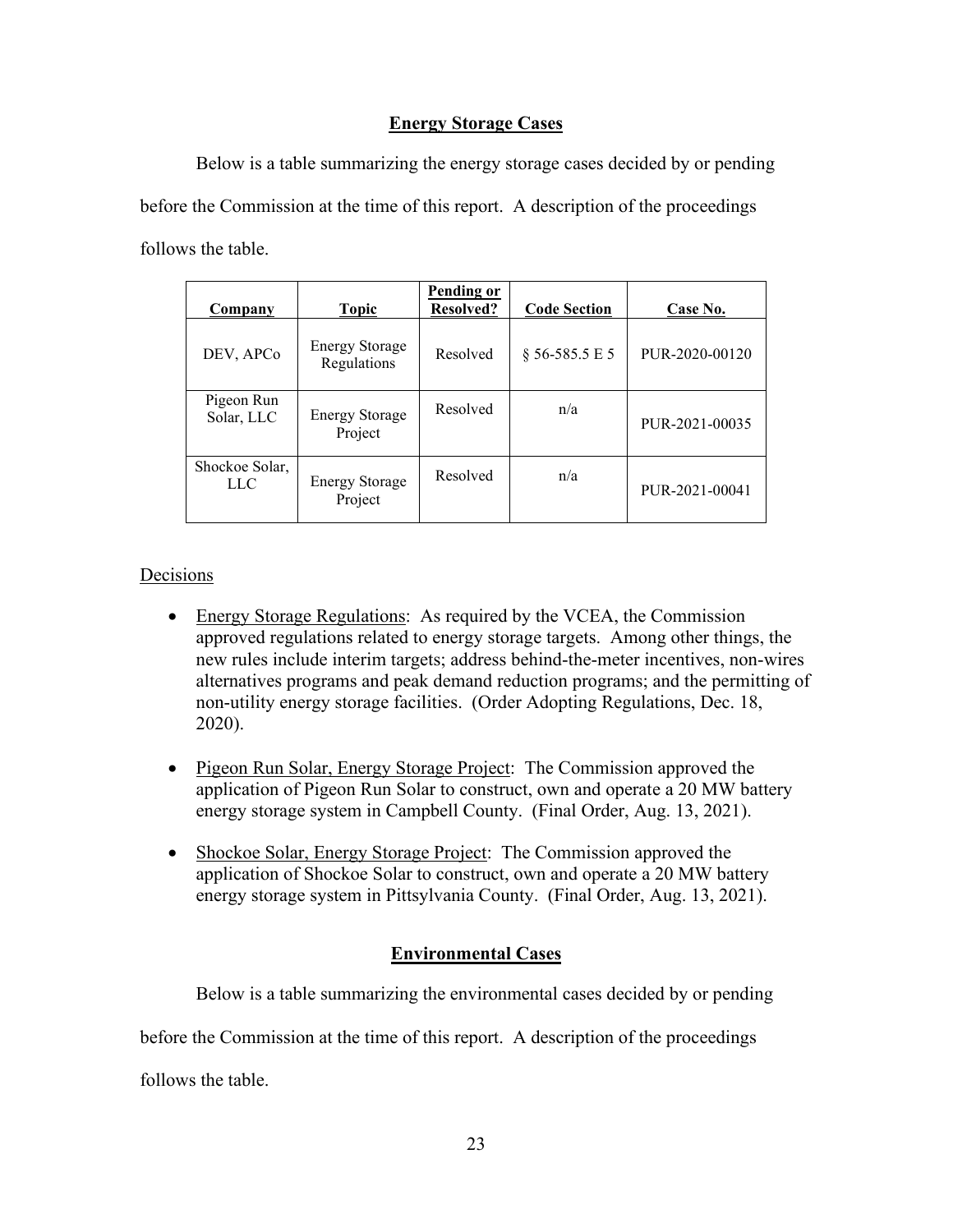## **Energy Storage Cases**

Below is a table summarizing the energy storage cases decided by or pending before the Commission at the time of this report. A description of the proceedings follows the table.

| Company                  | <b>Topic</b>                         | <b>Pending or</b><br><b>Resolved?</b> | <b>Code Section</b> | Case No.       |
|--------------------------|--------------------------------------|---------------------------------------|---------------------|----------------|
| DEV, APCo                | <b>Energy Storage</b><br>Regulations | Resolved                              | $§$ 56-585.5 E 5    | PUR-2020-00120 |
| Pigeon Run<br>Solar, LLC | <b>Energy Storage</b><br>Project     | Resolved                              | n/a                 | PUR-2021-00035 |
| Shockoe Solar,<br>LLC    | <b>Energy Storage</b><br>Project     | Resolved                              | n/a                 | PUR-2021-00041 |

## Decisions

- Energy Storage Regulations: As required by the VCEA, the Commission approved regulations related to energy storage targets. Among other things, the new rules include interim targets; address behind-the-meter incentives, non-wires alternatives programs and peak demand reduction programs; and the permitting of non-utility energy storage facilities. (Order Adopting Regulations, Dec. 18, 2020).
- Pigeon Run Solar, Energy Storage Project: The Commission approved the application of Pigeon Run Solar to construct, own and operate a 20 MW battery energy storage system in Campbell County. (Final Order, Aug. 13, 2021).
- Shockoe Solar, Energy Storage Project: The Commission approved the application of Shockoe Solar to construct, own and operate a 20 MW battery energy storage system in Pittsylvania County. (Final Order, Aug. 13, 2021).

# **Environmental Cases**

Below is a table summarizing the environmental cases decided by or pending

before the Commission at the time of this report. A description of the proceedings

follows the table.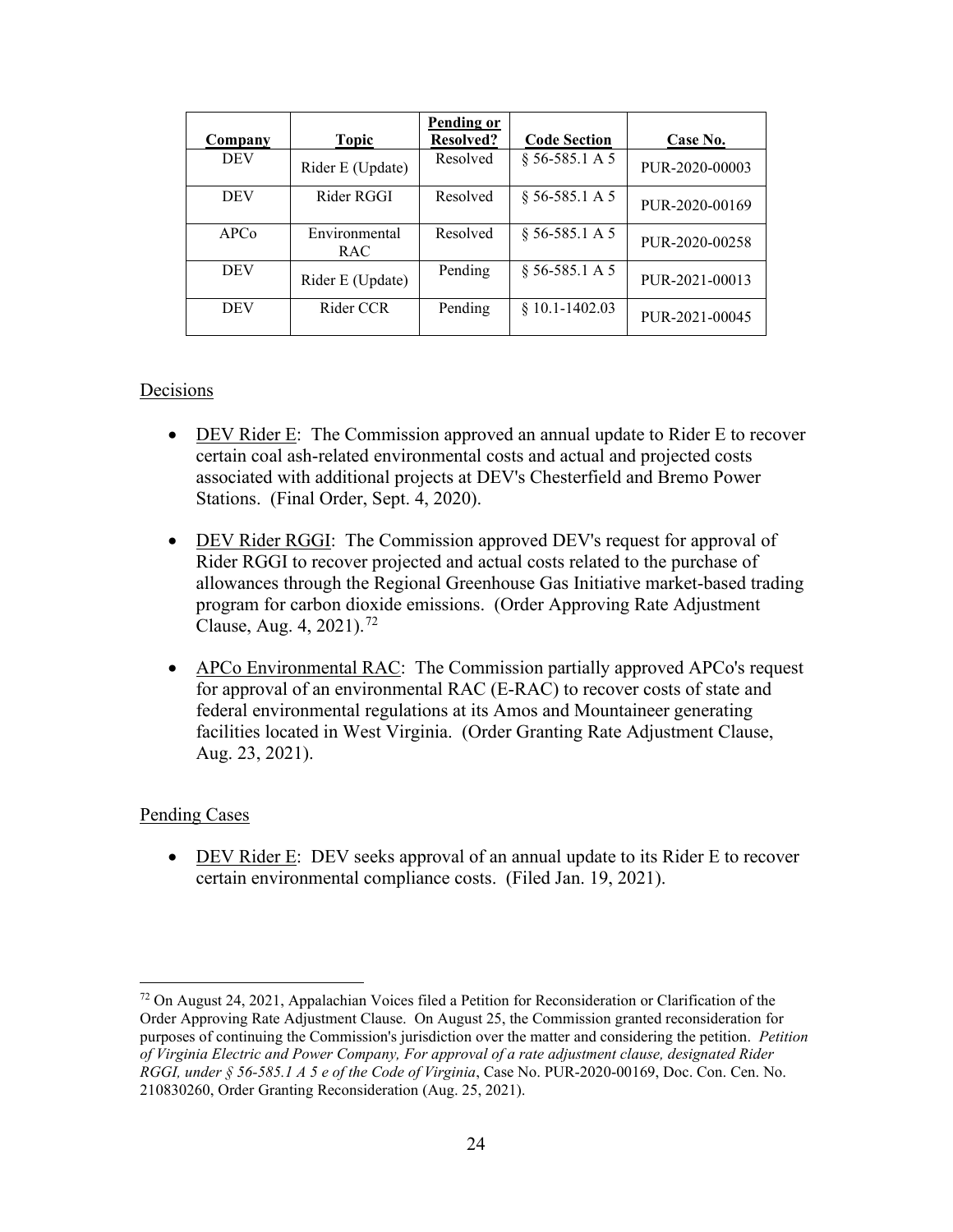| Company     | <b>Topic</b>                | Pending or<br><b>Resolved?</b> | <b>Code Section</b> | Case No.       |
|-------------|-----------------------------|--------------------------------|---------------------|----------------|
| <b>DEV</b>  | Rider E (Update)            | Resolved                       | $§$ 56-585.1 A 5    | PUR-2020-00003 |
| <b>DEV</b>  | Rider RGGI                  | Resolved                       | $§$ 56-585.1 A 5    | PUR-2020-00169 |
| <b>APCo</b> | Environmental<br><b>RAC</b> | Resolved                       | $§$ 56-585.1 A 5    | PUR-2020-00258 |
| <b>DEV</b>  | Rider E (Update)            | Pending                        | $§$ 56-585.1 A 5    | PUR-2021-00013 |
| <b>DEV</b>  | Rider CCR                   | Pending                        | $§$ 10.1-1402.03    | PUR-2021-00045 |

- DEV Rider E: The Commission approved an annual update to Rider E to recover certain coal ash-related environmental costs and actual and projected costs associated with additional projects at DEV's Chesterfield and Bremo Power Stations. (Final Order, Sept. 4, 2020).
- DEV Rider RGGI: The Commission approved DEV's request for approval of Rider RGGI to recover projected and actual costs related to the purchase of allowances through the Regional Greenhouse Gas Initiative market-based trading program for carbon dioxide emissions. (Order Approving Rate Adjustment Clause, Aug. 4, 2021).<sup>[72](#page-31-0)</sup>
- APCo Environmental RAC: The Commission partially approved APCo's request for approval of an environmental RAC (E-RAC) to recover costs of state and federal environmental regulations at its Amos and Mountaineer generating facilities located in West Virginia. (Order Granting Rate Adjustment Clause, Aug. 23, 2021).

### Pending Cases

• DEV Rider E: DEV seeks approval of an annual update to its Rider E to recover certain environmental compliance costs. (Filed Jan. 19, 2021).

<span id="page-31-0"></span><sup>72</sup> On August 24, 2021, Appalachian Voices filed a Petition for Reconsideration or Clarification of the Order Approving Rate Adjustment Clause. On August 25, the Commission granted reconsideration for purposes of continuing the Commission's jurisdiction over the matter and considering the petition. *Petition of Virginia Electric and Power Company, For approval of a rate adjustment clause, designated Rider RGGI, under § 56-585.1 A 5 e of the Code of Virginia*, Case No. PUR-2020-00169, Doc. Con. Cen. No. 210830260, Order Granting Reconsideration (Aug. 25, 2021).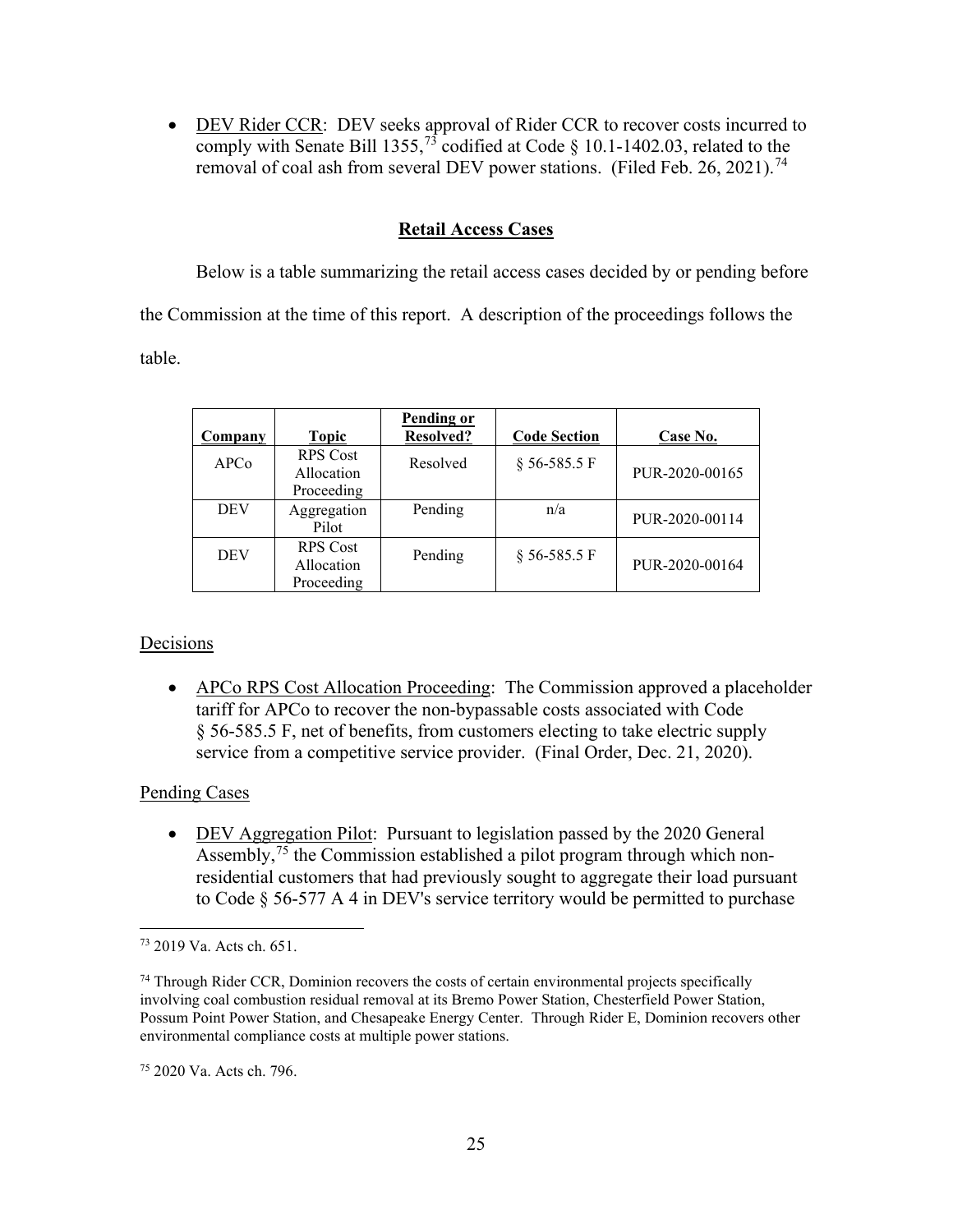• DEV Rider CCR: DEV seeks approval of Rider CCR to recover costs incurred to comply with Senate Bill 1355,<sup>[73](#page-32-0)</sup> codified at Code § 10.1-1402.03, related to the removal of coal ash from several DEV power stations. (Filed Feb. 26, 2021).<sup>[74](#page-32-1)</sup>

## **Retail Access Cases**

Below is a table summarizing the retail access cases decided by or pending before the Commission at the time of this report. A description of the proceedings follows the table.

| Company    | <b>Topic</b>                                | <b>Pending or</b><br><b>Resolved?</b> | <b>Code Section</b> | Case No.       |
|------------|---------------------------------------------|---------------------------------------|---------------------|----------------|
| APCo       | <b>RPS</b> Cost<br>Allocation<br>Proceeding | Resolved                              | $§$ 56-585.5 F      | PUR-2020-00165 |
| <b>DEV</b> | Aggregation<br>Pilot                        | Pending                               | n/a                 | PUR-2020-00114 |
| <b>DEV</b> | <b>RPS</b> Cost<br>Allocation<br>Proceeding | Pending                               | $§$ 56-585.5 F      | PUR-2020-00164 |

## Decisions

• APCo RPS Cost Allocation Proceeding: The Commission approved a placeholder tariff for APCo to recover the non-bypassable costs associated with Code § 56-585.5 F, net of benefits, from customers electing to take electric supply service from a competitive service provider. (Final Order, Dec. 21, 2020).

## Pending Cases

• DEV Aggregation Pilot: Pursuant to legislation passed by the 2020 General Assembly,<sup>[75](#page-32-2)</sup> the Commission established a pilot program through which nonresidential customers that had previously sought to aggregate their load pursuant to Code § 56-577 A 4 in DEV's service territory would be permitted to purchase

<span id="page-32-2"></span><sup>75</sup> 2020 Va. Acts ch. 796.

<span id="page-32-0"></span><sup>73</sup> 2019 Va. Acts ch. 651.

<span id="page-32-1"></span> $74$  Through Rider CCR, Dominion recovers the costs of certain environmental projects specifically involving coal combustion residual removal at its Bremo Power Station, Chesterfield Power Station, Possum Point Power Station, and Chesapeake Energy Center. Through Rider E, Dominion recovers other environmental compliance costs at multiple power stations.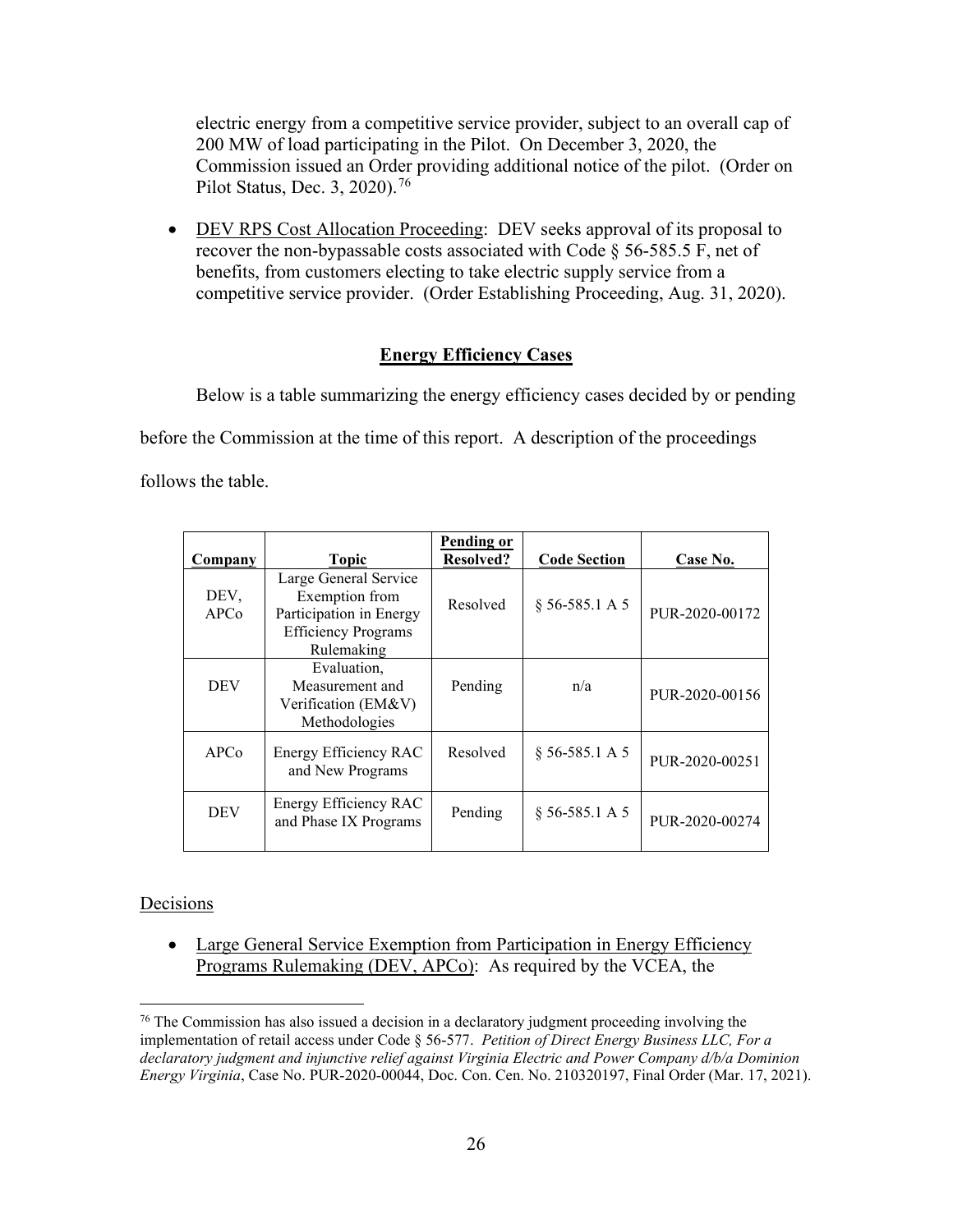electric energy from a competitive service provider, subject to an overall cap of 200 MW of load participating in the Pilot. On December 3, 2020, the Commission issued an Order providing additional notice of the pilot. (Order on Pilot Status, Dec. 3, 2020).<sup>[76](#page-33-0)</sup>

• DEV RPS Cost Allocation Proceeding: DEV seeks approval of its proposal to recover the non-bypassable costs associated with Code § 56-585.5 F, net of benefits, from customers electing to take electric supply service from a competitive service provider. (Order Establishing Proceeding, Aug. 31, 2020).

## **Energy Efficiency Cases**

Below is a table summarizing the energy efficiency cases decided by or pending

before the Commission at the time of this report. A description of the proceedings

follows the table.

| Company      | <b>Topic</b>                                                                                                   | Pending or<br><b>Resolved?</b> | <b>Code Section</b> | Case No.       |
|--------------|----------------------------------------------------------------------------------------------------------------|--------------------------------|---------------------|----------------|
| DEV,<br>APCo | Large General Service<br>Exemption from<br>Participation in Energy<br><b>Efficiency Programs</b><br>Rulemaking | Resolved                       | $§$ 56-585.1 A 5    | PUR-2020-00172 |
| <b>DEV</b>   | Evaluation,<br>Measurement and<br>Verification (EM&V)<br>Methodologies                                         | Pending                        | n/a                 | PUR-2020-00156 |
| APCo         | Energy Efficiency RAC<br>and New Programs                                                                      | Resolved                       | $§$ 56-585.1 A 5    | PUR-2020-00251 |
| <b>DEV</b>   | Energy Efficiency RAC<br>and Phase IX Programs                                                                 | Pending                        | $§ 56-585.1 A 5$    | PUR-2020-00274 |

### Decisions

• Large General Service Exemption from Participation in Energy Efficiency Programs Rulemaking (DEV, APCo): As required by the VCEA, the

<span id="page-33-0"></span> $\frac{76}{10}$  The Commission has also issued a decision in a declaratory judgment proceeding involving the implementation of retail access under Code § 56-577. *Petition of Direct Energy Business LLC, For a declaratory judgment and injunctive relief against Virginia Electric and Power Company d/b/a Dominion Energy Virginia*, Case No. PUR-2020-00044, Doc. Con. Cen. No. 210320197, Final Order (Mar. 17, 2021).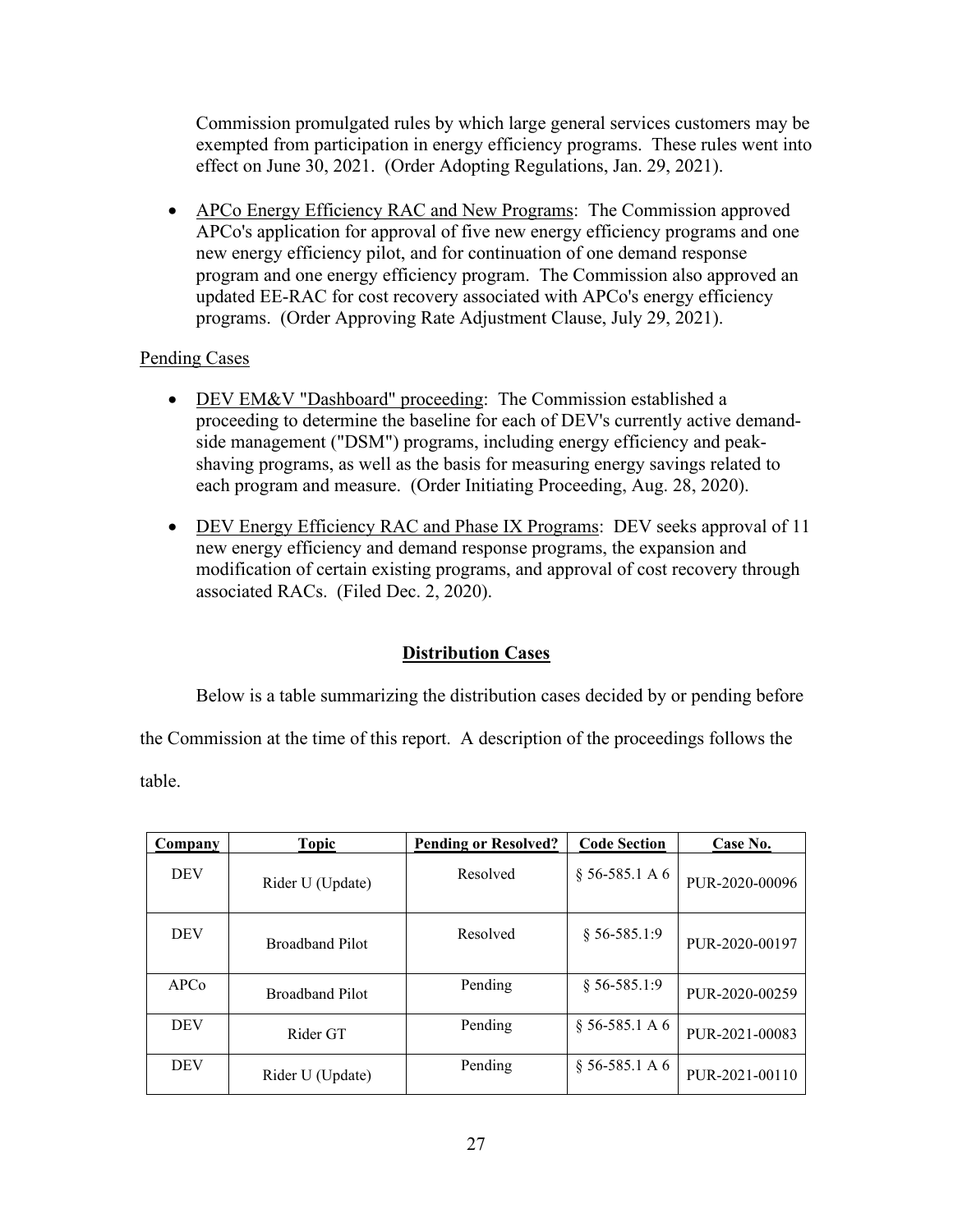Commission promulgated rules by which large general services customers may be exempted from participation in energy efficiency programs. These rules went into effect on June 30, 2021. (Order Adopting Regulations, Jan. 29, 2021).

• APCo Energy Efficiency RAC and New Programs: The Commission approved APCo's application for approval of five new energy efficiency programs and one new energy efficiency pilot, and for continuation of one demand response program and one energy efficiency program. The Commission also approved an updated EE-RAC for cost recovery associated with APCo's energy efficiency programs. (Order Approving Rate Adjustment Clause, July 29, 2021).

# Pending Cases

- DEV EM&V "Dashboard" proceeding: The Commission established a proceeding to determine the baseline for each of DEV's currently active demandside management ("DSM") programs, including energy efficiency and peakshaving programs, as well as the basis for measuring energy savings related to each program and measure. (Order Initiating Proceeding, Aug. 28, 2020).
- DEV Energy Efficiency RAC and Phase IX Programs: DEV seeks approval of 11 new energy efficiency and demand response programs, the expansion and modification of certain existing programs, and approval of cost recovery through associated RACs. (Filed Dec. 2, 2020).

# **Distribution Cases**

Below is a table summarizing the distribution cases decided by or pending before

the Commission at the time of this report. A description of the proceedings follows the

table.

| Company    | <b>Topic</b>           | <b>Pending or Resolved?</b> | <b>Code Section</b> | Case No.       |
|------------|------------------------|-----------------------------|---------------------|----------------|
| <b>DEV</b> | Rider U (Update)       | Resolved                    | $§ 56-585.1 A6$     | PUR-2020-00096 |
| <b>DEV</b> | <b>Broadband Pilot</b> | Resolved                    | $§ 56-585.1:9$      | PUR-2020-00197 |
| APCo       | <b>Broadband Pilot</b> | Pending                     | $§ 56-585.1:9$      | PUR-2020-00259 |
| <b>DEV</b> | Rider GT               | Pending                     | $§$ 56-585.1 A 6    | PUR-2021-00083 |
| <b>DEV</b> | Rider U (Update)       | Pending                     | $§ 56-585.1 A6$     | PUR-2021-00110 |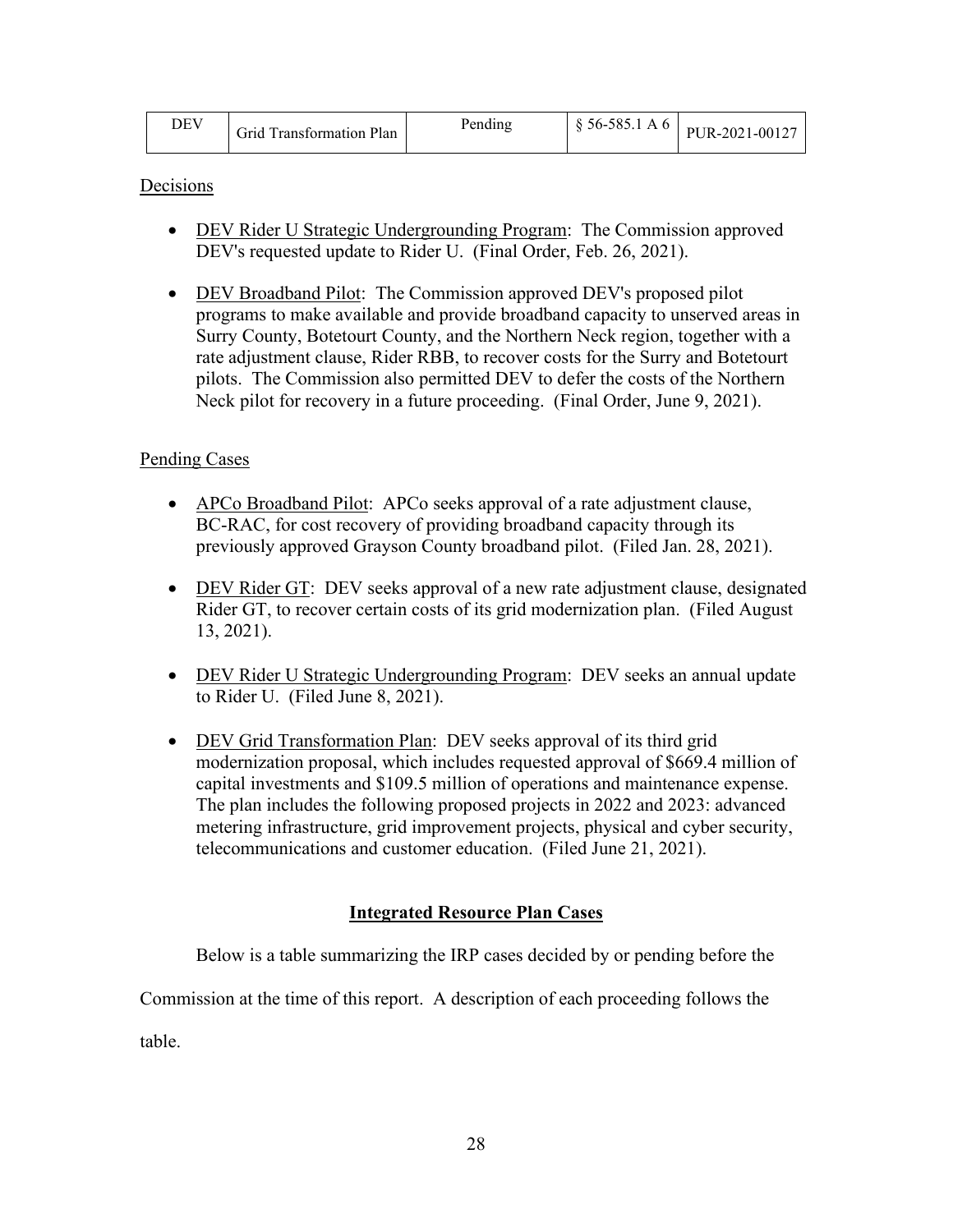| DEV | Grid Transformation Plan | Pending | $§$ 56-585.1 A 6 | PUR-2021-00127 |
|-----|--------------------------|---------|------------------|----------------|
|     |                          |         |                  |                |

- DEV Rider U Strategic Undergrounding Program: The Commission approved DEV's requested update to Rider U. (Final Order, Feb. 26, 2021).
- DEV Broadband Pilot: The Commission approved DEV's proposed pilot programs to make available and provide broadband capacity to unserved areas in Surry County, Botetourt County, and the Northern Neck region, together with a rate adjustment clause, Rider RBB, to recover costs for the Surry and Botetourt pilots. The Commission also permitted DEV to defer the costs of the Northern Neck pilot for recovery in a future proceeding. (Final Order, June 9, 2021).

# Pending Cases

- APCo Broadband Pilot: APCo seeks approval of a rate adjustment clause, BC-RAC, for cost recovery of providing broadband capacity through its previously approved Grayson County broadband pilot. (Filed Jan. 28, 2021).
- DEV Rider GT: DEV seeks approval of a new rate adjustment clause, designated Rider GT, to recover certain costs of its grid modernization plan. (Filed August 13, 2021).
- DEV Rider U Strategic Undergrounding Program: DEV seeks an annual update to Rider U. (Filed June 8, 2021).
- DEV Grid Transformation Plan: DEV seeks approval of its third grid modernization proposal, which includes requested approval of \$669.4 million of capital investments and \$109.5 million of operations and maintenance expense. The plan includes the following proposed projects in 2022 and 2023: advanced metering infrastructure, grid improvement projects, physical and cyber security, telecommunications and customer education. (Filed June 21, 2021).

# **Integrated Resource Plan Cases**

Below is a table summarizing the IRP cases decided by or pending before the

Commission at the time of this report. A description of each proceeding follows the

table.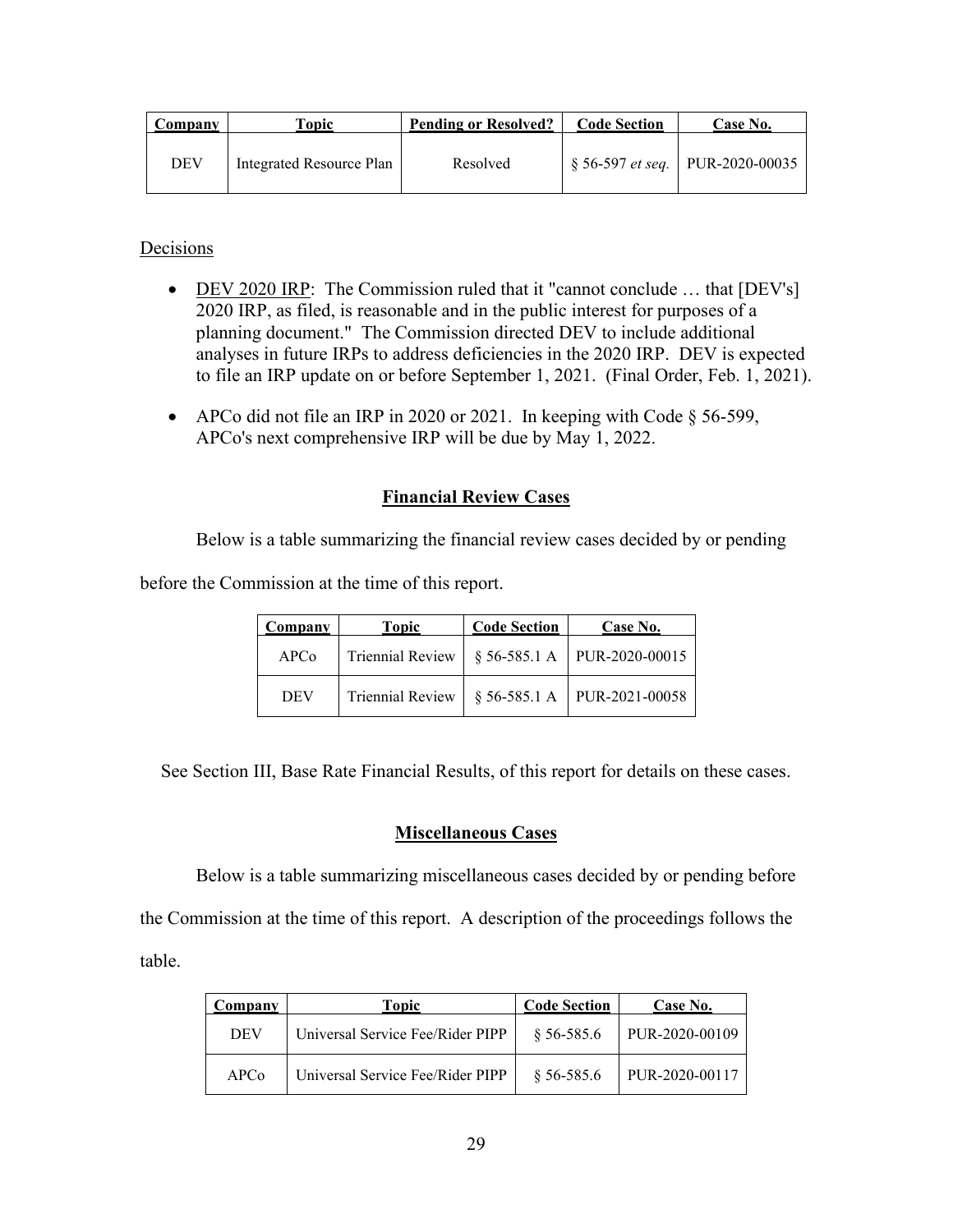| Company | Topic                    | <b>Pending or Resolved?</b> | <b>Code Section</b> | Case No.                             |
|---------|--------------------------|-----------------------------|---------------------|--------------------------------------|
| DEV     | Integrated Resource Plan | Resolved                    |                     | $\S$ 56-597 et seq.   PUR-2020-00035 |

- DEV 2020 IRP: The Commission ruled that it "cannot conclude ... that [DEV's] 2020 IRP, as filed, is reasonable and in the public interest for purposes of a planning document." The Commission directed DEV to include additional analyses in future IRPs to address deficiencies in the 2020 IRP. DEV is expected to file an IRP update on or before September 1, 2021. (Final Order, Feb. 1, 2021).
- APCo did not file an IRP in 2020 or 2021. In keeping with Code § 56-599, APCo's next comprehensive IRP will be due by May 1, 2022.

## **Financial Review Cases**

Below is a table summarizing the financial review cases decided by or pending

before the Commission at the time of this report.

| Company    | <b>Topic</b>            | <b>Code Section</b> | Case No.                         |
|------------|-------------------------|---------------------|----------------------------------|
| APCo       | <b>Triennial Review</b> |                     | $\S$ 56-585.1 A   PUR-2020-00015 |
| <b>DEV</b> | Triennial Review        |                     | $§ 56-585.1 A$ PUR-2021-00058    |

See Section III, Base Rate Financial Results, of this report for details on these cases.

### **Miscellaneous Cases**

Below is a table summarizing miscellaneous cases decided by or pending before the Commission at the time of this report. A description of the proceedings follows the table.

| Company    | Topic                            | <b>Code Section</b> | Case No.       |
|------------|----------------------------------|---------------------|----------------|
| <b>DEV</b> | Universal Service Fee/Rider PIPP | $$56-585.6$         | PUR-2020-00109 |
| APCo       | Universal Service Fee/Rider PIPP | $$56-585.6$         | PUR-2020-00117 |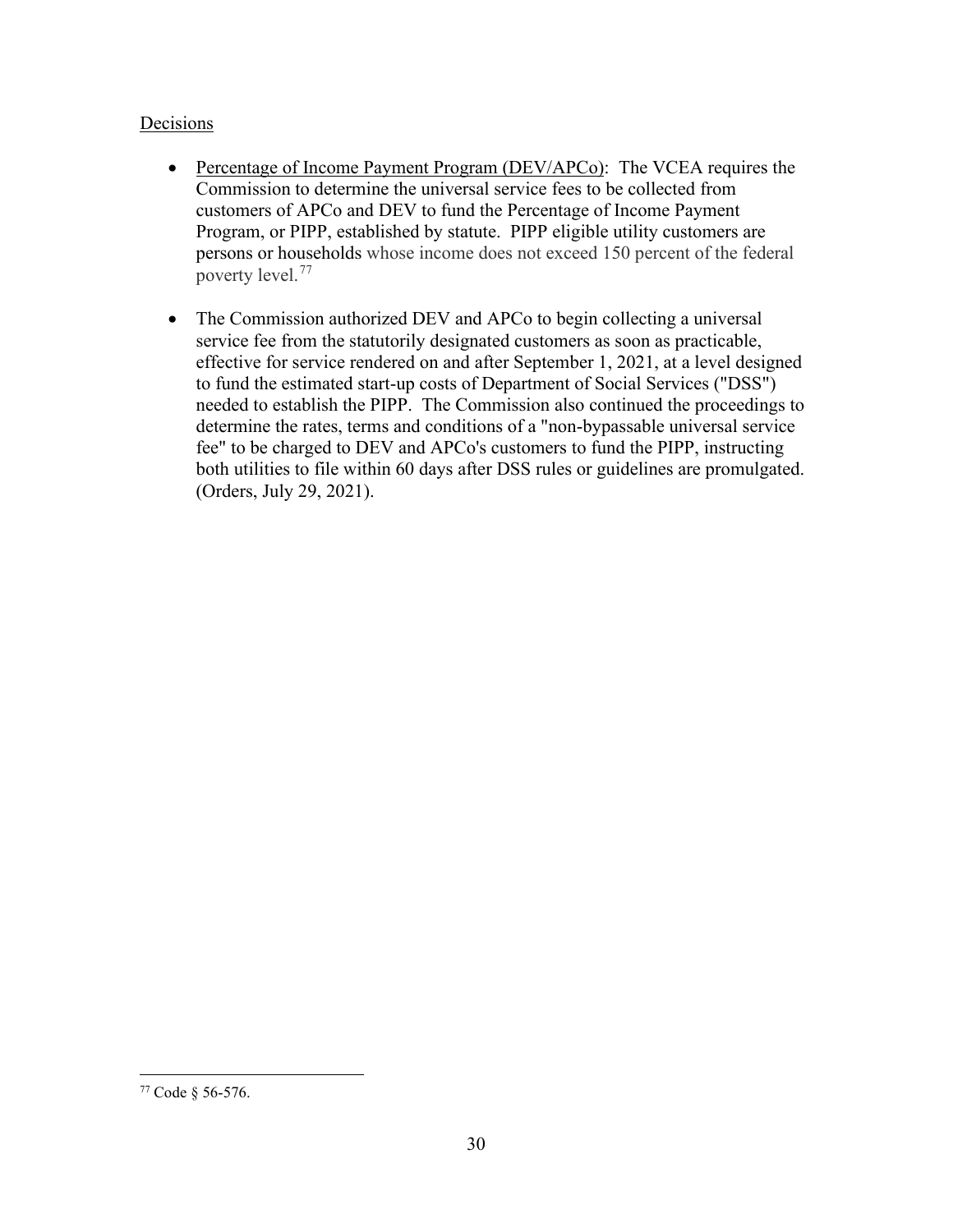- Percentage of Income Payment Program (DEV/APCo): The VCEA requires the Commission to determine the universal service fees to be collected from customers of APCo and DEV to fund the Percentage of Income Payment Program, or PIPP, established by statute. PIPP eligible utility customers are persons or households whose income does not exceed 150 percent of the federal poverty level.[77](#page-37-0)
- The Commission authorized DEV and APCo to begin collecting a universal service fee from the statutorily designated customers as soon as practicable, effective for service rendered on and after September 1, 2021, at a level designed to fund the estimated start-up costs of Department of Social Services ("DSS") needed to establish the PIPP. The Commission also continued the proceedings to determine the rates, terms and conditions of a "non-bypassable universal service fee" to be charged to DEV and APCo's customers to fund the PIPP, instructing both utilities to file within 60 days after DSS rules or guidelines are promulgated. (Orders, July 29, 2021).

<span id="page-37-0"></span><sup>77</sup> Code § 56-576.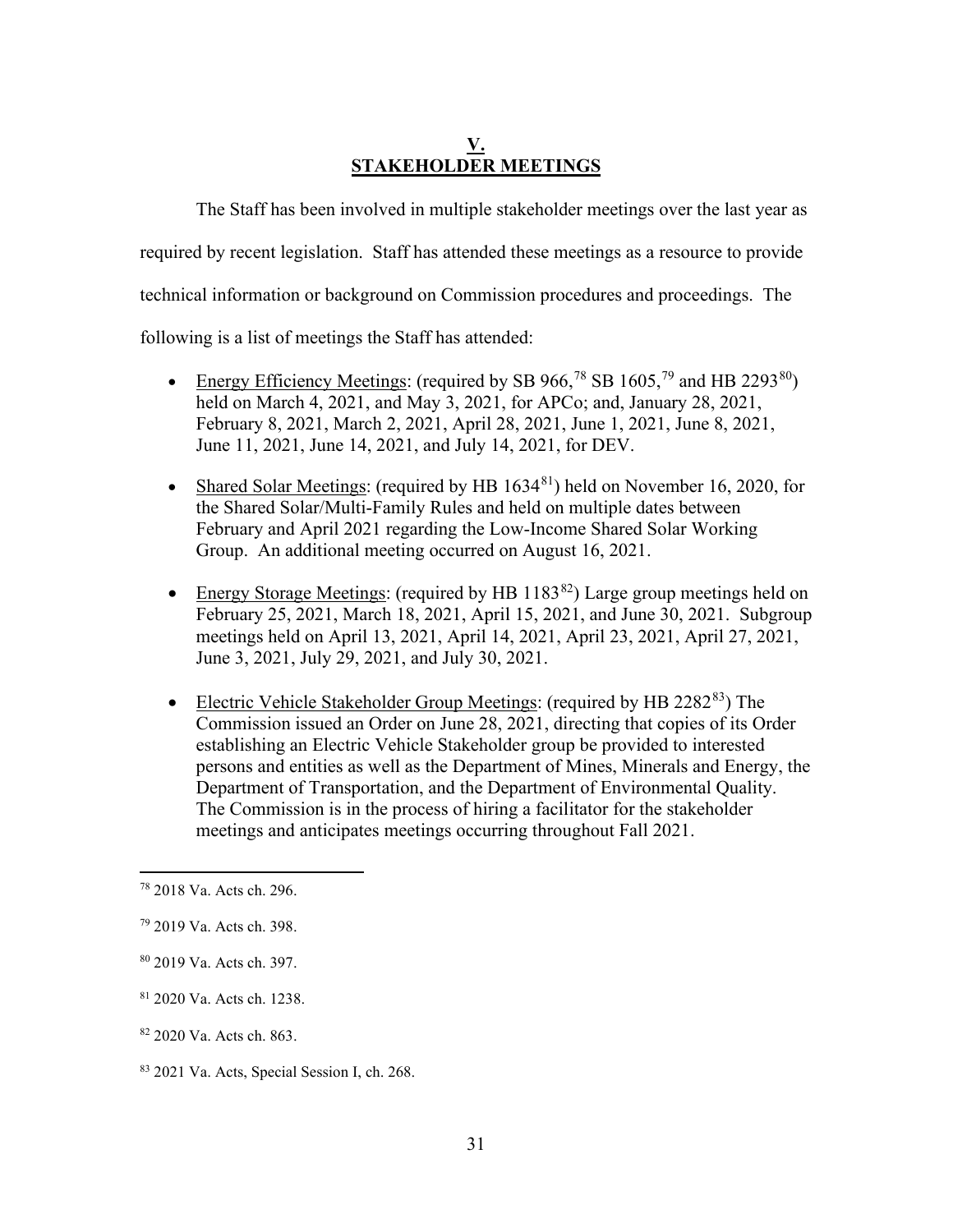# **V. STAKEHOLDER MEETINGS**

The Staff has been involved in multiple stakeholder meetings over the last year as required by recent legislation. Staff has attended these meetings as a resource to provide technical information or background on Commission procedures and proceedings. The following is a list of meetings the Staff has attended:

- Energy Efficiency Meetings: (required by SB 966,<sup>[78](#page-38-0)</sup> SB 1605,<sup>[79](#page-38-1)</sup> and HB 2293<sup>[80](#page-38-2)</sup>) held on March 4, 2021, and May 3, 2021, for APCo; and, January 28, 2021, February 8, 2021, March 2, 2021, April 28, 2021, June 1, 2021, June 8, 2021, June 11, 2021, June 14, 2021, and July 14, 2021, for DEV.
- Shared Solar Meetings: (required by HB  $1634<sup>81</sup>$ ) held on November 16, 2020, for the Shared Solar/Multi-Family Rules and held on multiple dates between February and April 2021 regarding the Low-Income Shared Solar Working Group. An additional meeting occurred on August 16, 2021.
- Energy Storage Meetings: (required by HB  $1183^{82}$ ) Large group meetings held on February 25, 2021, March 18, 2021, April 15, 2021, and June 30, 2021. Subgroup meetings held on April 13, 2021, April 14, 2021, April 23, 2021, April 27, 2021, June 3, 2021, July 29, 2021, and July 30, 2021.
- Electric Vehicle Stakeholder Group Meetings: (required by HB  $2282^{83}$ ) The Commission issued an Order on June 28, 2021, directing that copies of its Order establishing an Electric Vehicle Stakeholder group be provided to interested persons and entities as well as the Department of Mines, Minerals and Energy, the Department of Transportation, and the Department of Environmental Quality. The Commission is in the process of hiring a facilitator for the stakeholder meetings and anticipates meetings occurring throughout Fall 2021.

<span id="page-38-0"></span><sup>78</sup> 2018 Va. Acts ch. 296.

<span id="page-38-1"></span><sup>79</sup> 2019 Va. Acts ch. 398.

<span id="page-38-2"></span><sup>80</sup> 2019 Va. Acts ch. 397.

<span id="page-38-3"></span><sup>81</sup> 2020 Va. Acts ch. 1238.

<span id="page-38-4"></span><sup>82</sup> 2020 Va. Acts ch. 863.

<span id="page-38-5"></span><sup>83</sup> 2021 Va. Acts, Special Session I, ch. 268.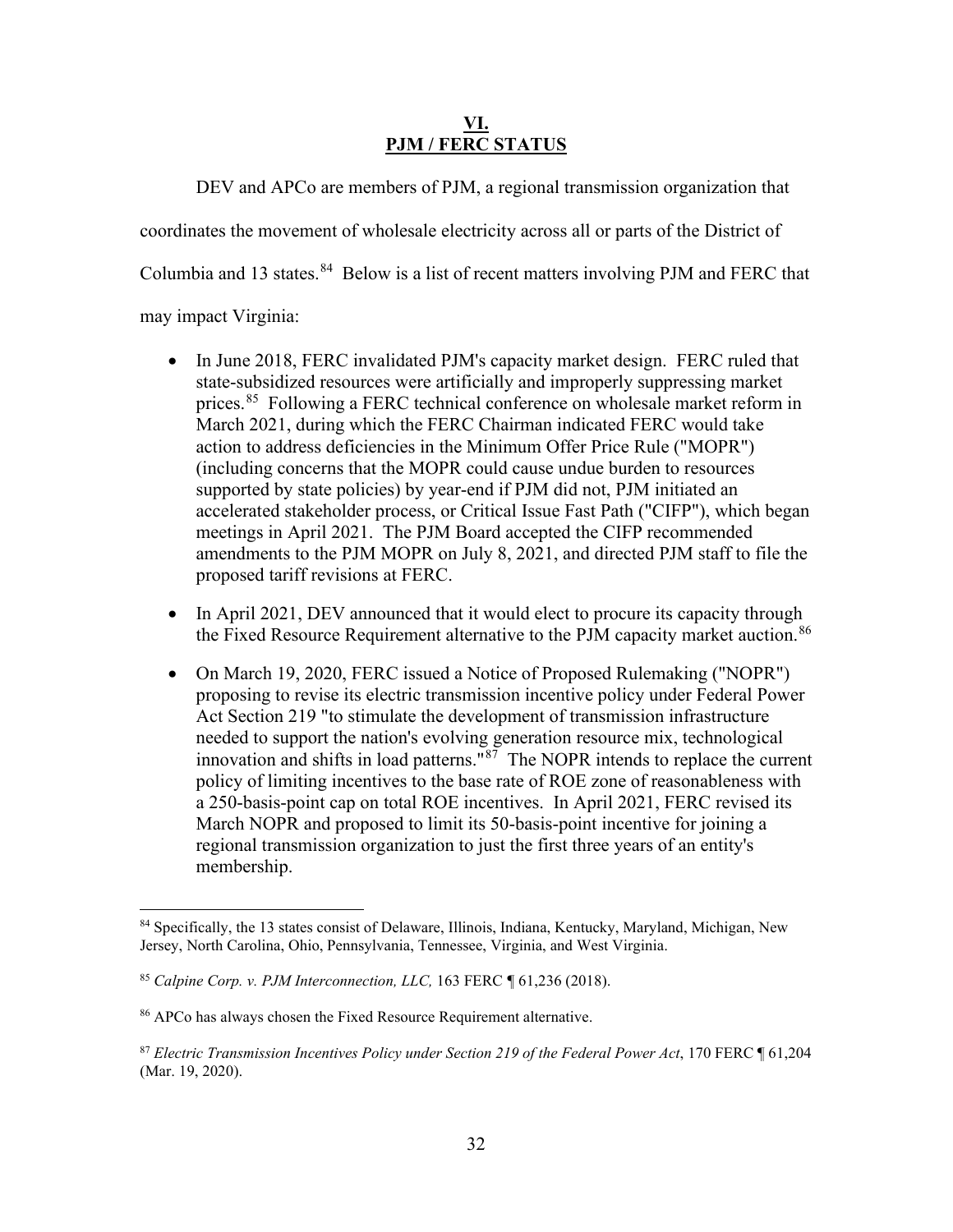## **VI. PJM / FERC STATUS**

DEV and APCo are members of PJM, a regional transmission organization that coordinates the movement of wholesale electricity across all or parts of the District of Columbia and 13 states.  $84$  Below is a list of recent matters involving PJM and FERC that

may impact Virginia:

- In June 2018, FERC invalidated PJM's capacity market design. FERC ruled that state-subsidized resources were artificially and improperly suppressing market prices.<sup>[85](#page-39-1)</sup> Following a FERC technical conference on wholesale market reform in March 2021, during which the FERC Chairman indicated FERC would take action to address deficiencies in the Minimum Offer Price Rule ("MOPR") (including concerns that the MOPR could cause undue burden to resources supported by state policies) by year-end if PJM did not, PJM initiated an accelerated stakeholder process, or Critical Issue Fast Path ("CIFP"), which began meetings in April 2021. The PJM Board accepted the CIFP recommended amendments to the PJM MOPR on July 8, 2021, and directed PJM staff to file the proposed tariff revisions at FERC.
- In April 2021, DEV announced that it would elect to procure its capacity through the Fixed Resource Requirement alternative to the PJM capacity market auction.<sup>[86](#page-39-2)</sup>
- On March 19, 2020, FERC issued a Notice of Proposed Rulemaking ("NOPR") proposing to revise its electric transmission incentive policy under Federal Power Act Section 219 "to stimulate the development of transmission infrastructure needed to support the nation's evolving generation resource mix, technological innovation and shifts in load patterns." $87$  The NOPR intends to replace the current policy of limiting incentives to the base rate of ROE zone of reasonableness with a 250-basis-point cap on total ROE incentives. In April 2021, FERC revised its March NOPR and proposed to limit its 50-basis-point incentive for joining a regional transmission organization to just the first three years of an entity's membership.

<span id="page-39-0"></span><sup>&</sup>lt;sup>84</sup> Specifically, the 13 states consist of Delaware, Illinois, Indiana, Kentucky, Maryland, Michigan, New Jersey, North Carolina, Ohio, Pennsylvania, Tennessee, Virginia, and West Virginia.

<span id="page-39-1"></span><sup>85</sup> *Calpine Corp. v. PJM Interconnection, LLC,* 163 FERC *¶* 61,236 (2018).

<span id="page-39-2"></span><sup>86</sup> APCo has always chosen the Fixed Resource Requirement alternative.

<span id="page-39-3"></span><sup>87</sup> *Electric Transmission Incentives Policy under Section 219 of the Federal Power Act*, 170 FERC ¶ 61,204 (Mar. 19, 2020).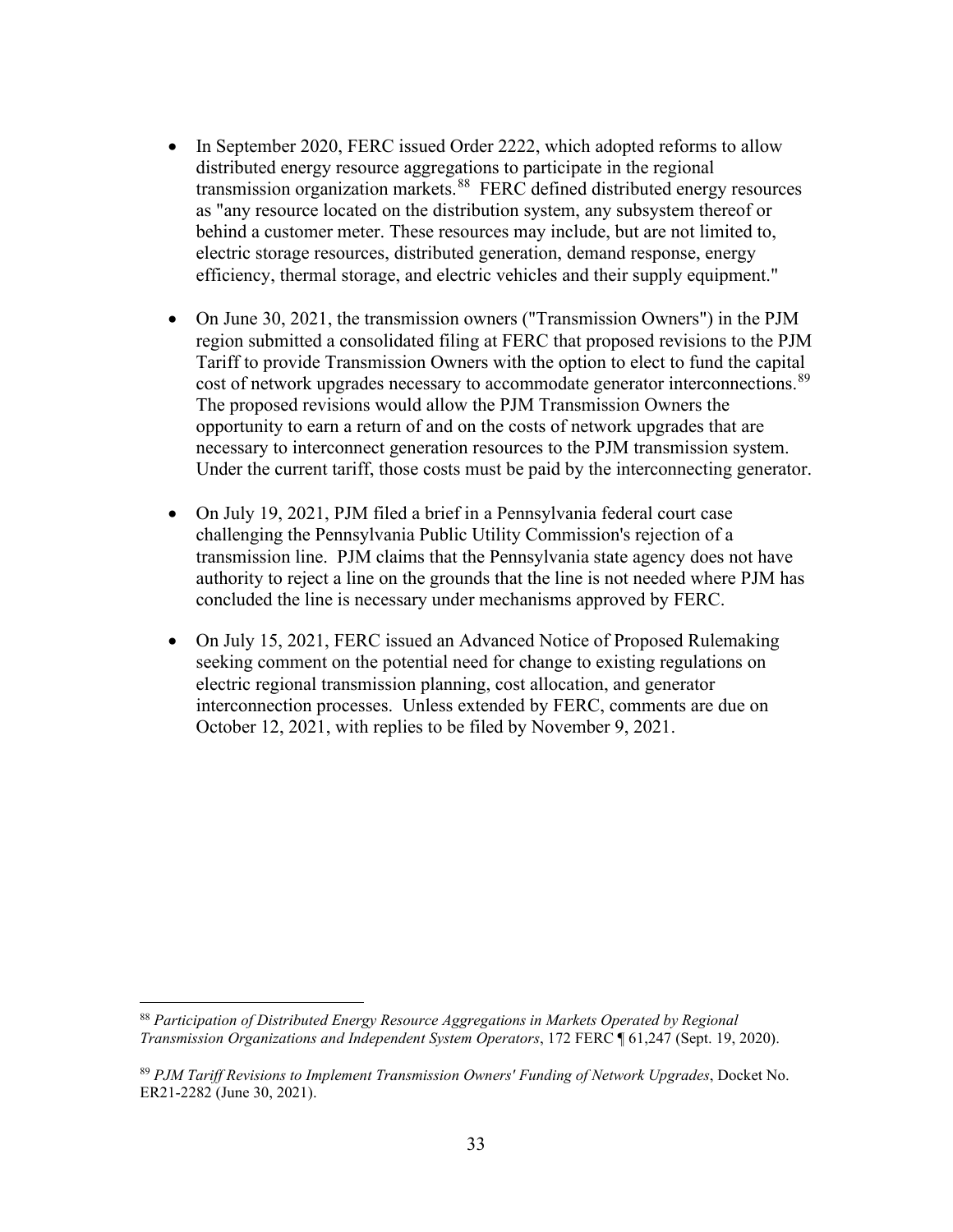- In September 2020, FERC issued Order 2222, which adopted reforms to allow distributed energy resource aggregations to participate in the regional transmission organization markets.<sup>[88](#page-40-0)</sup> FERC defined distributed energy resources as "any resource located on the distribution system, any subsystem thereof or behind a customer meter. These resources may include, but are not limited to, electric storage resources, distributed generation, demand response, energy efficiency, thermal storage, and electric vehicles and their supply equipment."
- On June 30, 2021, the transmission owners ("Transmission Owners") in the PJM region submitted a consolidated filing at FERC that proposed revisions to the PJM Tariff to provide Transmission Owners with the option to elect to fund the capital cost of network upgrades necessary to accommodate generator interconnections.<sup>[89](#page-40-1)</sup> The proposed revisions would allow the PJM Transmission Owners the opportunity to earn a return of and on the costs of network upgrades that are necessary to interconnect generation resources to the PJM transmission system. Under the current tariff, those costs must be paid by the interconnecting generator.
- On July 19, 2021, PJM filed a brief in a Pennsylvania federal court case challenging the Pennsylvania Public Utility Commission's rejection of a transmission line. PJM claims that the Pennsylvania state agency does not have authority to reject a line on the grounds that the line is not needed where PJM has concluded the line is necessary under mechanisms approved by FERC.
- On July 15, 2021, FERC issued an Advanced Notice of Proposed Rulemaking seeking comment on the potential need for change to existing regulations on electric regional transmission planning, cost allocation, and generator interconnection processes. Unless extended by FERC, comments are due on October 12, 2021, with replies to be filed by November 9, 2021.

<span id="page-40-0"></span><sup>88</sup> *Participation of Distributed Energy Resource Aggregations in Markets Operated by Regional Transmission Organizations and Independent System Operators*, 172 FERC ¶ 61,247 (Sept. 19, 2020).

<span id="page-40-1"></span><sup>89</sup> *PJM Tariff Revisions to Implement Transmission Owners' Funding of Network Upgrades*, Docket No. ER21-2282 (June 30, 2021).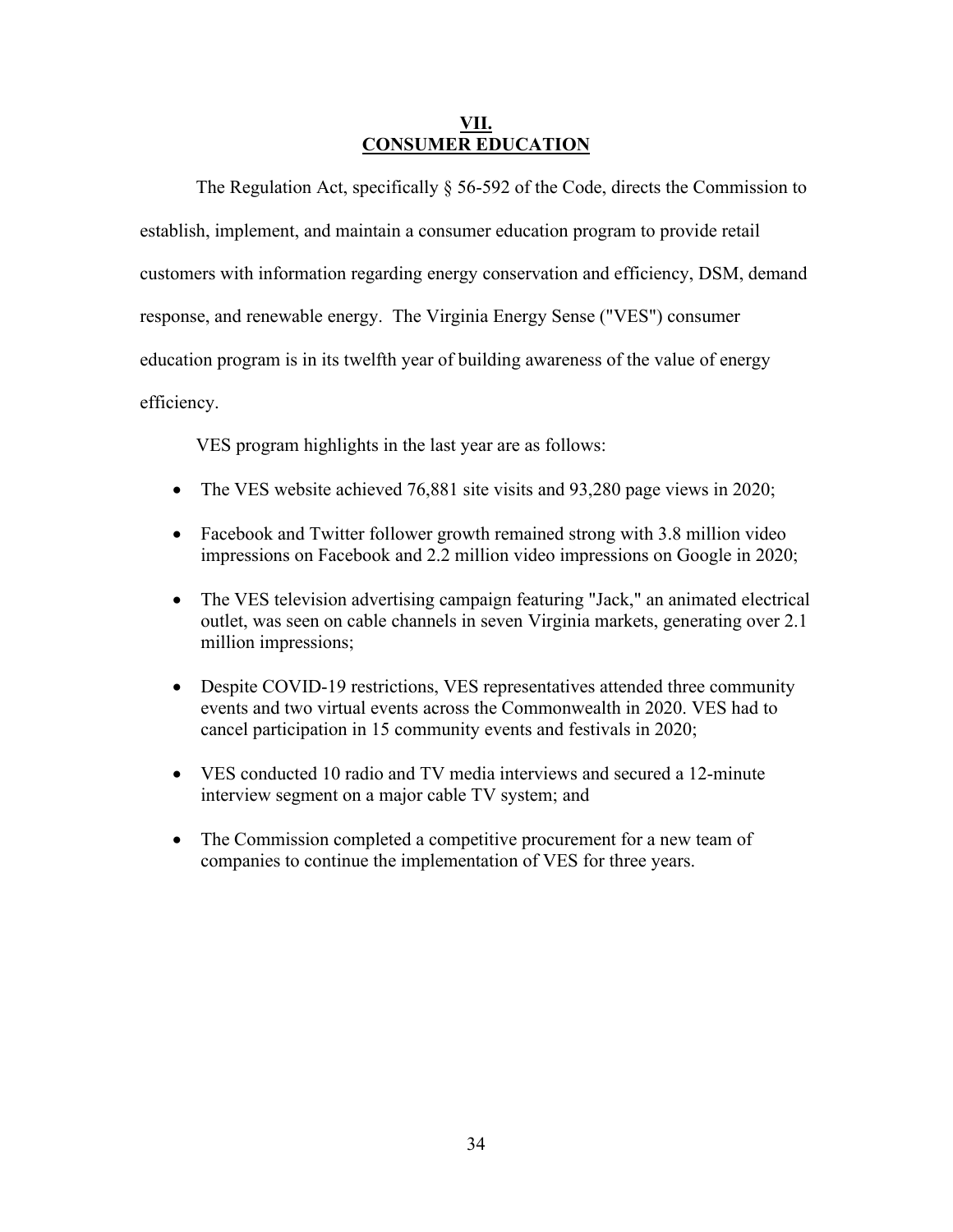## **VII. CONSUMER EDUCATION**

The Regulation Act, specifically § 56-592 of the Code, directs the Commission to establish, implement, and maintain a consumer education program to provide retail customers with information regarding energy conservation and efficiency, DSM, demand response, and renewable energy. The Virginia Energy Sense ("VES") consumer education program is in its twelfth year of building awareness of the value of energy efficiency.

VES program highlights in the last year are as follows:

- The VES website achieved 76,881 site visits and 93,280 page views in 2020;
- Facebook and Twitter follower growth remained strong with 3.8 million video impressions on Facebook and 2.2 million video impressions on Google in 2020;
- The VES television advertising campaign featuring "Jack," an animated electrical outlet, was seen on cable channels in seven Virginia markets, generating over 2.1 million impressions;
- Despite COVID-19 restrictions, VES representatives attended three community events and two virtual events across the Commonwealth in 2020. VES had to cancel participation in 15 community events and festivals in 2020;
- VES conducted 10 radio and TV media interviews and secured a 12-minute interview segment on a major cable TV system; and
- The Commission completed a competitive procurement for a new team of companies to continue the implementation of VES for three years.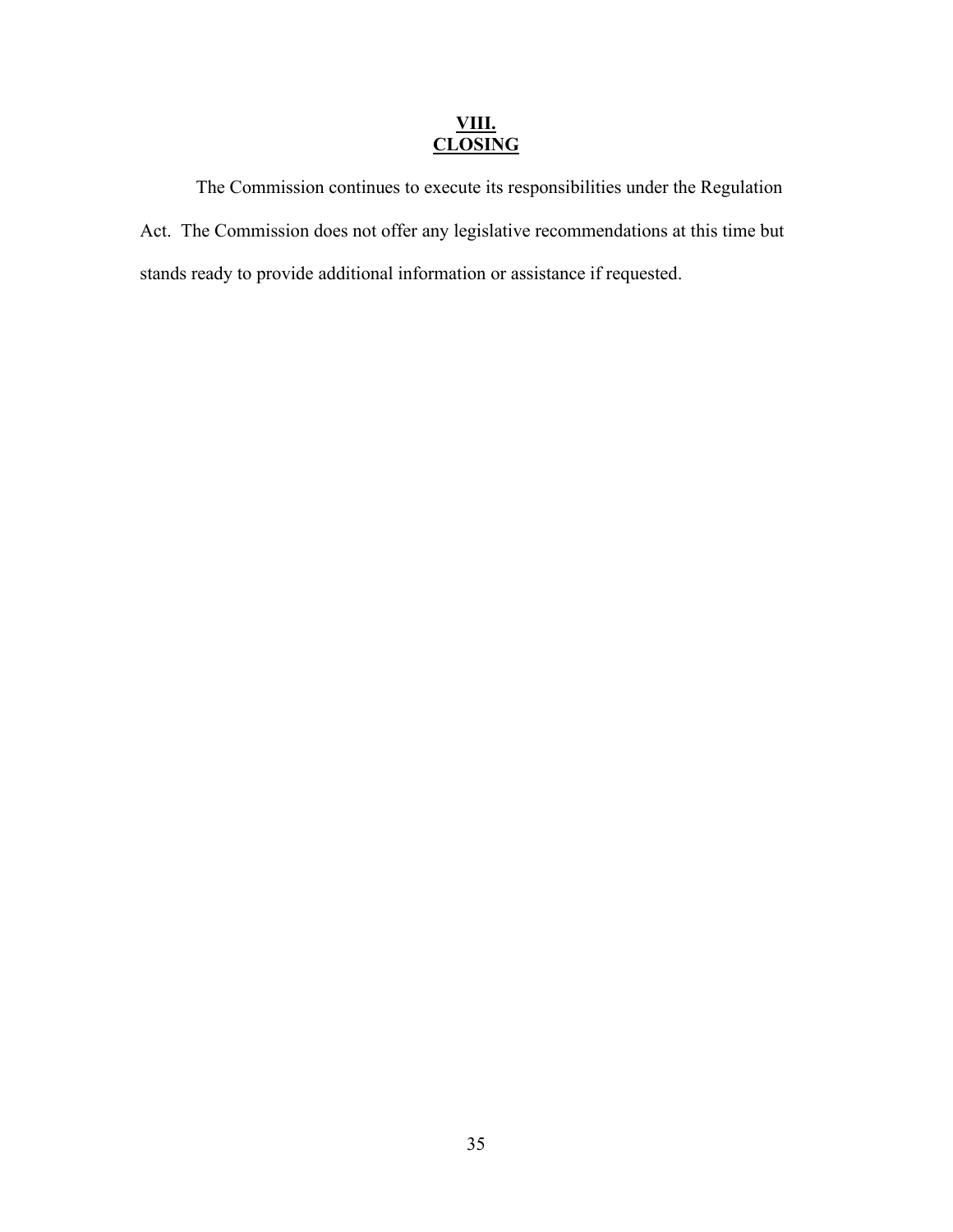## **VIII. CLOSING**

The Commission continues to execute its responsibilities under the Regulation Act. The Commission does not offer any legislative recommendations at this time but stands ready to provide additional information or assistance if requested.